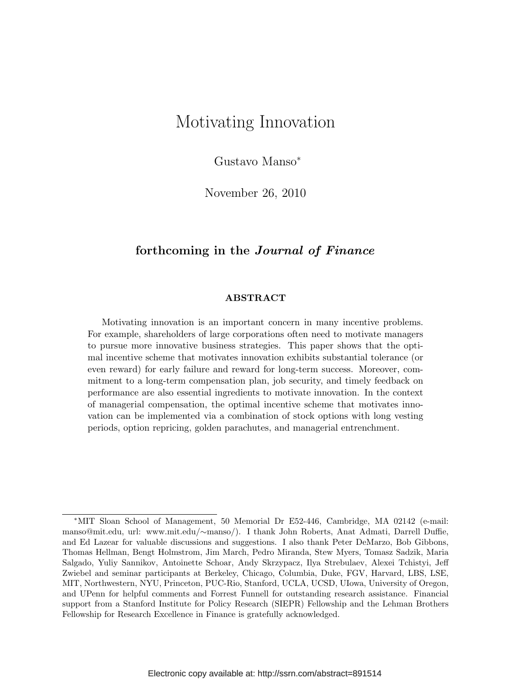## Motivating Innovation

Gustavo Manso<sup>∗</sup>

November 26, 2010

#### forthcoming in the Journal of Finance

#### ABSTRACT

Motivating innovation is an important concern in many incentive problems. For example, shareholders of large corporations often need to motivate managers to pursue more innovative business strategies. This paper shows that the optimal incentive scheme that motivates innovation exhibits substantial tolerance (or even reward) for early failure and reward for long-term success. Moreover, commitment to a long-term compensation plan, job security, and timely feedback on performance are also essential ingredients to motivate innovation. In the context of managerial compensation, the optimal incentive scheme that motivates innovation can be implemented via a combination of stock options with long vesting periods, option repricing, golden parachutes, and managerial entrenchment.

<sup>∗</sup>MIT Sloan School of Management, 50 Memorial Dr E52-446, Cambridge, MA 02142 (e-mail: manso@mit.edu, url: www.mit.edu/∼manso/). I thank John Roberts, Anat Admati, Darrell Duffie, and Ed Lazear for valuable discussions and suggestions. I also thank Peter DeMarzo, Bob Gibbons, Thomas Hellman, Bengt Holmstrom, Jim March, Pedro Miranda, Stew Myers, Tomasz Sadzik, Maria Salgado, Yuliy Sannikov, Antoinette Schoar, Andy Skrzypacz, Ilya Strebulaev, Alexei Tchistyi, Jeff Zwiebel and seminar participants at Berkeley, Chicago, Columbia, Duke, FGV, Harvard, LBS, LSE, MIT, Northwestern, NYU, Princeton, PUC-Rio, Stanford, UCLA, UCSD, UIowa, University of Oregon, and UPenn for helpful comments and Forrest Funnell for outstanding research assistance. Financial support from a Stanford Institute for Policy Research (SIEPR) Fellowship and the Lehman Brothers Fellowship for Research Excellence in Finance is gratefully acknowledged.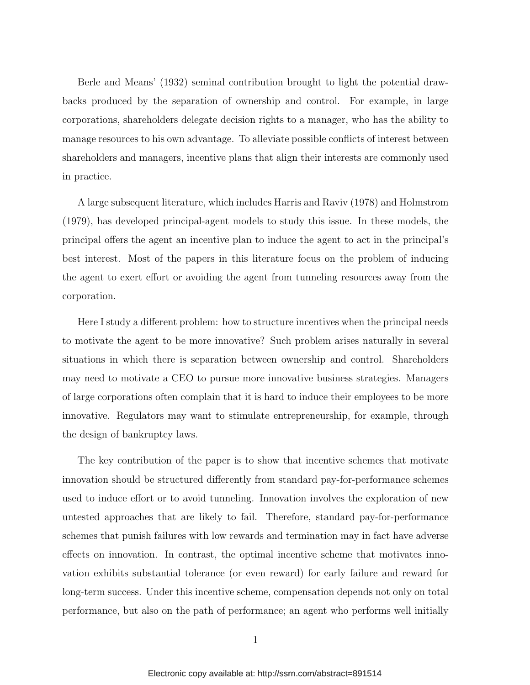Berle and Means' (1932) seminal contribution brought to light the potential drawbacks produced by the separation of ownership and control. For example, in large corporations, shareholders delegate decision rights to a manager, who has the ability to manage resources to his own advantage. To alleviate possible conflicts of interest between shareholders and managers, incentive plans that align their interests are commonly used in practice.

A large subsequent literature, which includes Harris and Raviv (1978) and Holmstrom (1979), has developed principal-agent models to study this issue. In these models, the principal offers the agent an incentive plan to induce the agent to act in the principal's best interest. Most of the papers in this literature focus on the problem of inducing the agent to exert effort or avoiding the agent from tunneling resources away from the corporation.

Here I study a different problem: how to structure incentives when the principal needs to motivate the agent to be more innovative? Such problem arises naturally in several situations in which there is separation between ownership and control. Shareholders may need to motivate a CEO to pursue more innovative business strategies. Managers of large corporations often complain that it is hard to induce their employees to be more innovative. Regulators may want to stimulate entrepreneurship, for example, through the design of bankruptcy laws.

The key contribution of the paper is to show that incentive schemes that motivate innovation should be structured differently from standard pay-for-performance schemes used to induce effort or to avoid tunneling. Innovation involves the exploration of new untested approaches that are likely to fail. Therefore, standard pay-for-performance schemes that punish failures with low rewards and termination may in fact have adverse effects on innovation. In contrast, the optimal incentive scheme that motivates innovation exhibits substantial tolerance (or even reward) for early failure and reward for long-term success. Under this incentive scheme, compensation depends not only on total performance, but also on the path of performance; an agent who performs well initially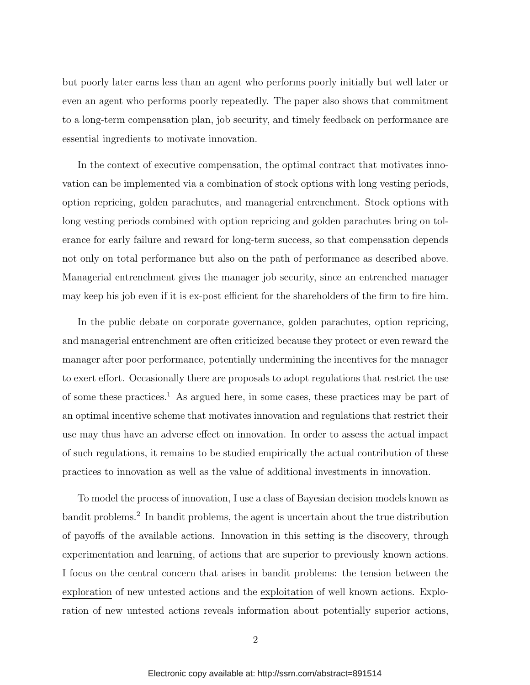but poorly later earns less than an agent who performs poorly initially but well later or even an agent who performs poorly repeatedly. The paper also shows that commitment to a long-term compensation plan, job security, and timely feedback on performance are essential ingredients to motivate innovation.

In the context of executive compensation, the optimal contract that motivates innovation can be implemented via a combination of stock options with long vesting periods, option repricing, golden parachutes, and managerial entrenchment. Stock options with long vesting periods combined with option repricing and golden parachutes bring on tolerance for early failure and reward for long-term success, so that compensation depends not only on total performance but also on the path of performance as described above. Managerial entrenchment gives the manager job security, since an entrenched manager may keep his job even if it is ex-post efficient for the shareholders of the firm to fire him.

In the public debate on corporate governance, golden parachutes, option repricing, and managerial entrenchment are often criticized because they protect or even reward the manager after poor performance, potentially undermining the incentives for the manager to exert effort. Occasionally there are proposals to adopt regulations that restrict the use of some these practices.<sup>1</sup> As argued here, in some cases, these practices may be part of an optimal incentive scheme that motivates innovation and regulations that restrict their use may thus have an adverse effect on innovation. In order to assess the actual impact of such regulations, it remains to be studied empirically the actual contribution of these practices to innovation as well as the value of additional investments in innovation.

To model the process of innovation, I use a class of Bayesian decision models known as bandit problems.<sup>2</sup> In bandit problems, the agent is uncertain about the true distribution of payoffs of the available actions. Innovation in this setting is the discovery, through experimentation and learning, of actions that are superior to previously known actions. I focus on the central concern that arises in bandit problems: the tension between the exploration of new untested actions and the exploitation of well known actions. Exploration of new untested actions reveals information about potentially superior actions,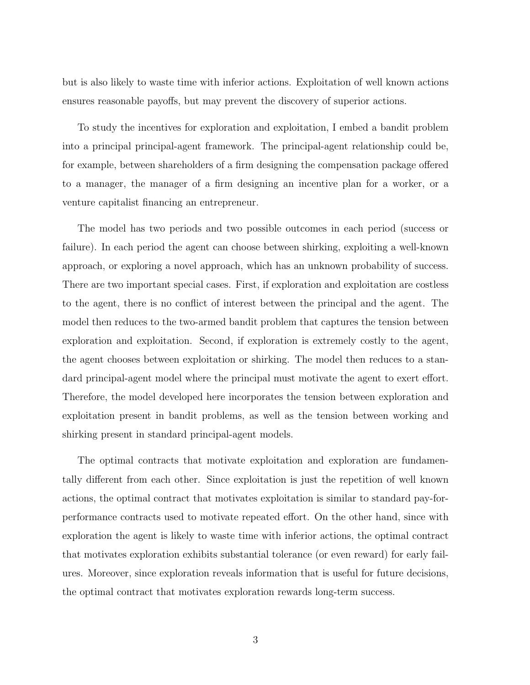but is also likely to waste time with inferior actions. Exploitation of well known actions ensures reasonable payoffs, but may prevent the discovery of superior actions.

To study the incentives for exploration and exploitation, I embed a bandit problem into a principal principal-agent framework. The principal-agent relationship could be, for example, between shareholders of a firm designing the compensation package offered to a manager, the manager of a firm designing an incentive plan for a worker, or a venture capitalist financing an entrepreneur.

The model has two periods and two possible outcomes in each period (success or failure). In each period the agent can choose between shirking, exploiting a well-known approach, or exploring a novel approach, which has an unknown probability of success. There are two important special cases. First, if exploration and exploitation are costless to the agent, there is no conflict of interest between the principal and the agent. The model then reduces to the two-armed bandit problem that captures the tension between exploration and exploitation. Second, if exploration is extremely costly to the agent, the agent chooses between exploitation or shirking. The model then reduces to a standard principal-agent model where the principal must motivate the agent to exert effort. Therefore, the model developed here incorporates the tension between exploration and exploitation present in bandit problems, as well as the tension between working and shirking present in standard principal-agent models.

The optimal contracts that motivate exploitation and exploration are fundamentally different from each other. Since exploitation is just the repetition of well known actions, the optimal contract that motivates exploitation is similar to standard pay-forperformance contracts used to motivate repeated effort. On the other hand, since with exploration the agent is likely to waste time with inferior actions, the optimal contract that motivates exploration exhibits substantial tolerance (or even reward) for early failures. Moreover, since exploration reveals information that is useful for future decisions, the optimal contract that motivates exploration rewards long-term success.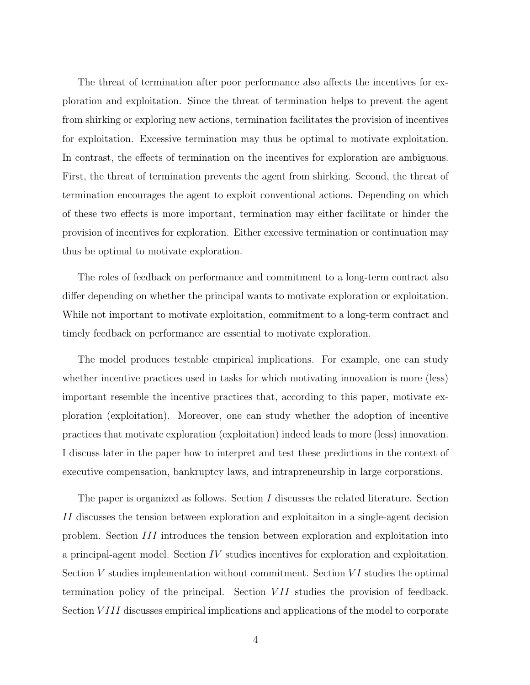The threat of termination after poor performance also affects the incentives for exploration and exploitation. Since the threat of termination helps to prevent the agent from shirking or exploring new actions, termination facilitates the provision of incentives for exploitation. Excessive termination may thus be optimal to motivate exploitation. In contrast, the effects of termination on the incentives for exploration are ambiguous. First, the threat of termination prevents the agent from shirking. Second, the threat of termination encourages the agent to exploit conventional actions. Depending on which of these two effects is more important, termination may either facilitate or hinder the provision of incentives for exploration. Either excessive termination or continuation may thus be optimal to motivate exploration.

The roles of feedback on performance and commitment to a long-term contract also differ depending on whether the principal wants to motivate exploration or exploitation. While not important to motivate exploitation, commitment to a long-term contract and timely feedback on performance are essential to motivate exploration.

The model produces testable empirical implications. For example, one can study whether incentive practices used in tasks for which motivating innovation is more (less) important resemble the incentive practices that, according to this paper, motivate exploration (exploitation). Moreover, one can study whether the adoption of incentive practices that motivate exploration (exploitation) indeed leads to more (less) innovation. I discuss later in the paper how to interpret and test these predictions in the context of executive compensation, bankruptcy laws, and intrapreneurship in large corporations.

The paper is organized as follows. Section I discusses the related literature. Section II discusses the tension between exploration and exploitaiton in a single-agent decision problem. Section III introduces the tension between exploration and exploitation into a principal-agent model. Section IV studies incentives for exploration and exploitation. Section  $V$  studies implementation without commitment. Section  $VI$  studies the optimal termination policy of the principal. Section VII studies the provision of feedback. Section VIII discusses empirical implications and applications of the model to corporate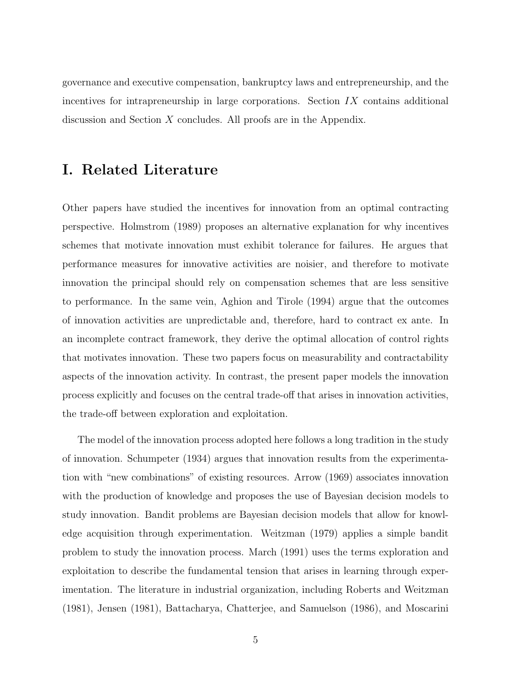governance and executive compensation, bankruptcy laws and entrepreneurship, and the incentives for intrapreneurship in large corporations. Section  $IX$  contains additional discussion and Section X concludes. All proofs are in the Appendix.

## I. Related Literature

Other papers have studied the incentives for innovation from an optimal contracting perspective. Holmstrom (1989) proposes an alternative explanation for why incentives schemes that motivate innovation must exhibit tolerance for failures. He argues that performance measures for innovative activities are noisier, and therefore to motivate innovation the principal should rely on compensation schemes that are less sensitive to performance. In the same vein, Aghion and Tirole (1994) argue that the outcomes of innovation activities are unpredictable and, therefore, hard to contract ex ante. In an incomplete contract framework, they derive the optimal allocation of control rights that motivates innovation. These two papers focus on measurability and contractability aspects of the innovation activity. In contrast, the present paper models the innovation process explicitly and focuses on the central trade-off that arises in innovation activities, the trade-off between exploration and exploitation.

The model of the innovation process adopted here follows a long tradition in the study of innovation. Schumpeter (1934) argues that innovation results from the experimentation with "new combinations" of existing resources. Arrow (1969) associates innovation with the production of knowledge and proposes the use of Bayesian decision models to study innovation. Bandit problems are Bayesian decision models that allow for knowledge acquisition through experimentation. Weitzman (1979) applies a simple bandit problem to study the innovation process. March (1991) uses the terms exploration and exploitation to describe the fundamental tension that arises in learning through experimentation. The literature in industrial organization, including Roberts and Weitzman (1981), Jensen (1981), Battacharya, Chatterjee, and Samuelson (1986), and Moscarini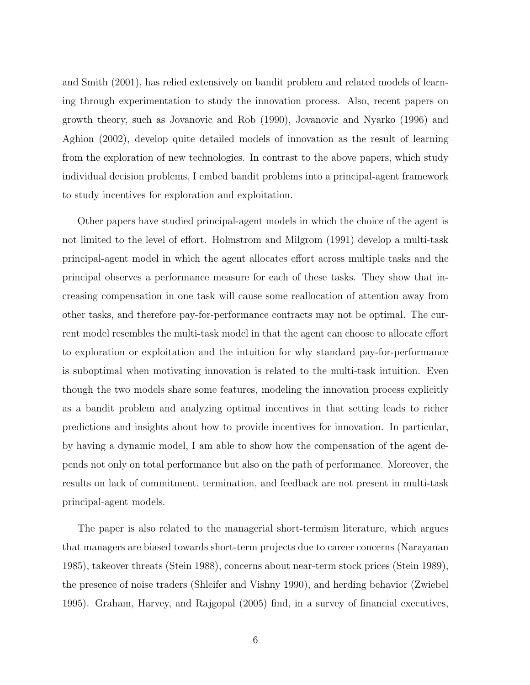and Smith (2001), has relied extensively on bandit problem and related models of learning through experimentation to study the innovation process. Also, recent papers on growth theory, such as Jovanovic and Rob (1990), Jovanovic and Nyarko (1996) and Aghion (2002), develop quite detailed models of innovation as the result of learning from the exploration of new technologies. In contrast to the above papers, which study individual decision problems, I embed bandit problems into a principal-agent framework to study incentives for exploration and exploitation.

Other papers have studied principal-agent models in which the choice of the agent is not limited to the level of effort. Holmstrom and Milgrom (1991) develop a multi-task principal-agent model in which the agent allocates effort across multiple tasks and the principal observes a performance measure for each of these tasks. They show that increasing compensation in one task will cause some reallocation of attention away from other tasks, and therefore pay-for-performance contracts may not be optimal. The current model resembles the multi-task model in that the agent can choose to allocate effort to exploration or exploitation and the intuition for why standard pay-for-performance is suboptimal when motivating innovation is related to the multi-task intuition. Even though the two models share some features, modeling the innovation process explicitly as a bandit problem and analyzing optimal incentives in that setting leads to richer predictions and insights about how to provide incentives for innovation. In particular, by having a dynamic model, I am able to show how the compensation of the agent depends not only on total performance but also on the path of performance. Moreover, the results on lack of commitment, termination, and feedback are not present in multi-task principal-agent models.

The paper is also related to the managerial short-termism literature, which argues that managers are biased towards short-term projects due to career concerns (Narayanan 1985), takeover threats (Stein 1988), concerns about near-term stock prices (Stein 1989), the presence of noise traders (Shleifer and Vishny 1990), and herding behavior (Zwiebel 1995). Graham, Harvey, and Rajgopal (2005) find, in a survey of financial executives,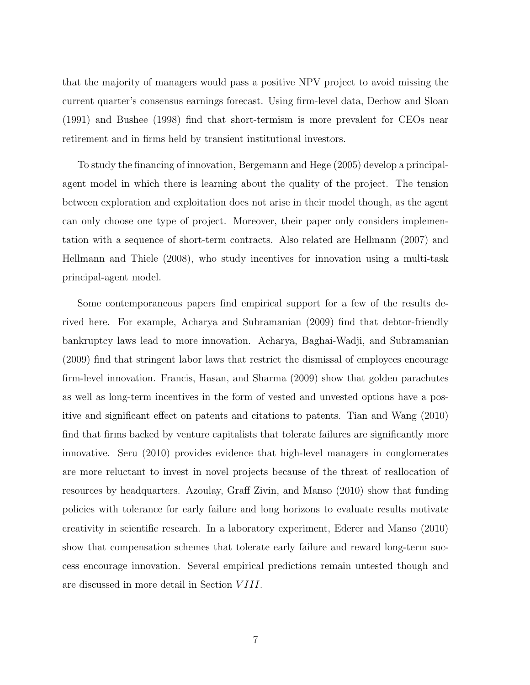that the majority of managers would pass a positive NPV project to avoid missing the current quarter's consensus earnings forecast. Using firm-level data, Dechow and Sloan (1991) and Bushee (1998) find that short-termism is more prevalent for CEOs near retirement and in firms held by transient institutional investors.

To study the financing of innovation, Bergemann and Hege (2005) develop a principalagent model in which there is learning about the quality of the project. The tension between exploration and exploitation does not arise in their model though, as the agent can only choose one type of project. Moreover, their paper only considers implementation with a sequence of short-term contracts. Also related are Hellmann (2007) and Hellmann and Thiele (2008), who study incentives for innovation using a multi-task principal-agent model.

Some contemporaneous papers find empirical support for a few of the results derived here. For example, Acharya and Subramanian (2009) find that debtor-friendly bankruptcy laws lead to more innovation. Acharya, Baghai-Wadji, and Subramanian (2009) find that stringent labor laws that restrict the dismissal of employees encourage firm-level innovation. Francis, Hasan, and Sharma (2009) show that golden parachutes as well as long-term incentives in the form of vested and unvested options have a positive and significant effect on patents and citations to patents. Tian and Wang (2010) find that firms backed by venture capitalists that tolerate failures are significantly more innovative. Seru (2010) provides evidence that high-level managers in conglomerates are more reluctant to invest in novel projects because of the threat of reallocation of resources by headquarters. Azoulay, Graff Zivin, and Manso (2010) show that funding policies with tolerance for early failure and long horizons to evaluate results motivate creativity in scientific research. In a laboratory experiment, Ederer and Manso (2010) show that compensation schemes that tolerate early failure and reward long-term success encourage innovation. Several empirical predictions remain untested though and are discussed in more detail in Section VIII.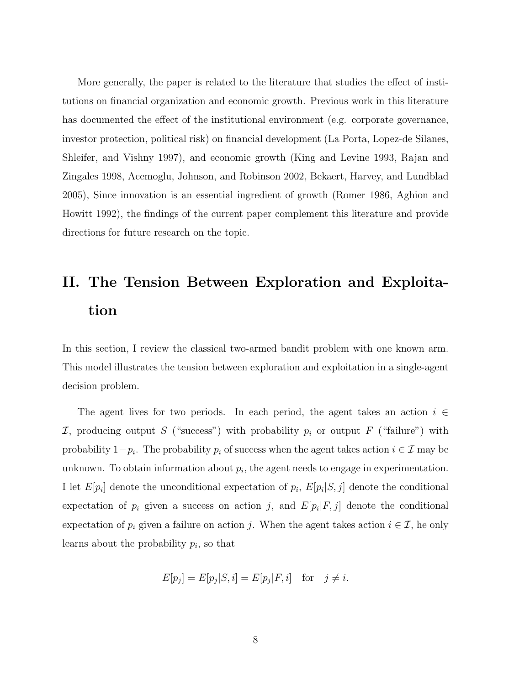More generally, the paper is related to the literature that studies the effect of institutions on financial organization and economic growth. Previous work in this literature has documented the effect of the institutional environment (e.g. corporate governance, investor protection, political risk) on financial development (La Porta, Lopez-de Silanes, Shleifer, and Vishny 1997), and economic growth (King and Levine 1993, Rajan and Zingales 1998, Acemoglu, Johnson, and Robinson 2002, Bekaert, Harvey, and Lundblad 2005), Since innovation is an essential ingredient of growth (Romer 1986, Aghion and Howitt 1992), the findings of the current paper complement this literature and provide directions for future research on the topic.

# II. The Tension Between Exploration and Exploitation

In this section, I review the classical two-armed bandit problem with one known arm. This model illustrates the tension between exploration and exploitation in a single-agent decision problem.

The agent lives for two periods. In each period, the agent takes an action  $i \in$  $\mathcal I$ , producing output  $S$  ("success") with probability  $p_i$  or output  $F$  ("failure") with probability  $1-p_i$ . The probability  $p_i$  of success when the agent takes action  $i \in \mathcal{I}$  may be unknown. To obtain information about  $p_i$ , the agent needs to engage in experimentation. I let  $E[p_i]$  denote the unconditional expectation of  $p_i$ ,  $E[p_i|S, j]$  denote the conditional expectation of  $p_i$  given a success on action j, and  $E[p_i|F, j]$  denote the conditional expectation of  $p_i$  given a failure on action j. When the agent takes action  $i \in \mathcal{I}$ , he only learns about the probability  $p_i$ , so that

$$
E[p_j] = E[p_j|S, i] = E[p_j|F, i] \quad \text{for} \quad j \neq i.
$$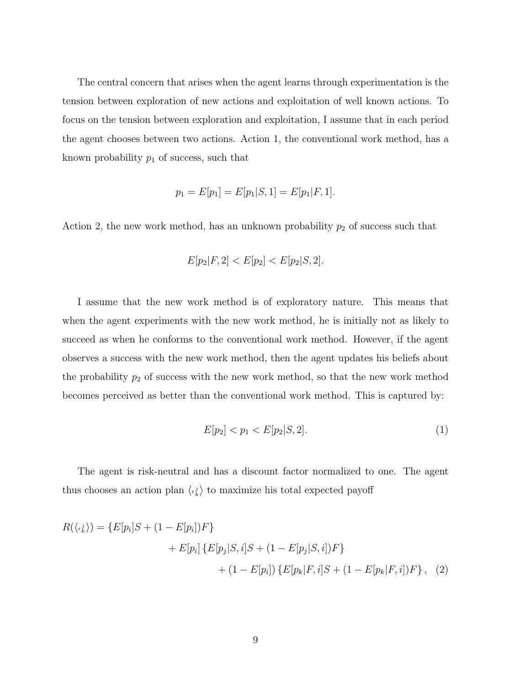The central concern that arises when the agent learns through experimentation is the tension between exploration of new actions and exploitation of well known actions. To focus on the tension between exploration and exploitation, I assume that in each period the agent chooses between two actions. Action 1, the conventional work method, has a known probability  $p_1$  of success, such that

$$
p_1 = E[p_1] = E[p_1|S, 1] = E[p_1|F, 1].
$$

Action 2, the new work method, has an unknown probability  $p_2$  of success such that

$$
E[p_2|F, 2] < E[p_2] < E[p_2|S, 2].
$$

I assume that the new work method is of exploratory nature. This means that when the agent experiments with the new work method, he is initially not as likely to succeed as when he conforms to the conventional work method. However, if the agent observes a success with the new work method, then the agent updates his beliefs about the probability  $p_2$  of success with the new work method, so that the new work method becomes perceived as better than the conventional work method. This is captured by:

$$
E[p_2] < p_1 < E[p_2|S, 2].\tag{1}
$$

The agent is risk-neutral and has a discount factor normalized to one. The agent thus chooses an action plan  $\langle i_k^j \rangle$  to maximize his total expected payoff

$$
R(\langle i_k^j \rangle) = \{ E[p_i]S + (1 - E[p_i])F \}
$$
  
+ 
$$
E[p_i] \{ E[p_j|S, i]S + (1 - E[p_j|S, i])F \}
$$
  
+ 
$$
(1 - E[p_i]) \{ E[p_k|F, i]S + (1 - E[p_k|F, i])F \}, (2)
$$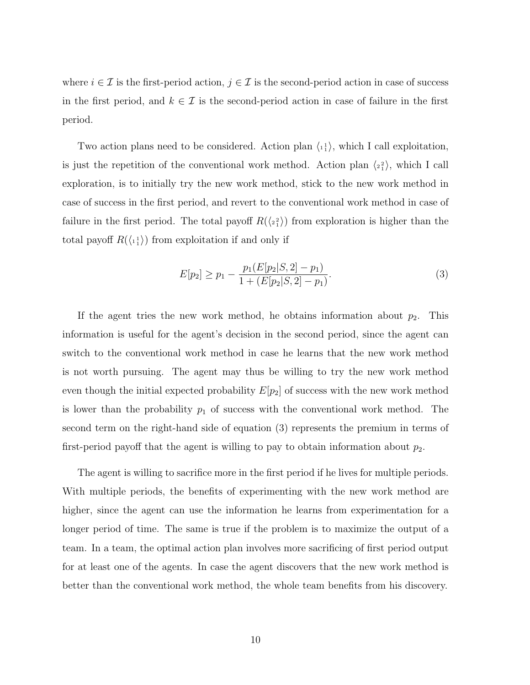where  $i \in \mathcal{I}$  is the first-period action,  $j \in \mathcal{I}$  is the second-period action in case of success in the first period, and  $k \in \mathcal{I}$  is the second-period action in case of failure in the first period.

Two action plans need to be considered. Action plan  $\langle 1_1 \rangle$ , which I call exploitation, is just the repetition of the conventional work method. Action plan  $\langle 2_1^2 \rangle$ , which I call exploration, is to initially try the new work method, stick to the new work method in case of success in the first period, and revert to the conventional work method in case of failure in the first period. The total payoff  $R(\langle 2_1^2 \rangle)$  from exploration is higher than the total payoff  $R(\langle 1 \rangle)$  from exploitation if and only if

$$
E[p_2] \ge p_1 - \frac{p_1(E[p_2|S, 2] - p_1)}{1 + (E[p_2|S, 2] - p_1)}.
$$
\n(3)

If the agent tries the new work method, he obtains information about  $p_2$ . This information is useful for the agent's decision in the second period, since the agent can switch to the conventional work method in case he learns that the new work method is not worth pursuing. The agent may thus be willing to try the new work method even though the initial expected probability  $E[p_2]$  of success with the new work method is lower than the probability  $p_1$  of success with the conventional work method. The second term on the right-hand side of equation (3) represents the premium in terms of first-period payoff that the agent is willing to pay to obtain information about  $p_2$ .

The agent is willing to sacrifice more in the first period if he lives for multiple periods. With multiple periods, the benefits of experimenting with the new work method are higher, since the agent can use the information he learns from experimentation for a longer period of time. The same is true if the problem is to maximize the output of a team. In a team, the optimal action plan involves more sacrificing of first period output for at least one of the agents. In case the agent discovers that the new work method is better than the conventional work method, the whole team benefits from his discovery.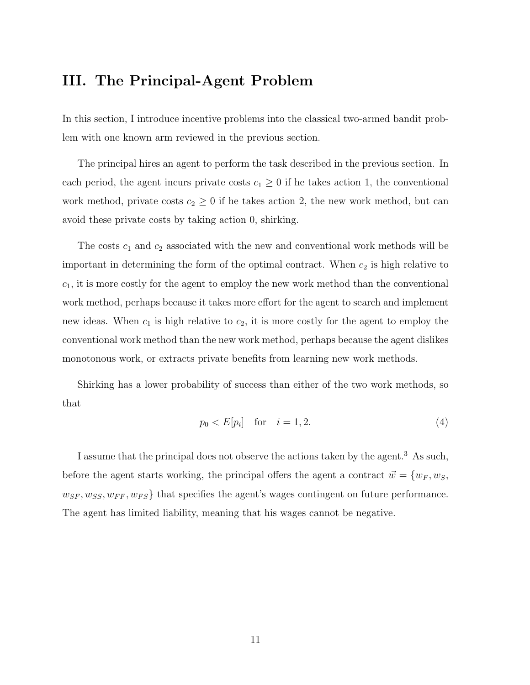## III. The Principal-Agent Problem

In this section, I introduce incentive problems into the classical two-armed bandit problem with one known arm reviewed in the previous section.

The principal hires an agent to perform the task described in the previous section. In each period, the agent incurs private costs  $c_1 \geq 0$  if he takes action 1, the conventional work method, private costs  $c_2 \geq 0$  if he takes action 2, the new work method, but can avoid these private costs by taking action 0, shirking.

The costs  $c_1$  and  $c_2$  associated with the new and conventional work methods will be important in determining the form of the optimal contract. When  $c_2$  is high relative to  $c_1$ , it is more costly for the agent to employ the new work method than the conventional work method, perhaps because it takes more effort for the agent to search and implement new ideas. When  $c_1$  is high relative to  $c_2$ , it is more costly for the agent to employ the conventional work method than the new work method, perhaps because the agent dislikes monotonous work, or extracts private benefits from learning new work methods.

Shirking has a lower probability of success than either of the two work methods, so that

$$
p_0 < E[p_i] \quad \text{for} \quad i = 1, 2. \tag{4}
$$

I assume that the principal does not observe the actions taken by the agent.<sup>3</sup> As such, before the agent starts working, the principal offers the agent a contract  $\vec{w} = \{w_F, w_S,$  $w_{SF}, w_{SS}, w_{FF}, w_{FS}$  that specifies the agent's wages contingent on future performance. The agent has limited liability, meaning that his wages cannot be negative.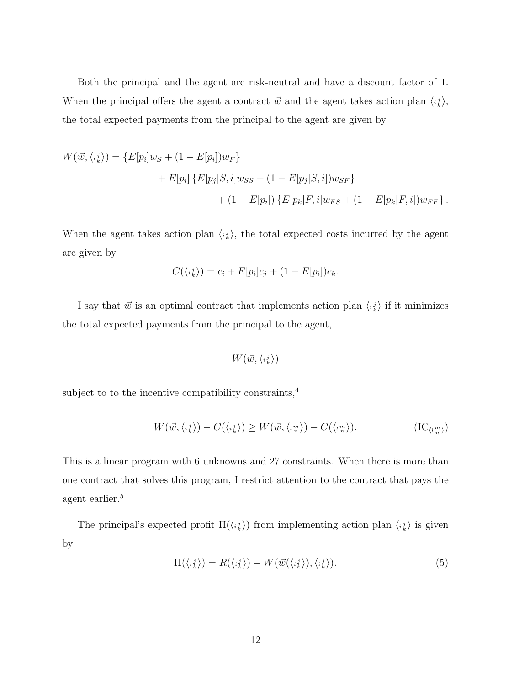Both the principal and the agent are risk-neutral and have a discount factor of 1. When the principal offers the agent a contract  $\vec{w}$  and the agent takes action plan  $\langle i_k^{\dagger} \rangle$ , the total expected payments from the principal to the agent are given by

$$
W(\vec{w}, \langle i_k^j \rangle) = \{ E[p_i]w_S + (1 - E[p_i])w_F \} + E[p_i] \{ E[p_j|S, i]w_{SS} + (1 - E[p_j|S, i])w_{SF} \} + (1 - E[p_i]) \{ E[p_k|F, i]w_{FS} + (1 - E[p_k|F, i])w_{FF} \}.
$$

When the agent takes action plan  $\langle i_k^j \rangle$ , the total expected costs incurred by the agent are given by

$$
C(\langle i_k^j \rangle) = c_i + E[p_i]c_j + (1 - E[p_i])c_k.
$$

I say that  $\vec{w}$  is an optimal contract that implements action plan  $\langle i_k^j \rangle$  if it minimizes the total expected payments from the principal to the agent,

$$
W(\vec{w}, \langle_i^j_k \rangle)
$$

subject to to the incentive compatibility constraints,  $4$ 

$$
W(\vec{w}, \langle i_k^j \rangle) - C(\langle i_k^j \rangle) \ge W(\vec{w}, \langle i_m^m \rangle) - C(\langle i_m^m \rangle). \tag{IC\langle i_m^m \rangle}
$$

This is a linear program with 6 unknowns and 27 constraints. When there is more than one contract that solves this program, I restrict attention to the contract that pays the agent earlier.<sup>5</sup>

The principal's expected profit  $\Pi(\langle i_k^j \rangle)$  from implementing action plan  $\langle i_k^j \rangle$  is given by

$$
\Pi(\langle i_k^j \rangle) = R(\langle i_k^j \rangle) - W(\vec{w}(\langle i_k^j \rangle), \langle i_k^j \rangle). \tag{5}
$$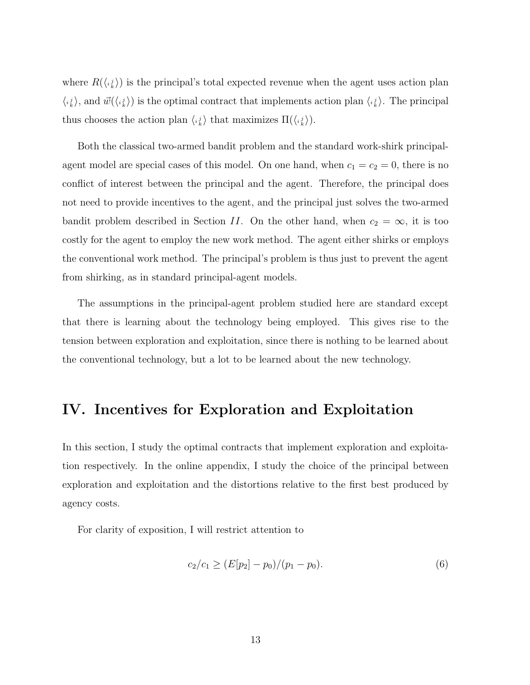where  $R(\langle i_k^j \rangle)$  is the principal's total expected revenue when the agent uses action plan  $\langle i_k^j \rangle$ , and  $\vec{w}(\langle i_k^j \rangle)$  is the optimal contract that implements action plan  $\langle i_k^j \rangle$ . The principal thus chooses the action plan  $\langle i_k^j \rangle$  that maximizes  $\Pi(\langle i_k^j \rangle)$ .

Both the classical two-armed bandit problem and the standard work-shirk principalagent model are special cases of this model. On one hand, when  $c_1 = c_2 = 0$ , there is no conflict of interest between the principal and the agent. Therefore, the principal does not need to provide incentives to the agent, and the principal just solves the two-armed bandit problem described in Section II. On the other hand, when  $c_2 = \infty$ , it is too costly for the agent to employ the new work method. The agent either shirks or employs the conventional work method. The principal's problem is thus just to prevent the agent from shirking, as in standard principal-agent models.

The assumptions in the principal-agent problem studied here are standard except that there is learning about the technology being employed. This gives rise to the tension between exploration and exploitation, since there is nothing to be learned about the conventional technology, but a lot to be learned about the new technology.

## IV. Incentives for Exploration and Exploitation

In this section, I study the optimal contracts that implement exploration and exploitation respectively. In the online appendix, I study the choice of the principal between exploration and exploitation and the distortions relative to the first best produced by agency costs.

For clarity of exposition, I will restrict attention to

$$
c_2/c_1 \ge (E[p_2] - p_0)/(p_1 - p_0). \tag{6}
$$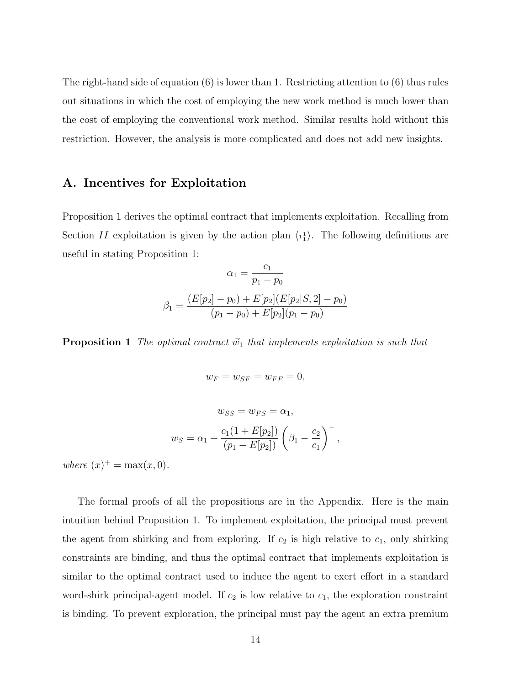The right-hand side of equation (6) is lower than 1. Restricting attention to (6) thus rules out situations in which the cost of employing the new work method is much lower than the cost of employing the conventional work method. Similar results hold without this restriction. However, the analysis is more complicated and does not add new insights.

#### A. Incentives for Exploitation

Proposition 1 derives the optimal contract that implements exploitation. Recalling from Section II exploitation is given by the action plan  $\langle 1_1 \rangle$ . The following definitions are useful in stating Proposition 1:

$$
\alpha_1 = \frac{c_1}{p_1 - p_0}
$$

$$
\beta_1 = \frac{(E[p_2] - p_0) + E[p_2](E[p_2|S, 2] - p_0)}{(p_1 - p_0) + E[p_2](p_1 - p_0)}
$$

**Proposition 1** *The optimal contract*  $\vec{w}_1$  *that implements exploitation is such that* 

$$
w_F = w_{SF} = w_{FF} = 0,
$$

$$
w_{SS} = w_{FS} = \alpha_1,
$$
  

$$
w_S = \alpha_1 + \frac{c_1(1 + E[p_2])}{(p_1 - E[p_2])} \left(\beta_1 - \frac{c_2}{c_1}\right)^+,
$$

*where*  $(x)^{+} = \max(x, 0)$ *.* 

The formal proofs of all the propositions are in the Appendix. Here is the main intuition behind Proposition 1. To implement exploitation, the principal must prevent the agent from shirking and from exploring. If  $c_2$  is high relative to  $c_1$ , only shirking constraints are binding, and thus the optimal contract that implements exploitation is similar to the optimal contract used to induce the agent to exert effort in a standard word-shirk principal-agent model. If  $c_2$  is low relative to  $c_1$ , the exploration constraint is binding. To prevent exploration, the principal must pay the agent an extra premium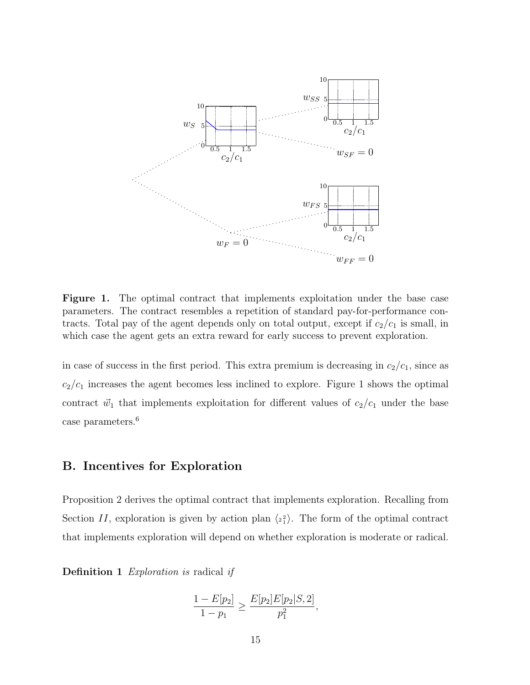

Figure 1. The optimal contract that implements exploitation under the base case parameters. The contract resembles a repetition of standard pay-for-performance contracts. Total pay of the agent depends only on total output, except if  $c_2/c_1$  is small, in which case the agent gets an extra reward for early success to prevent exploration.

in case of success in the first period. This extra premium is decreasing in  $c_2/c_1$ , since as  $c_2/c_1$  increases the agent becomes less inclined to explore. Figure 1 shows the optimal contract  $\vec{w}_1$  that implements exploitation for different values of  $c_2/c_1$  under the base case parameters.<sup>6</sup>

#### B. Incentives for Exploration

Proposition 2 derives the optimal contract that implements exploration. Recalling from Section II, exploration is given by action plan  $\langle a_1^2 \rangle$ . The form of the optimal contract that implements exploration will depend on whether exploration is moderate or radical.

Definition 1 *Exploration is* radical *if*

$$
\frac{1 - E[p_2]}{1 - p_1} \ge \frac{E[p_2]E[p_2|S, 2]}{p_1^2},
$$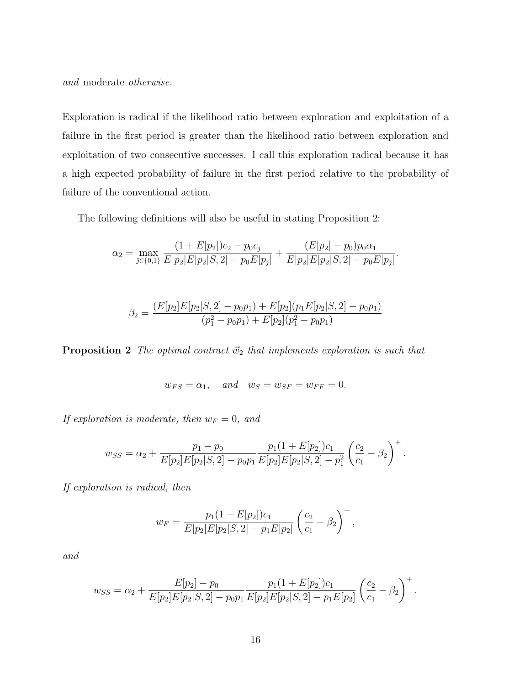*and* moderate *otherwise.*

Exploration is radical if the likelihood ratio between exploration and exploitation of a failure in the first period is greater than the likelihood ratio between exploration and exploitation of two consecutive successes. I call this exploration radical because it has a high expected probability of failure in the first period relative to the probability of failure of the conventional action.

The following definitions will also be useful in stating Proposition 2:

$$
\alpha_2 = \max_{\tilde{j} \in \{0,1\}} \frac{(1 + E[p_2])c_2 - p_0c_{\tilde{j}}}{E[p_2]E[p_2|S,2] - p_0E[p_{\tilde{j}}]} + \frac{(E[p_2] - p_0)p_0\alpha_1}{E[p_2]E[p_2|S,2] - p_0E[p_{\tilde{j}}]}.
$$

$$
\beta_2 = \frac{(E[p_2]E[p_2|S,2] - p_0p_1) + E[p_2](p_1E[p_2|S,2] - p_0p_1)}{(p_1^2 - p_0p_1) + E[p_2](p_1^2 - p_0p_1)}
$$

**Proposition 2** *The optimal contract*  $\vec{w}_2$  *that implements exploration is such that* 

$$
w_{FS} = \alpha_1, \quad and \quad w_S = w_{SF} = w_{FF} = 0.
$$

*If exploration is moderate, then*  $w_F = 0$ *, and* 

$$
w_{SS} = \alpha_2 + \frac{p_1 - p_0}{E[p_2]E[p_2|S, 2] - p_0 p_1} \frac{p_1(1 + E[p_2])c_1}{E[p_2]E[p_2|S, 2] - p_1^2} \left(\frac{c_2}{c_1} - \beta_2\right)^+.
$$

*If exploration is radical, then*

$$
w_F = \frac{p_1(1 + E[p_2])c_1}{E[p_2]E[p_2|S, 2] - p_1E[p_2]} \left(\frac{c_2}{c_1} - \beta_2\right)^+,
$$

*and*

$$
w_{SS} = \alpha_2 + \frac{E[p_2] - p_0}{E[p_2]E[p_2|S, 2] - p_0 p_1} \frac{p_1(1 + E[p_2])c_1}{E[p_2]E[p_2|S, 2] - p_1 E[p_2]} \left(\frac{c_2}{c_1} - \beta_2\right)^+.
$$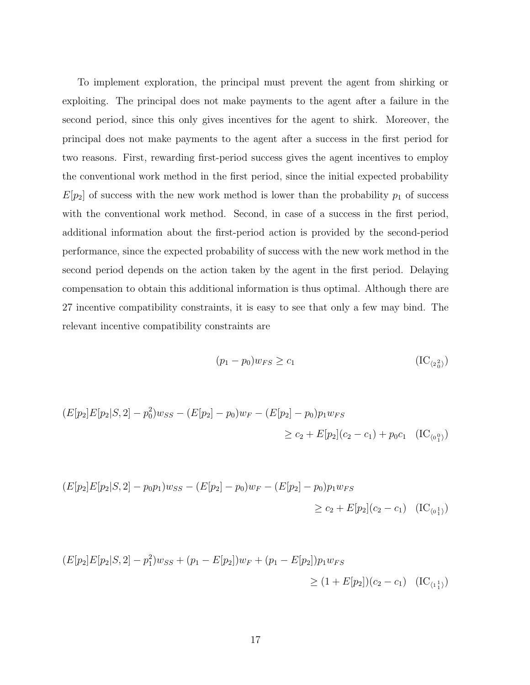To implement exploration, the principal must prevent the agent from shirking or exploiting. The principal does not make payments to the agent after a failure in the second period, since this only gives incentives for the agent to shirk. Moreover, the principal does not make payments to the agent after a success in the first period for two reasons. First, rewarding first-period success gives the agent incentives to employ the conventional work method in the first period, since the initial expected probability  $E[p_2]$  of success with the new work method is lower than the probability  $p_1$  of success with the conventional work method. Second, in case of a success in the first period, additional information about the first-period action is provided by the second-period performance, since the expected probability of success with the new work method in the second period depends on the action taken by the agent in the first period. Delaying compensation to obtain this additional information is thus optimal. Although there are 27 incentive compatibility constraints, it is easy to see that only a few may bind. The relevant incentive compatibility constraints are

$$
(p_1 - p_0)w_{FS} \ge c_1 \tag{IC}_{\langle 2^2_0 \rangle}
$$

$$
(E[p_2]E[p_2|S,2]-p_0^2)w_{SS} - (E[p_2]-p_0)w_F - (E[p_2]-p_0)p_1w_{FS}
$$
  
\n
$$
\geq c_2 + E[p_2](c_2-c_1) + p_0c_1 \quad (\mathrm{IC}_{\langle o_1^0 \rangle})
$$

$$
(E[p_2]E[p_2|S,2] - p_0p_1)w_{SS} - (E[p_2] - p_0)w_F - (E[p_2] - p_0)p_1w_{FS}
$$
  
\n
$$
\ge c_2 + E[p_2](c_2 - c_1) \quad (\text{IC}_{\langle 0_1^1 \rangle})
$$

$$
(E[p_2]E[p_2|S,2] - p_1^2)w_{SS} + (p_1 - E[p_2])w_F + (p_1 - E[p_2])p_1w_{FS}
$$
  
\n
$$
\geq (1 + E[p_2])(c_2 - c_1) \quad (\text{IC}_{\langle 1_1^1 \rangle})
$$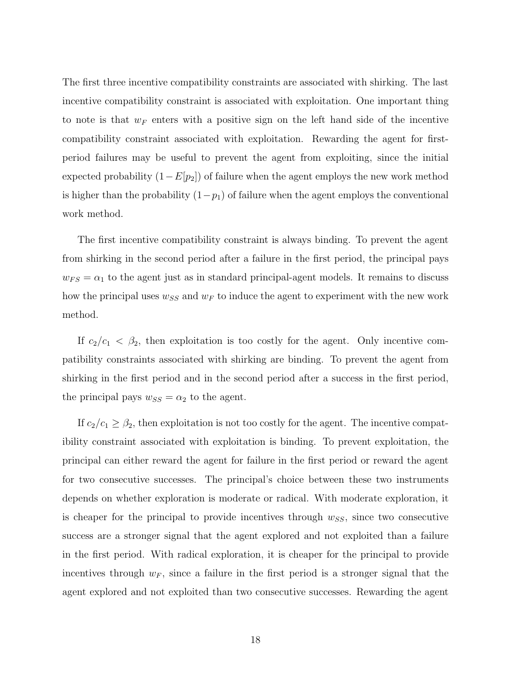The first three incentive compatibility constraints are associated with shirking. The last incentive compatibility constraint is associated with exploitation. One important thing to note is that  $w_F$  enters with a positive sign on the left hand side of the incentive compatibility constraint associated with exploitation. Rewarding the agent for firstperiod failures may be useful to prevent the agent from exploiting, since the initial expected probability  $(1-E[p_2])$  of failure when the agent employs the new work method is higher than the probability  $(1-p_1)$  of failure when the agent employs the conventional work method.

The first incentive compatibility constraint is always binding. To prevent the agent from shirking in the second period after a failure in the first period, the principal pays  $w_{FS} = \alpha_1$  to the agent just as in standard principal-agent models. It remains to discuss how the principal uses  $w_{SS}$  and  $w_F$  to induce the agent to experiment with the new work method.

If  $c_2/c_1 < \beta_2$ , then exploitation is too costly for the agent. Only incentive compatibility constraints associated with shirking are binding. To prevent the agent from shirking in the first period and in the second period after a success in the first period, the principal pays  $w_{SS} = \alpha_2$  to the agent.

If  $c_2/c_1 \geq \beta_2$ , then exploitation is not too costly for the agent. The incentive compatibility constraint associated with exploitation is binding. To prevent exploitation, the principal can either reward the agent for failure in the first period or reward the agent for two consecutive successes. The principal's choice between these two instruments depends on whether exploration is moderate or radical. With moderate exploration, it is cheaper for the principal to provide incentives through  $w_{SS}$ , since two consecutive success are a stronger signal that the agent explored and not exploited than a failure in the first period. With radical exploration, it is cheaper for the principal to provide incentives through  $w_F$ , since a failure in the first period is a stronger signal that the agent explored and not exploited than two consecutive successes. Rewarding the agent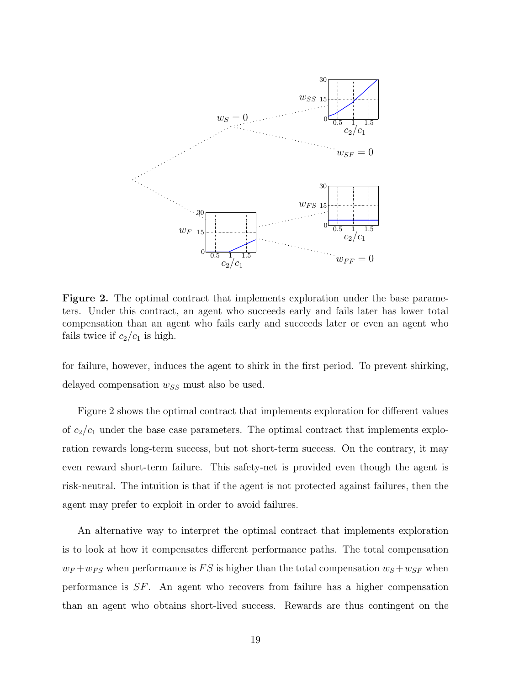

Figure 2. The optimal contract that implements exploration under the base parameters. Under this contract, an agent who succeeds early and fails later has lower total compensation than an agent who fails early and succeeds later or even an agent who fails twice if  $c_2/c_1$  is high.

for failure, however, induces the agent to shirk in the first period. To prevent shirking, delayed compensation  $w_{SS}$  must also be used.

Figure 2 shows the optimal contract that implements exploration for different values of  $c_2/c_1$  under the base case parameters. The optimal contract that implements exploration rewards long-term success, but not short-term success. On the contrary, it may even reward short-term failure. This safety-net is provided even though the agent is risk-neutral. The intuition is that if the agent is not protected against failures, then the agent may prefer to exploit in order to avoid failures.

An alternative way to interpret the optimal contract that implements exploration is to look at how it compensates different performance paths. The total compensation  $w_F + w_{FS}$  when performance is FS is higher than the total compensation  $w_S + w_{SF}$  when performance is SF. An agent who recovers from failure has a higher compensation than an agent who obtains short-lived success. Rewards are thus contingent on the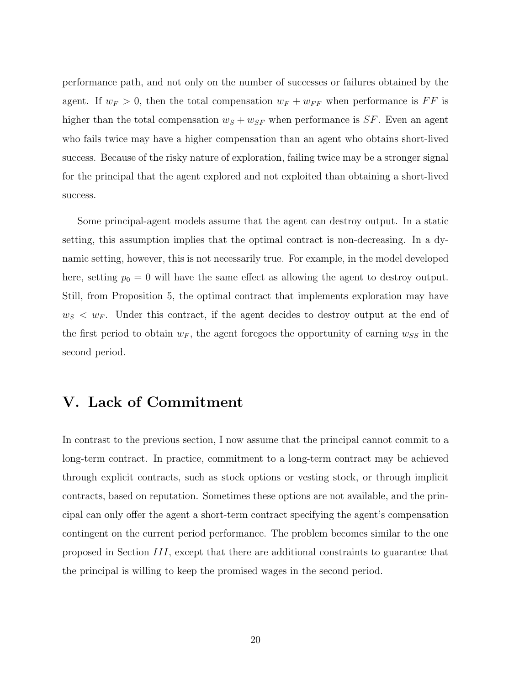performance path, and not only on the number of successes or failures obtained by the agent. If  $w_F > 0$ , then the total compensation  $w_F + w_{FF}$  when performance is FF is higher than the total compensation  $w_S + w_{SF}$  when performance is SF. Even an agent who fails twice may have a higher compensation than an agent who obtains short-lived success. Because of the risky nature of exploration, failing twice may be a stronger signal for the principal that the agent explored and not exploited than obtaining a short-lived success.

Some principal-agent models assume that the agent can destroy output. In a static setting, this assumption implies that the optimal contract is non-decreasing. In a dynamic setting, however, this is not necessarily true. For example, in the model developed here, setting  $p_0 = 0$  will have the same effect as allowing the agent to destroy output. Still, from Proposition 5, the optimal contract that implements exploration may have  $w_S < w_F$ . Under this contract, if the agent decides to destroy output at the end of the first period to obtain  $w_F$ , the agent foregoes the opportunity of earning  $w_{SS}$  in the second period.

## V. Lack of Commitment

In contrast to the previous section, I now assume that the principal cannot commit to a long-term contract. In practice, commitment to a long-term contract may be achieved through explicit contracts, such as stock options or vesting stock, or through implicit contracts, based on reputation. Sometimes these options are not available, and the principal can only offer the agent a short-term contract specifying the agent's compensation contingent on the current period performance. The problem becomes similar to the one proposed in Section III, except that there are additional constraints to guarantee that the principal is willing to keep the promised wages in the second period.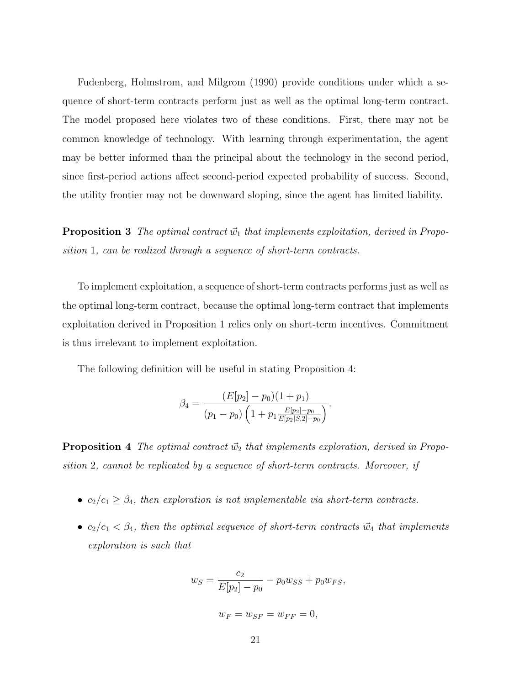Fudenberg, Holmstrom, and Milgrom (1990) provide conditions under which a sequence of short-term contracts perform just as well as the optimal long-term contract. The model proposed here violates two of these conditions. First, there may not be common knowledge of technology. With learning through experimentation, the agent may be better informed than the principal about the technology in the second period, since first-period actions affect second-period expected probability of success. Second, the utility frontier may not be downward sloping, since the agent has limited liability.

**Proposition 3** The optimal contract  $\vec{w}_1$  that implements exploitation, derived in Propo*sition* 1*, can be realized through a sequence of short-term contracts.*

To implement exploitation, a sequence of short-term contracts performs just as well as the optimal long-term contract, because the optimal long-term contract that implements exploitation derived in Proposition 1 relies only on short-term incentives. Commitment is thus irrelevant to implement exploitation.

The following definition will be useful in stating Proposition 4:

$$
\beta_4 = \frac{(E[p_2] - p_0)(1 + p_1)}{(p_1 - p_0) \left(1 + p_1 \frac{E[p_2] - p_0}{E[p_2|S,2] - p_0}\right)}.
$$

**Proposition 4** The optimal contract  $\vec{w}_2$  that implements exploration, derived in Propo*sition* 2*, cannot be replicated by a sequence of short-term contracts. Moreover, if*

- $c_2/c_1 \geq \beta_4$ , then exploration is not implementable via short-term contracts.
- $c_2/c_1 < \beta_4$ , then the optimal sequence of short-term contracts  $\vec{w}_4$  that implements *exploration is such that*

$$
w_S = \frac{c_2}{E[p_2] - p_0} - p_0 w_{SS} + p_0 w_{FS},
$$
  

$$
w_F = w_{SF} = w_{FF} = 0,
$$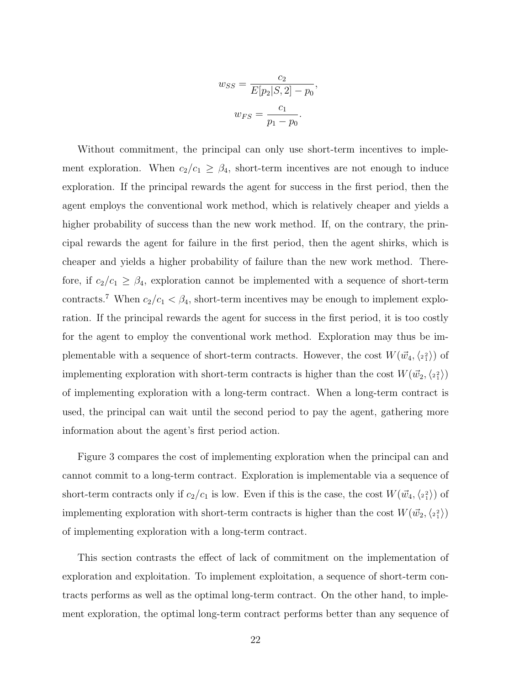$$
w_{SS} = \frac{c_2}{E[p_2|S, 2] - p_0},
$$

$$
w_{FS} = \frac{c_1}{p_1 - p_0}.
$$

Without commitment, the principal can only use short-term incentives to implement exploration. When  $c_2/c_1 \geq \beta_4$ , short-term incentives are not enough to induce exploration. If the principal rewards the agent for success in the first period, then the agent employs the conventional work method, which is relatively cheaper and yields a higher probability of success than the new work method. If, on the contrary, the principal rewards the agent for failure in the first period, then the agent shirks, which is cheaper and yields a higher probability of failure than the new work method. Therefore, if  $c_2/c_1 \geq \beta_4$ , exploration cannot be implemented with a sequence of short-term contracts.<sup>7</sup> When  $c_2/c_1 < \beta_4$ , short-term incentives may be enough to implement exploration. If the principal rewards the agent for success in the first period, it is too costly for the agent to employ the conventional work method. Exploration may thus be implementable with a sequence of short-term contracts. However, the cost  $W(\vec{w}_4,\langle_2^2\rangle)$  of implementing exploration with short-term contracts is higher than the cost  $W(\vec{w}_2,\langle \frac{2}{2}\rangle)$ of implementing exploration with a long-term contract. When a long-term contract is used, the principal can wait until the second period to pay the agent, gathering more information about the agent's first period action.

Figure 3 compares the cost of implementing exploration when the principal can and cannot commit to a long-term contract. Exploration is implementable via a sequence of short-term contracts only if  $c_2/c_1$  is low. Even if this is the case, the cost  $W(\vec{w}_4,\langle_2^2\rangle)$  of implementing exploration with short-term contracts is higher than the cost  $W(\vec{w}_2,\langle_2^2\rangle)$ of implementing exploration with a long-term contract.

This section contrasts the effect of lack of commitment on the implementation of exploration and exploitation. To implement exploitation, a sequence of short-term contracts performs as well as the optimal long-term contract. On the other hand, to implement exploration, the optimal long-term contract performs better than any sequence of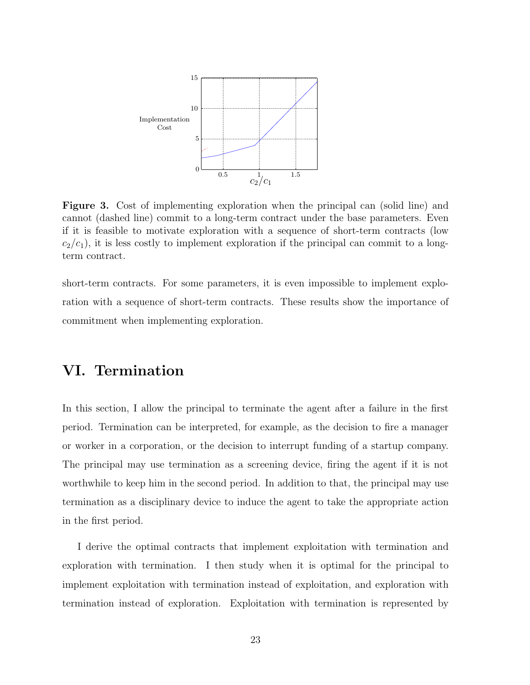

Figure 3. Cost of implementing exploration when the principal can (solid line) and cannot (dashed line) commit to a long-term contract under the base parameters. Even if it is feasible to motivate exploration with a sequence of short-term contracts (low  $c_2/c_1$ , it is less costly to implement exploration if the principal can commit to a longterm contract.

short-term contracts. For some parameters, it is even impossible to implement exploration with a sequence of short-term contracts. These results show the importance of commitment when implementing exploration.

## VI. Termination

In this section, I allow the principal to terminate the agent after a failure in the first period. Termination can be interpreted, for example, as the decision to fire a manager or worker in a corporation, or the decision to interrupt funding of a startup company. The principal may use termination as a screening device, firing the agent if it is not worthwhile to keep him in the second period. In addition to that, the principal may use termination as a disciplinary device to induce the agent to take the appropriate action in the first period.

I derive the optimal contracts that implement exploitation with termination and exploration with termination. I then study when it is optimal for the principal to implement exploitation with termination instead of exploitation, and exploration with termination instead of exploration. Exploitation with termination is represented by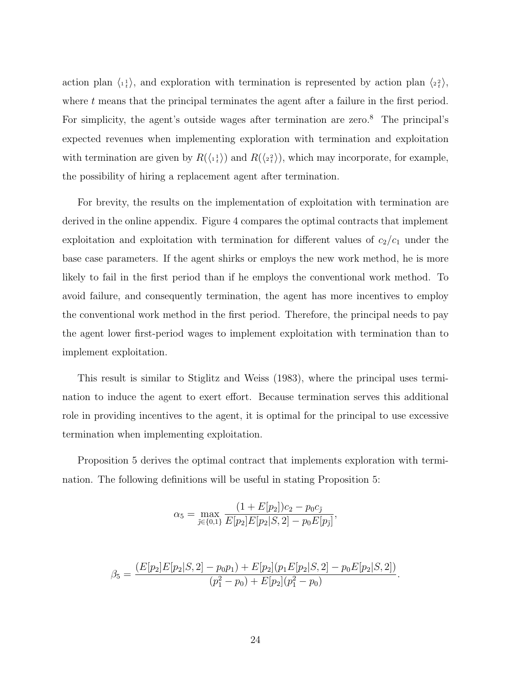action plan  $\langle \varphi_i^1 \rangle$ , and exploration with termination is represented by action plan  $\langle \varphi_i^2 \rangle$ , where t means that the principal terminates the agent after a failure in the first period. For simplicity, the agent's outside wages after termination are zero.<sup>8</sup> The principal's expected revenues when implementing exploration with termination and exploitation with termination are given by  $R(\langle 1_i^1 \rangle)$  and  $R(\langle 2_i^2 \rangle)$ , which may incorporate, for example, the possibility of hiring a replacement agent after termination.

For brevity, the results on the implementation of exploitation with termination are derived in the online appendix. Figure 4 compares the optimal contracts that implement exploitation and exploitation with termination for different values of  $c_2/c_1$  under the base case parameters. If the agent shirks or employs the new work method, he is more likely to fail in the first period than if he employs the conventional work method. To avoid failure, and consequently termination, the agent has more incentives to employ the conventional work method in the first period. Therefore, the principal needs to pay the agent lower first-period wages to implement exploitation with termination than to implement exploitation.

This result is similar to Stiglitz and Weiss (1983), where the principal uses termination to induce the agent to exert effort. Because termination serves this additional role in providing incentives to the agent, it is optimal for the principal to use excessive termination when implementing exploitation.

Proposition 5 derives the optimal contract that implements exploration with termination. The following definitions will be useful in stating Proposition 5:

$$
\alpha_5 = \max_{\tilde{j} \in \{0,1\}} \frac{(1 + E[p_2])c_2 - p_0 c_{\tilde{j}}}{E[p_2]E[p_2|S, 2] - p_0 E[p_{\tilde{j}}]},
$$

$$
\beta_5 = \frac{(E[p_2]E[p_2|S,2] - p_0p_1) + E[p_2](p_1E[p_2|S,2] - p_0E[p_2|S,2])}{(p_1^2 - p_0) + E[p_2](p_1^2 - p_0)}.
$$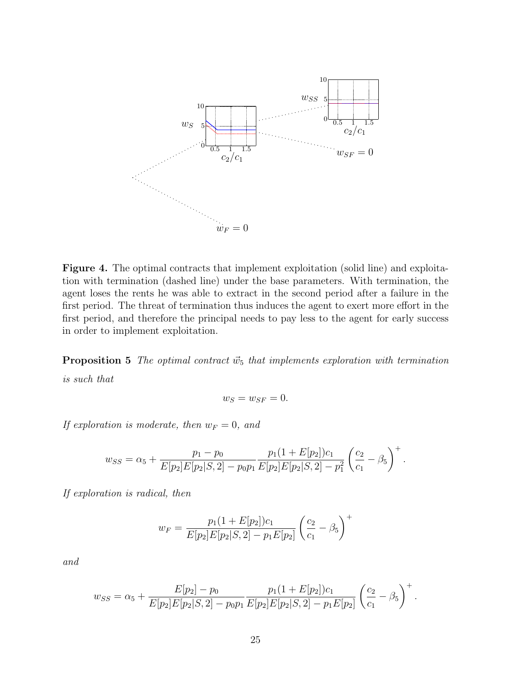

Figure 4. The optimal contracts that implement exploitation (solid line) and exploitation with termination (dashed line) under the base parameters. With termination, the agent loses the rents he was able to extract in the second period after a failure in the first period. The threat of termination thus induces the agent to exert more effort in the first period, and therefore the principal needs to pay less to the agent for early success in order to implement exploitation.

**Proposition 5** *The optimal contract*  $\vec{w}_5$  *that implements exploration with termination is such that*

$$
w_S = w_{SF} = 0.
$$

*If exploration is moderate, then*  $w_F = 0$ *, and* 

$$
w_{SS} = \alpha_5 + \frac{p_1 - p_0}{E[p_2]E[p_2|S, 2] - p_0 p_1} \frac{p_1(1 + E[p_2])c_1}{E[p_2]E[p_2|S, 2] - p_1^2} \left(\frac{c_2}{c_1} - \beta_5\right)^+.
$$

*If exploration is radical, then*

$$
w_F = \frac{p_1(1 + E[p_2])c_1}{E[p_2]E[p_2|S, 2] - p_1E[p_2]} \left(\frac{c_2}{c_1} - \beta_5\right)^+
$$

*and*

$$
w_{SS} = \alpha_5 + \frac{E[p_2] - p_0}{E[p_2]E[p_2|S, 2] - p_0 p_1} \frac{p_1(1 + E[p_2])c_1}{E[p_2]E[p_2|S, 2] - p_1 E[p_2]} \left(\frac{c_2}{c_1} - \beta_5\right)^+.
$$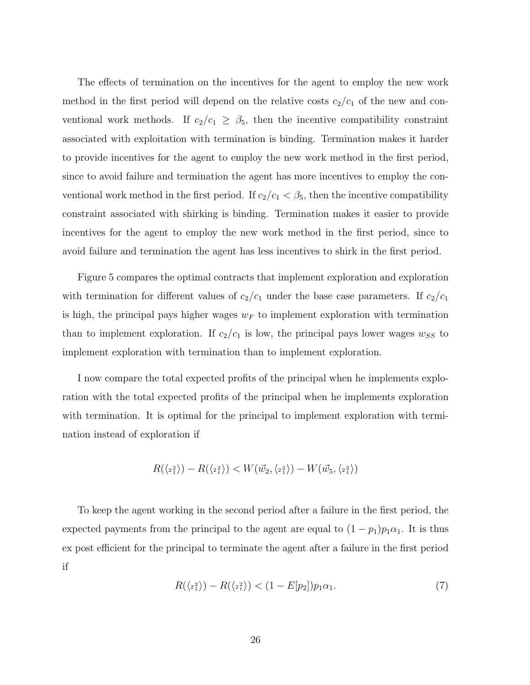The effects of termination on the incentives for the agent to employ the new work method in the first period will depend on the relative costs  $c_2/c_1$  of the new and conventional work methods. If  $c_2/c_1 \geq \beta_5$ , then the incentive compatibility constraint associated with exploitation with termination is binding. Termination makes it harder to provide incentives for the agent to employ the new work method in the first period, since to avoid failure and termination the agent has more incentives to employ the conventional work method in the first period. If  $c_2/c_1 < \beta_5$ , then the incentive compatibility constraint associated with shirking is binding. Termination makes it easier to provide incentives for the agent to employ the new work method in the first period, since to avoid failure and termination the agent has less incentives to shirk in the first period.

Figure 5 compares the optimal contracts that implement exploration and exploration with termination for different values of  $c_2/c_1$  under the base case parameters. If  $c_2/c_1$ is high, the principal pays higher wages  $w_F$  to implement exploration with termination than to implement exploration. If  $c_2/c_1$  is low, the principal pays lower wages  $w_{SS}$  to implement exploration with termination than to implement exploration.

I now compare the total expected profits of the principal when he implements exploration with the total expected profits of the principal when he implements exploration with termination. It is optimal for the principal to implement exploration with termination instead of exploration if

$$
R(\langle \mathbf{2}_1^2 \rangle) - R(\langle \mathbf{2}_t^2 \rangle) < W(\vec{w}_2, \langle \mathbf{2}_1^2 \rangle) - W(\vec{w}_5, \langle \mathbf{2}_t^2 \rangle)
$$

To keep the agent working in the second period after a failure in the first period, the expected payments from the principal to the agent are equal to  $(1 - p_1)p_1\alpha_1$ . It is thus ex post efficient for the principal to terminate the agent after a failure in the first period if

$$
R(\langle z_1^2 \rangle) - R(\langle z_1^2 \rangle) < (1 - E[p_2])p_1 \alpha_1. \tag{7}
$$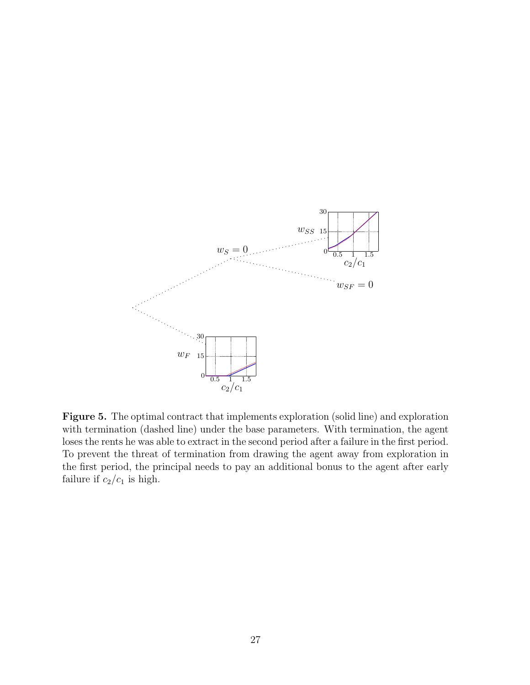

Figure 5. The optimal contract that implements exploration (solid line) and exploration with termination (dashed line) under the base parameters. With termination, the agent loses the rents he was able to extract in the second period after a failure in the first period. To prevent the threat of termination from drawing the agent away from exploration in the first period, the principal needs to pay an additional bonus to the agent after early failure if  $c_2/c_1$  is high.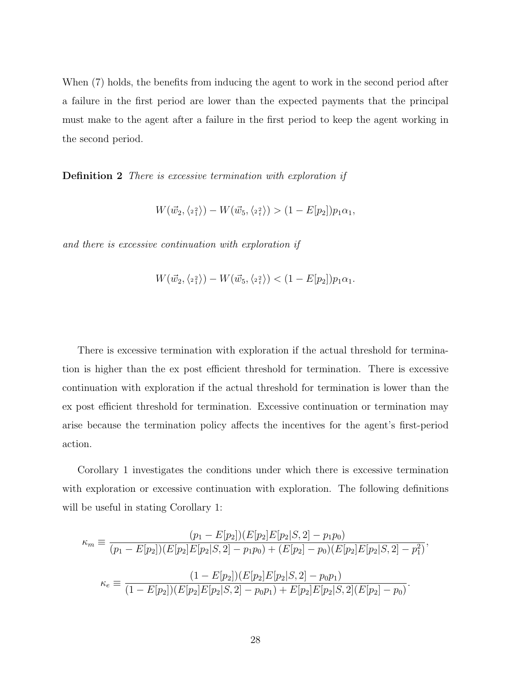When (7) holds, the benefits from inducing the agent to work in the second period after a failure in the first period are lower than the expected payments that the principal must make to the agent after a failure in the first period to keep the agent working in the second period.

Definition 2 *There is excessive termination with exploration if*

$$
W(\vec{w}_2, \langle z_1^2 \rangle) - W(\vec{w}_5, \langle z_1^2 \rangle) > (1 - E[p_2])p_1\alpha_1,
$$

*and there is excessive continuation with exploration if*

$$
W(\vec{w}_2, \langle z_1^2 \rangle) - W(\vec{w}_5, \langle z_1^2 \rangle) < (1 - E[p_2])p_1 \alpha_1.
$$

There is excessive termination with exploration if the actual threshold for termination is higher than the ex post efficient threshold for termination. There is excessive continuation with exploration if the actual threshold for termination is lower than the ex post efficient threshold for termination. Excessive continuation or termination may arise because the termination policy affects the incentives for the agent's first-period action.

Corollary 1 investigates the conditions under which there is excessive termination with exploration or excessive continuation with exploration. The following definitions will be useful in stating Corollary 1:

$$
\kappa_m \equiv \frac{(p_1 - E[p_2])(E[p_2]E[p_2|S, 2] - p_1p_0)}{(p_1 - E[p_2])(E[p_2]E[p_2|S, 2] - p_1p_0) + (E[p_2] - p_0)(E[p_2]E[p_2|S, 2] - p_1^2)},
$$

$$
\kappa_e \equiv \frac{(1 - E[p_2])(E[p_2]E[p_2|S, 2] - p_0p_1)}{(1 - E[p_2])(E[p_2]E[p_2|S, 2] - p_0p_1) + E[p_2]E[p_2|S, 2](E[p_2] - p_0)}.
$$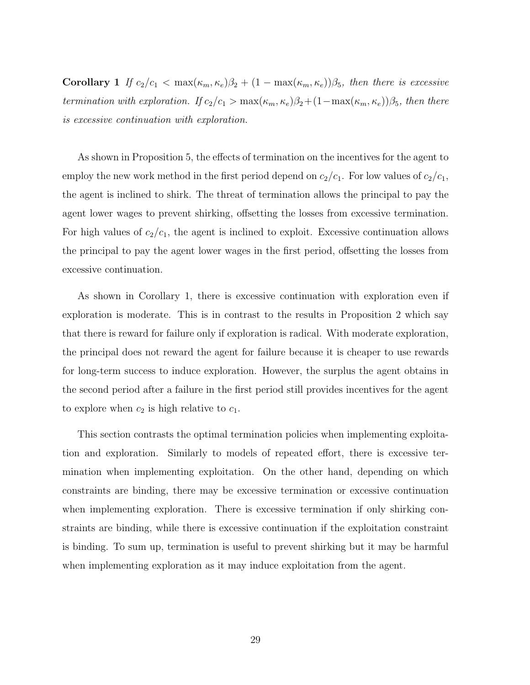Corollary 1 *If*  $c_2/c_1 < \max(\kappa_m, \kappa_e)\beta_2 + (1 - \max(\kappa_m, \kappa_e))\beta_5$ , then there is excessive *termination with exploration.* If  $c_2/c_1 > \max(\kappa_m, \kappa_e)\beta_2 + (1 - \max(\kappa_m, \kappa_e))\beta_5$ , then there *is excessive continuation with exploration.*

As shown in Proposition 5, the effects of termination on the incentives for the agent to employ the new work method in the first period depend on  $c_2/c_1$ . For low values of  $c_2/c_1$ , the agent is inclined to shirk. The threat of termination allows the principal to pay the agent lower wages to prevent shirking, offsetting the losses from excessive termination. For high values of  $c_2/c_1$ , the agent is inclined to exploit. Excessive continuation allows the principal to pay the agent lower wages in the first period, offsetting the losses from excessive continuation.

As shown in Corollary 1, there is excessive continuation with exploration even if exploration is moderate. This is in contrast to the results in Proposition 2 which say that there is reward for failure only if exploration is radical. With moderate exploration, the principal does not reward the agent for failure because it is cheaper to use rewards for long-term success to induce exploration. However, the surplus the agent obtains in the second period after a failure in the first period still provides incentives for the agent to explore when  $c_2$  is high relative to  $c_1$ .

This section contrasts the optimal termination policies when implementing exploitation and exploration. Similarly to models of repeated effort, there is excessive termination when implementing exploitation. On the other hand, depending on which constraints are binding, there may be excessive termination or excessive continuation when implementing exploration. There is excessive termination if only shirking constraints are binding, while there is excessive continuation if the exploitation constraint is binding. To sum up, termination is useful to prevent shirking but it may be harmful when implementing exploration as it may induce exploitation from the agent.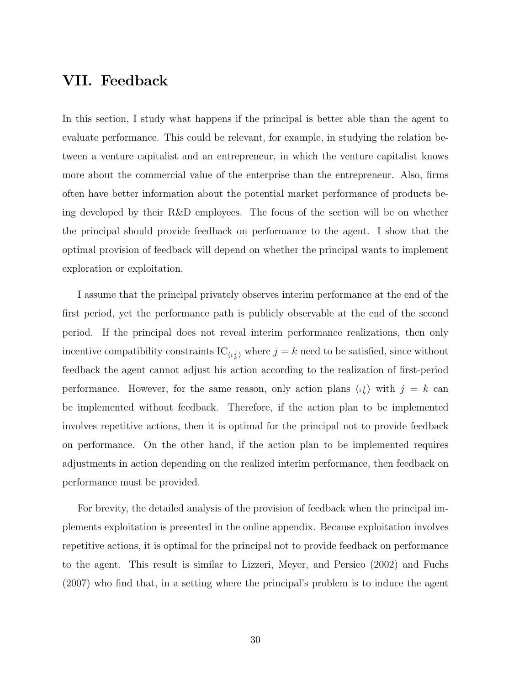### VII. Feedback

In this section, I study what happens if the principal is better able than the agent to evaluate performance. This could be relevant, for example, in studying the relation between a venture capitalist and an entrepreneur, in which the venture capitalist knows more about the commercial value of the enterprise than the entrepreneur. Also, firms often have better information about the potential market performance of products being developed by their R&D employees. The focus of the section will be on whether the principal should provide feedback on performance to the agent. I show that the optimal provision of feedback will depend on whether the principal wants to implement exploration or exploitation.

I assume that the principal privately observes interim performance at the end of the first period, yet the performance path is publicly observable at the end of the second period. If the principal does not reveal interim performance realizations, then only incentive compatibility constraints  $\mathrm{IC}_{\langle i_k^j\rangle}$  where  $j=k$  need to be satisfied, since without feedback the agent cannot adjust his action according to the realization of first-period performance. However, for the same reason, only action plans  $\langle i_k^j \rangle$  with  $j = k$  can be implemented without feedback. Therefore, if the action plan to be implemented involves repetitive actions, then it is optimal for the principal not to provide feedback on performance. On the other hand, if the action plan to be implemented requires adjustments in action depending on the realized interim performance, then feedback on performance must be provided.

For brevity, the detailed analysis of the provision of feedback when the principal implements exploitation is presented in the online appendix. Because exploitation involves repetitive actions, it is optimal for the principal not to provide feedback on performance to the agent. This result is similar to Lizzeri, Meyer, and Persico (2002) and Fuchs (2007) who find that, in a setting where the principal's problem is to induce the agent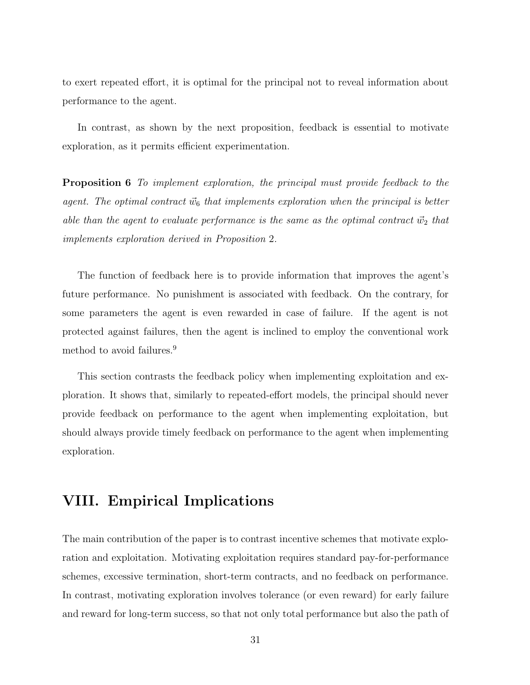to exert repeated effort, it is optimal for the principal not to reveal information about performance to the agent.

In contrast, as shown by the next proposition, feedback is essential to motivate exploration, as it permits efficient experimentation.

Proposition 6 *To implement exploration, the principal must provide feedback to the agent. The optimal contract*  $\vec{w}_6$  *that implements exploration when the principal is better able than the agent to evaluate performance is the same as the optimal contract*  $\vec{w}_2$  *that implements exploration derived in Proposition* 2*.*

The function of feedback here is to provide information that improves the agent's future performance. No punishment is associated with feedback. On the contrary, for some parameters the agent is even rewarded in case of failure. If the agent is not protected against failures, then the agent is inclined to employ the conventional work method to avoid failures.<sup>9</sup>

This section contrasts the feedback policy when implementing exploitation and exploration. It shows that, similarly to repeated-effort models, the principal should never provide feedback on performance to the agent when implementing exploitation, but should always provide timely feedback on performance to the agent when implementing exploration.

## VIII. Empirical Implications

The main contribution of the paper is to contrast incentive schemes that motivate exploration and exploitation. Motivating exploitation requires standard pay-for-performance schemes, excessive termination, short-term contracts, and no feedback on performance. In contrast, motivating exploration involves tolerance (or even reward) for early failure and reward for long-term success, so that not only total performance but also the path of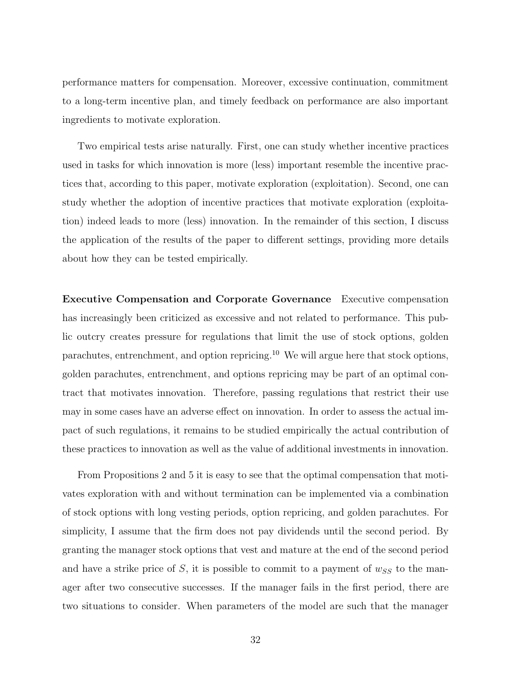performance matters for compensation. Moreover, excessive continuation, commitment to a long-term incentive plan, and timely feedback on performance are also important ingredients to motivate exploration.

Two empirical tests arise naturally. First, one can study whether incentive practices used in tasks for which innovation is more (less) important resemble the incentive practices that, according to this paper, motivate exploration (exploitation). Second, one can study whether the adoption of incentive practices that motivate exploration (exploitation) indeed leads to more (less) innovation. In the remainder of this section, I discuss the application of the results of the paper to different settings, providing more details about how they can be tested empirically.

Executive Compensation and Corporate Governance Executive compensation has increasingly been criticized as excessive and not related to performance. This public outcry creates pressure for regulations that limit the use of stock options, golden parachutes, entrenchment, and option repricing.<sup>10</sup> We will argue here that stock options, golden parachutes, entrenchment, and options repricing may be part of an optimal contract that motivates innovation. Therefore, passing regulations that restrict their use may in some cases have an adverse effect on innovation. In order to assess the actual impact of such regulations, it remains to be studied empirically the actual contribution of these practices to innovation as well as the value of additional investments in innovation.

From Propositions 2 and 5 it is easy to see that the optimal compensation that motivates exploration with and without termination can be implemented via a combination of stock options with long vesting periods, option repricing, and golden parachutes. For simplicity, I assume that the firm does not pay dividends until the second period. By granting the manager stock options that vest and mature at the end of the second period and have a strike price of S, it is possible to commit to a payment of  $w_{SS}$  to the manager after two consecutive successes. If the manager fails in the first period, there are two situations to consider. When parameters of the model are such that the manager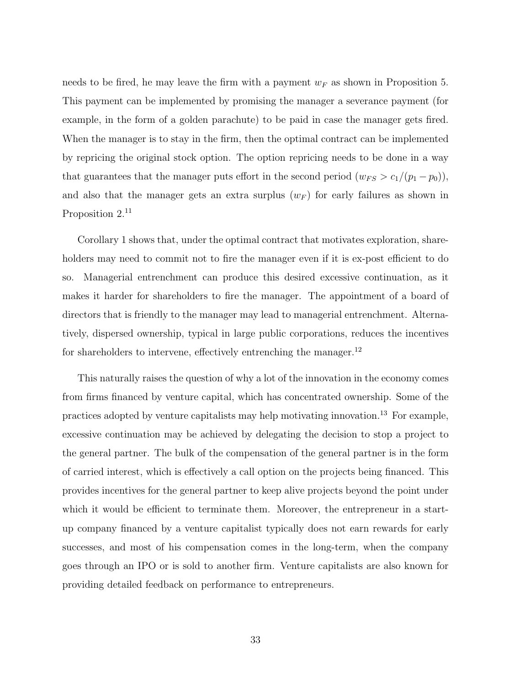needs to be fired, he may leave the firm with a payment  $w_F$  as shown in Proposition 5. This payment can be implemented by promising the manager a severance payment (for example, in the form of a golden parachute) to be paid in case the manager gets fired. When the manager is to stay in the firm, then the optimal contract can be implemented by repricing the original stock option. The option repricing needs to be done in a way that guarantees that the manager puts effort in the second period  $(w_{FS} > c_1/(p_1 - p_0)),$ and also that the manager gets an extra surplus  $(w_F)$  for early failures as shown in Proposition  $2^{11}$ 

Corollary 1 shows that, under the optimal contract that motivates exploration, shareholders may need to commit not to fire the manager even if it is ex-post efficient to do so. Managerial entrenchment can produce this desired excessive continuation, as it makes it harder for shareholders to fire the manager. The appointment of a board of directors that is friendly to the manager may lead to managerial entrenchment. Alternatively, dispersed ownership, typical in large public corporations, reduces the incentives for shareholders to intervene, effectively entrenching the manager.<sup>12</sup>

This naturally raises the question of why a lot of the innovation in the economy comes from firms financed by venture capital, which has concentrated ownership. Some of the practices adopted by venture capitalists may help motivating innovation.<sup>13</sup> For example, excessive continuation may be achieved by delegating the decision to stop a project to the general partner. The bulk of the compensation of the general partner is in the form of carried interest, which is effectively a call option on the projects being financed. This provides incentives for the general partner to keep alive projects beyond the point under which it would be efficient to terminate them. Moreover, the entrepreneur in a startup company financed by a venture capitalist typically does not earn rewards for early successes, and most of his compensation comes in the long-term, when the company goes through an IPO or is sold to another firm. Venture capitalists are also known for providing detailed feedback on performance to entrepreneurs.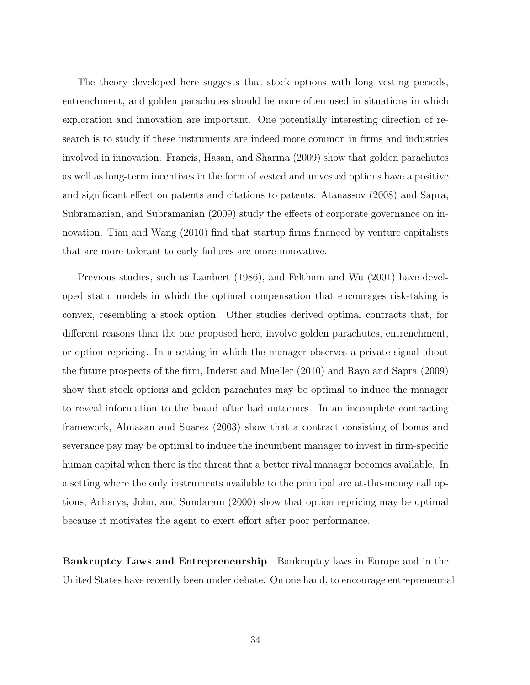The theory developed here suggests that stock options with long vesting periods, entrenchment, and golden parachutes should be more often used in situations in which exploration and innovation are important. One potentially interesting direction of research is to study if these instruments are indeed more common in firms and industries involved in innovation. Francis, Hasan, and Sharma (2009) show that golden parachutes as well as long-term incentives in the form of vested and unvested options have a positive and significant effect on patents and citations to patents. Atanassov (2008) and Sapra, Subramanian, and Subramanian (2009) study the effects of corporate governance on innovation. Tian and Wang (2010) find that startup firms financed by venture capitalists that are more tolerant to early failures are more innovative.

Previous studies, such as Lambert (1986), and Feltham and Wu (2001) have developed static models in which the optimal compensation that encourages risk-taking is convex, resembling a stock option. Other studies derived optimal contracts that, for different reasons than the one proposed here, involve golden parachutes, entrenchment, or option repricing. In a setting in which the manager observes a private signal about the future prospects of the firm, Inderst and Mueller (2010) and Rayo and Sapra (2009) show that stock options and golden parachutes may be optimal to induce the manager to reveal information to the board after bad outcomes. In an incomplete contracting framework, Almazan and Suarez (2003) show that a contract consisting of bonus and severance pay may be optimal to induce the incumbent manager to invest in firm-specific human capital when there is the threat that a better rival manager becomes available. In a setting where the only instruments available to the principal are at-the-money call options, Acharya, John, and Sundaram (2000) show that option repricing may be optimal because it motivates the agent to exert effort after poor performance.

Bankruptcy Laws and Entrepreneurship Bankruptcy laws in Europe and in the United States have recently been under debate. On one hand, to encourage entrepreneurial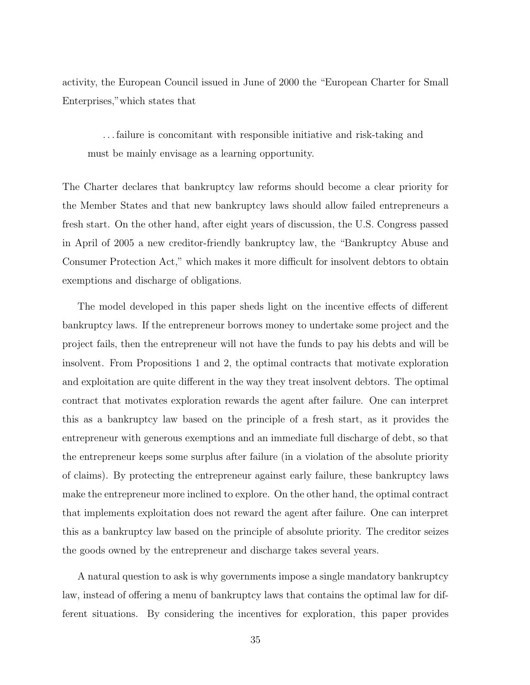activity, the European Council issued in June of 2000 the "European Charter for Small Enterprises,"which states that

. . . failure is concomitant with responsible initiative and risk-taking and must be mainly envisage as a learning opportunity.

The Charter declares that bankruptcy law reforms should become a clear priority for the Member States and that new bankruptcy laws should allow failed entrepreneurs a fresh start. On the other hand, after eight years of discussion, the U.S. Congress passed in April of 2005 a new creditor-friendly bankruptcy law, the "Bankruptcy Abuse and Consumer Protection Act," which makes it more difficult for insolvent debtors to obtain exemptions and discharge of obligations.

The model developed in this paper sheds light on the incentive effects of different bankruptcy laws. If the entrepreneur borrows money to undertake some project and the project fails, then the entrepreneur will not have the funds to pay his debts and will be insolvent. From Propositions 1 and 2, the optimal contracts that motivate exploration and exploitation are quite different in the way they treat insolvent debtors. The optimal contract that motivates exploration rewards the agent after failure. One can interpret this as a bankruptcy law based on the principle of a fresh start, as it provides the entrepreneur with generous exemptions and an immediate full discharge of debt, so that the entrepreneur keeps some surplus after failure (in a violation of the absolute priority of claims). By protecting the entrepreneur against early failure, these bankruptcy laws make the entrepreneur more inclined to explore. On the other hand, the optimal contract that implements exploitation does not reward the agent after failure. One can interpret this as a bankruptcy law based on the principle of absolute priority. The creditor seizes the goods owned by the entrepreneur and discharge takes several years.

A natural question to ask is why governments impose a single mandatory bankruptcy law, instead of offering a menu of bankruptcy laws that contains the optimal law for different situations. By considering the incentives for exploration, this paper provides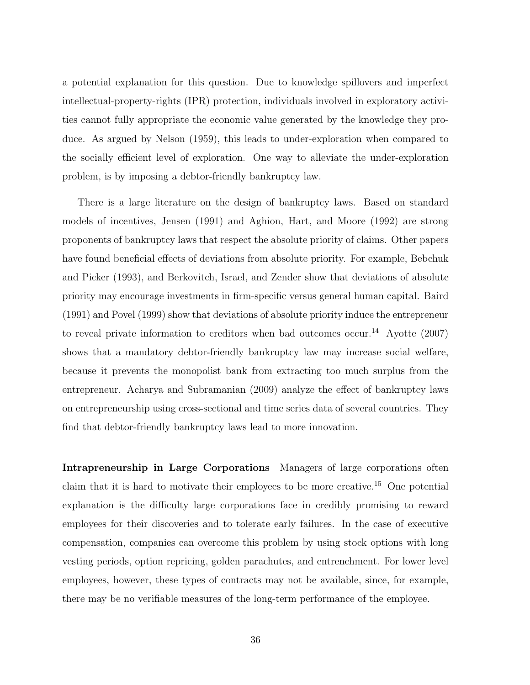a potential explanation for this question. Due to knowledge spillovers and imperfect intellectual-property-rights (IPR) protection, individuals involved in exploratory activities cannot fully appropriate the economic value generated by the knowledge they produce. As argued by Nelson (1959), this leads to under-exploration when compared to the socially efficient level of exploration. One way to alleviate the under-exploration problem, is by imposing a debtor-friendly bankruptcy law.

There is a large literature on the design of bankruptcy laws. Based on standard models of incentives, Jensen (1991) and Aghion, Hart, and Moore (1992) are strong proponents of bankruptcy laws that respect the absolute priority of claims. Other papers have found beneficial effects of deviations from absolute priority. For example, Bebchuk and Picker (1993), and Berkovitch, Israel, and Zender show that deviations of absolute priority may encourage investments in firm-specific versus general human capital. Baird (1991) and Povel (1999) show that deviations of absolute priority induce the entrepreneur to reveal private information to creditors when bad outcomes occur.<sup>14</sup> Ayotte  $(2007)$ shows that a mandatory debtor-friendly bankruptcy law may increase social welfare, because it prevents the monopolist bank from extracting too much surplus from the entrepreneur. Acharya and Subramanian (2009) analyze the effect of bankruptcy laws on entrepreneurship using cross-sectional and time series data of several countries. They find that debtor-friendly bankruptcy laws lead to more innovation.

Intrapreneurship in Large Corporations Managers of large corporations often claim that it is hard to motivate their employees to be more creative.<sup>15</sup> One potential explanation is the difficulty large corporations face in credibly promising to reward employees for their discoveries and to tolerate early failures. In the case of executive compensation, companies can overcome this problem by using stock options with long vesting periods, option repricing, golden parachutes, and entrenchment. For lower level employees, however, these types of contracts may not be available, since, for example, there may be no verifiable measures of the long-term performance of the employee.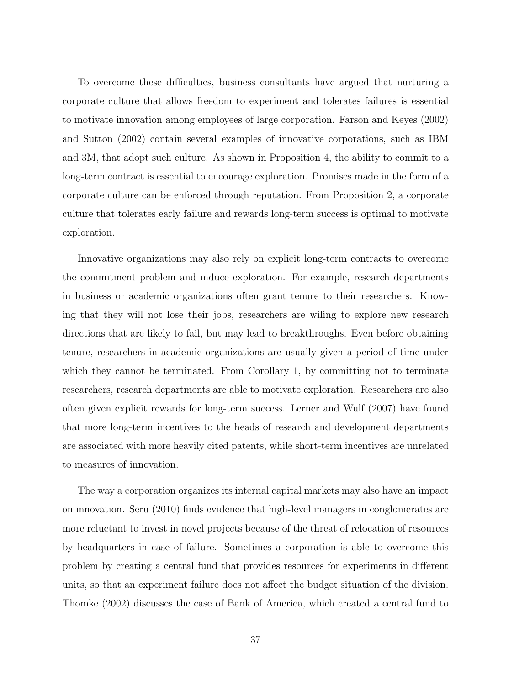To overcome these difficulties, business consultants have argued that nurturing a corporate culture that allows freedom to experiment and tolerates failures is essential to motivate innovation among employees of large corporation. Farson and Keyes (2002) and Sutton (2002) contain several examples of innovative corporations, such as IBM and 3M, that adopt such culture. As shown in Proposition 4, the ability to commit to a long-term contract is essential to encourage exploration. Promises made in the form of a corporate culture can be enforced through reputation. From Proposition 2, a corporate culture that tolerates early failure and rewards long-term success is optimal to motivate exploration.

Innovative organizations may also rely on explicit long-term contracts to overcome the commitment problem and induce exploration. For example, research departments in business or academic organizations often grant tenure to their researchers. Knowing that they will not lose their jobs, researchers are wiling to explore new research directions that are likely to fail, but may lead to breakthroughs. Even before obtaining tenure, researchers in academic organizations are usually given a period of time under which they cannot be terminated. From Corollary 1, by committing not to terminate researchers, research departments are able to motivate exploration. Researchers are also often given explicit rewards for long-term success. Lerner and Wulf (2007) have found that more long-term incentives to the heads of research and development departments are associated with more heavily cited patents, while short-term incentives are unrelated to measures of innovation.

The way a corporation organizes its internal capital markets may also have an impact on innovation. Seru (2010) finds evidence that high-level managers in conglomerates are more reluctant to invest in novel projects because of the threat of relocation of resources by headquarters in case of failure. Sometimes a corporation is able to overcome this problem by creating a central fund that provides resources for experiments in different units, so that an experiment failure does not affect the budget situation of the division. Thomke (2002) discusses the case of Bank of America, which created a central fund to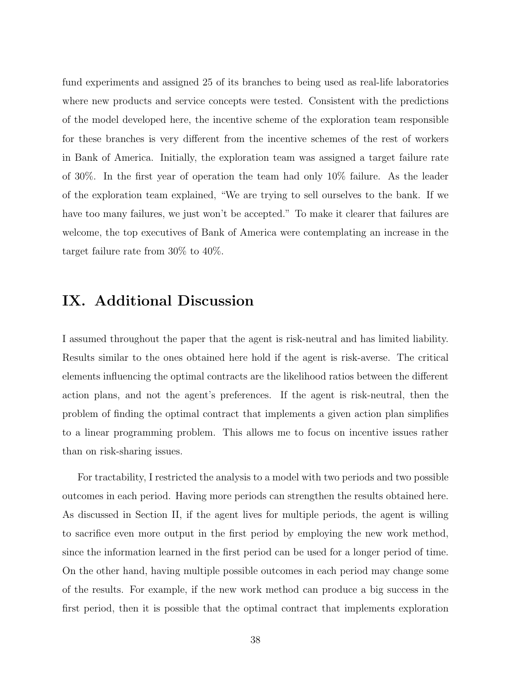fund experiments and assigned 25 of its branches to being used as real-life laboratories where new products and service concepts were tested. Consistent with the predictions of the model developed here, the incentive scheme of the exploration team responsible for these branches is very different from the incentive schemes of the rest of workers in Bank of America. Initially, the exploration team was assigned a target failure rate of 30%. In the first year of operation the team had only 10% failure. As the leader of the exploration team explained, "We are trying to sell ourselves to the bank. If we have too many failures, we just won't be accepted." To make it clearer that failures are welcome, the top executives of Bank of America were contemplating an increase in the target failure rate from 30% to 40%.

### IX. Additional Discussion

I assumed throughout the paper that the agent is risk-neutral and has limited liability. Results similar to the ones obtained here hold if the agent is risk-averse. The critical elements influencing the optimal contracts are the likelihood ratios between the different action plans, and not the agent's preferences. If the agent is risk-neutral, then the problem of finding the optimal contract that implements a given action plan simplifies to a linear programming problem. This allows me to focus on incentive issues rather than on risk-sharing issues.

For tractability, I restricted the analysis to a model with two periods and two possible outcomes in each period. Having more periods can strengthen the results obtained here. As discussed in Section II, if the agent lives for multiple periods, the agent is willing to sacrifice even more output in the first period by employing the new work method, since the information learned in the first period can be used for a longer period of time. On the other hand, having multiple possible outcomes in each period may change some of the results. For example, if the new work method can produce a big success in the first period, then it is possible that the optimal contract that implements exploration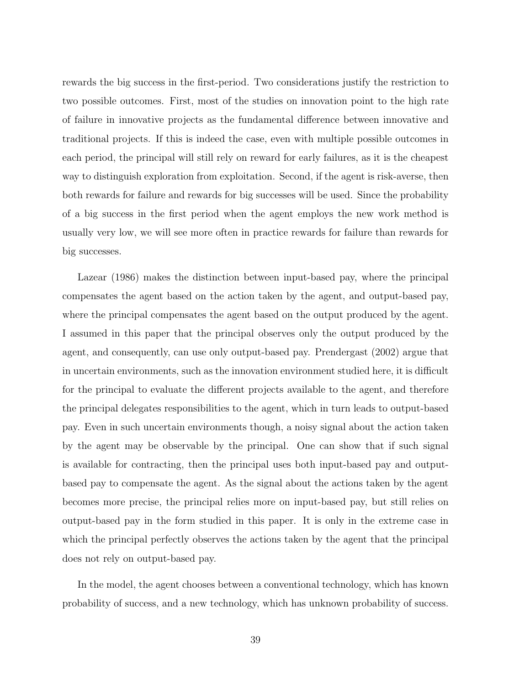rewards the big success in the first-period. Two considerations justify the restriction to two possible outcomes. First, most of the studies on innovation point to the high rate of failure in innovative projects as the fundamental difference between innovative and traditional projects. If this is indeed the case, even with multiple possible outcomes in each period, the principal will still rely on reward for early failures, as it is the cheapest way to distinguish exploration from exploitation. Second, if the agent is risk-averse, then both rewards for failure and rewards for big successes will be used. Since the probability of a big success in the first period when the agent employs the new work method is usually very low, we will see more often in practice rewards for failure than rewards for big successes.

Lazear (1986) makes the distinction between input-based pay, where the principal compensates the agent based on the action taken by the agent, and output-based pay, where the principal compensates the agent based on the output produced by the agent. I assumed in this paper that the principal observes only the output produced by the agent, and consequently, can use only output-based pay. Prendergast (2002) argue that in uncertain environments, such as the innovation environment studied here, it is difficult for the principal to evaluate the different projects available to the agent, and therefore the principal delegates responsibilities to the agent, which in turn leads to output-based pay. Even in such uncertain environments though, a noisy signal about the action taken by the agent may be observable by the principal. One can show that if such signal is available for contracting, then the principal uses both input-based pay and outputbased pay to compensate the agent. As the signal about the actions taken by the agent becomes more precise, the principal relies more on input-based pay, but still relies on output-based pay in the form studied in this paper. It is only in the extreme case in which the principal perfectly observes the actions taken by the agent that the principal does not rely on output-based pay.

In the model, the agent chooses between a conventional technology, which has known probability of success, and a new technology, which has unknown probability of success.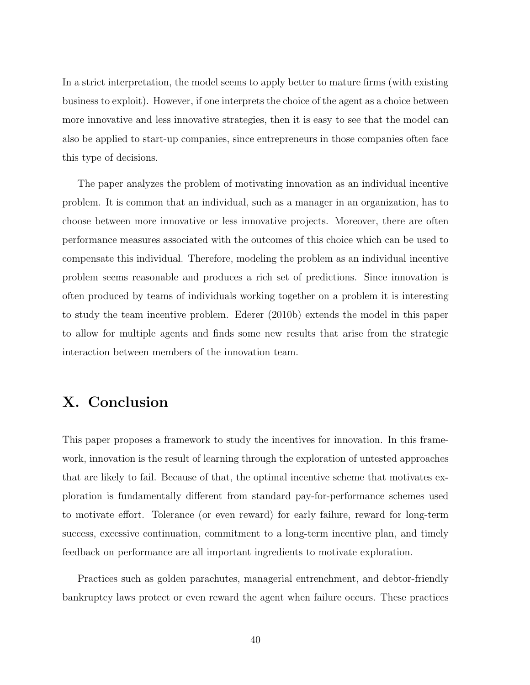In a strict interpretation, the model seems to apply better to mature firms (with existing business to exploit). However, if one interprets the choice of the agent as a choice between more innovative and less innovative strategies, then it is easy to see that the model can also be applied to start-up companies, since entrepreneurs in those companies often face this type of decisions.

The paper analyzes the problem of motivating innovation as an individual incentive problem. It is common that an individual, such as a manager in an organization, has to choose between more innovative or less innovative projects. Moreover, there are often performance measures associated with the outcomes of this choice which can be used to compensate this individual. Therefore, modeling the problem as an individual incentive problem seems reasonable and produces a rich set of predictions. Since innovation is often produced by teams of individuals working together on a problem it is interesting to study the team incentive problem. Ederer (2010b) extends the model in this paper to allow for multiple agents and finds some new results that arise from the strategic interaction between members of the innovation team.

## X. Conclusion

This paper proposes a framework to study the incentives for innovation. In this framework, innovation is the result of learning through the exploration of untested approaches that are likely to fail. Because of that, the optimal incentive scheme that motivates exploration is fundamentally different from standard pay-for-performance schemes used to motivate effort. Tolerance (or even reward) for early failure, reward for long-term success, excessive continuation, commitment to a long-term incentive plan, and timely feedback on performance are all important ingredients to motivate exploration.

Practices such as golden parachutes, managerial entrenchment, and debtor-friendly bankruptcy laws protect or even reward the agent when failure occurs. These practices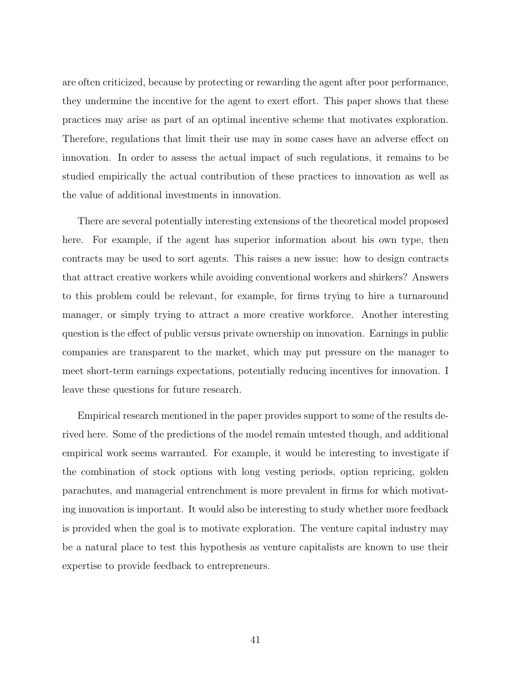are often criticized, because by protecting or rewarding the agent after poor performance, they undermine the incentive for the agent to exert effort. This paper shows that these practices may arise as part of an optimal incentive scheme that motivates exploration. Therefore, regulations that limit their use may in some cases have an adverse effect on innovation. In order to assess the actual impact of such regulations, it remains to be studied empirically the actual contribution of these practices to innovation as well as the value of additional investments in innovation.

There are several potentially interesting extensions of the theoretical model proposed here. For example, if the agent has superior information about his own type, then contracts may be used to sort agents. This raises a new issue: how to design contracts that attract creative workers while avoiding conventional workers and shirkers? Answers to this problem could be relevant, for example, for firms trying to hire a turnaround manager, or simply trying to attract a more creative workforce. Another interesting question is the effect of public versus private ownership on innovation. Earnings in public companies are transparent to the market, which may put pressure on the manager to meet short-term earnings expectations, potentially reducing incentives for innovation. I leave these questions for future research.

Empirical research mentioned in the paper provides support to some of the results derived here. Some of the predictions of the model remain untested though, and additional empirical work seems warranted. For example, it would be interesting to investigate if the combination of stock options with long vesting periods, option repricing, golden parachutes, and managerial entrenchment is more prevalent in firms for which motivating innovation is important. It would also be interesting to study whether more feedback is provided when the goal is to motivate exploration. The venture capital industry may be a natural place to test this hypothesis as venture capitalists are known to use their expertise to provide feedback to entrepreneurs.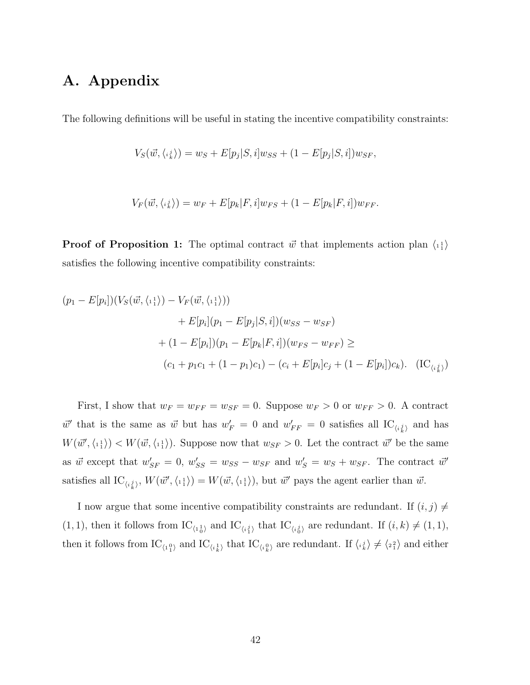#### A. Appendix

The following definitions will be useful in stating the incentive compatibility constraints:

$$
V_S(\vec{w}, \langle i_k^j \rangle) = w_S + E[p_j|S, i]w_{SS} + (1 - E[p_j|S, i])w_{SF},
$$

$$
V_F(\vec{w}, \langle i_k^j \rangle) = w_F + E[p_k|F, i]w_{FS} + (1 - E[p_k|F, i])w_{FF}.
$$

**Proof of Proposition 1:** The optimal contract  $\vec{w}$  that implements action plan  $\langle \cdot_1^1 \rangle$ satisfies the following incentive compatibility constraints:

$$
(p_1 - E[p_i])(V_S(\vec{w}, \langle 1_1 \rangle) - V_F(\vec{w}, \langle 1_1 \rangle))
$$
  
+  $E[p_i](p_1 - E[p_j|S, i])(w_{SS} - w_{SF})$   
+  $(1 - E[p_i])(p_1 - E[p_k|F, i])(w_{FS} - w_{FF}) \ge$   
 $(c_1 + p_1c_1 + (1 - p_1)c_1) - (c_i + E[p_i]c_j + (1 - E[p_i])c_k).$  (IC<sub>(*i*\*)</sub>)

First, I show that  $w_F = w_{FF} = w_{SF} = 0$ . Suppose  $w_F > 0$  or  $w_{FF} > 0$ . A contract  $\vec{w}'$  that is the same as  $\vec{w}$  but has  $w'_F = 0$  and  $w'_{FF} = 0$  satisfies all  $\text{IC}_{\langle i_k^j \rangle}$  and has  $W(\vec{w}', \langle 1_1^1 \rangle) < W(\vec{w}, \langle 1_1^1 \rangle)$ . Suppose now that  $w_{SF} > 0$ . Let the contract  $\vec{w}'$  be the same as  $\vec{w}$  except that  $w'_{SF} = 0$ ,  $w'_{SS} = w_{SS} - w_{SF}$  and  $w'_{S} = w_{S} + w_{SF}$ . The contract  $\vec{w}'$ satisfies all  $\mathrm{IC}_{\langle i_k^j\rangle}, W(\vec{w}', \langle i_1^1\rangle) = W(\vec{w}, \langle i_1^1\rangle)$ , but  $\vec{w}'$  pays the agent earlier than  $\vec{w}$ .

I now argue that some incentive compatibility constraints are redundant. If  $(i, j) \neq j$  $(1, 1)$ , then it follows from  $IC_{\langle i_0^1 \rangle}$  and  $IC_{\langle i_1^j \rangle}$  that  $IC_{\langle i_0^j \rangle}$  are redundant. If  $(i, k) \neq (1, 1)$ , then it follows from  $\text{IC}_{\langle i_1^0 \rangle}$  and  $\text{IC}_{\langle i_k^1 \rangle}$  that  $\text{IC}_{\langle i_k^0 \rangle}$  are redundant. If  $\langle i_k^j \rangle \neq \langle i_1^2 \rangle$  and either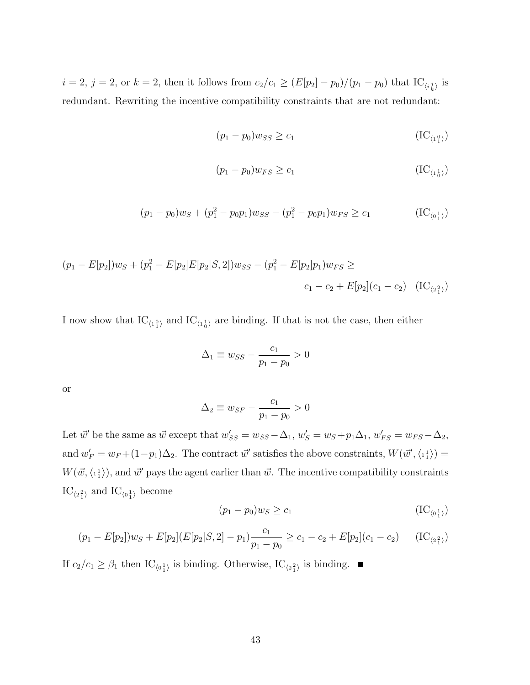$i = 2, j = 2, \text{ or } k = 2, \text{ then it follows from } c_2/c_1 \ge (E[p_2] - p_0)/(p_1 - p_0) \text{ that } IC_{\langle i_k^j \rangle} \text{ is }$ redundant. Rewriting the incentive compatibility constraints that are not redundant:

$$
(p_1 - p_0)w_{SS} \ge c_1 \tag{IC} (10_{(1^0_1)})
$$

$$
(p_1 - p_0)w_{FS} \ge c_1 \tag{IC} (10_{(10)})
$$

$$
(p_1 - p_0)w_S + (p_1^2 - p_0p_1)w_{SS} - (p_1^2 - p_0p_1)w_{FS} \ge c_1
$$
 (IC<sub>(0<sub>1</sub>)</sub>)

$$
(p_1 - E[p_2])w_S + (p_1^2 - E[p_2]E[p_2|S, 2])w_{SS} - (p_1^2 - E[p_2]p_1)w_{FS} \ge
$$
  

$$
c_1 - c_2 + E[p_2](c_1 - c_2) \quad (\text{IC}_{\langle 2^2 \rangle})
$$

I now show that  $IC_{\langle 1\frac{0}{2}\rangle}$  and  $IC_{\langle 1\frac{1}{2}\rangle}$  are binding. If that is not the case, then either

$$
\Delta_1 \equiv w_{SS} - \frac{c_1}{p_1 - p_0} > 0
$$

or

$$
\Delta_2 \equiv w_{SF} - \frac{c_1}{p_1 - p_0} > 0
$$

Let  $\vec{w}'$  be the same as  $\vec{w}$  except that  $w'_{SS} = w_{SS} - \Delta_1$ ,  $w'_{S} = w_{S} + p_1 \Delta_1$ ,  $w'_{FS} = w_{FS} - \Delta_2$ , and  $w'_F = w_F + (1-p_1)\Delta_2$ . The contract  $\vec{w}'$  satisfies the above constraints,  $W(\vec{w}', \langle 1_1^1 \rangle) =$  $W(\vec{w}, \langle 1_1^1 \rangle)$ , and  $\vec{w}'$  pays the agent earlier than  $\vec{w}$ . The incentive compatibility constraints  $IC_{\langle2_1^2\rangle}$  and  $IC_{\langle0_1^1\rangle}$  become

$$
(p_1 - p_0)w_S \ge c_1 \tag{IC}_{\langle 0_1^1 \rangle}
$$

$$
(p_1 - E[p_2])w_S + E[p_2](E[p_2|S, 2] - p_1)\frac{c_1}{p_1 - p_0} \ge c_1 - c_2 + E[p_2](c_1 - c_2) \qquad (IC_{\langle 2^2 \rangle})
$$

If  $c_2/c_1 \geq \beta_1$  then  $IC_{\langle 0_1^1 \rangle}$  is binding. Otherwise,  $IC_{\langle 2_1^2 \rangle}$  is binding.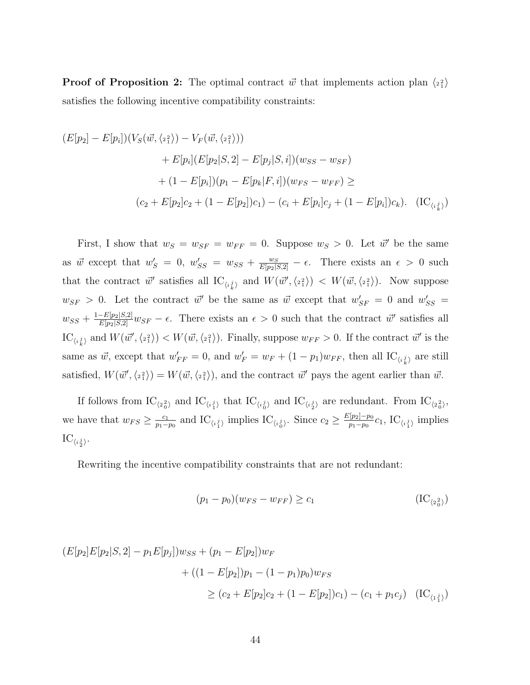**Proof of Proposition 2:** The optimal contract  $\vec{w}$  that implements action plan  $\langle_2^2 \rangle$ satisfies the following incentive compatibility constraints:

$$
(E[p_2] - E[p_i])(V_S(\vec{w}, \langle \cdot_1^2 \rangle) - V_F(\vec{w}, \langle \cdot_1^2 \rangle))
$$
  
+ 
$$
E[p_i](E[p_2|S, 2] - E[p_j|S, i])(w_{SS} - w_{SF})
$$
  
+ 
$$
(1 - E[p_i])(p_1 - E[p_k|F, i])(w_{FS} - w_{FF}) \ge
$$
  

$$
(c_2 + E[p_2]c_2 + (1 - E[p_2])c_1) - (c_i + E[p_i]c_j + (1 - E[p_i])c_k).
$$
 (IC<sub>(*i\_k*)</sub>)

First, I show that  $w_S = w_{SF} = w_{FF} = 0$ . Suppose  $w_S > 0$ . Let  $\vec{w}'$  be the same as  $\vec{w}$  except that  $w'_S = 0$ ,  $w'_{SS} = w_{SS} + \frac{w_S}{E[p_2|S,2]} - \epsilon$ . There exists an  $\epsilon > 0$  such that the contract  $\vec{w}'$  satisfies all  $\text{IC}_{\langle i_k^j \rangle}$  and  $W(\vec{w}', \langle i_1^2 \rangle) < W(\vec{w}, \langle i_2^2 \rangle)$ . Now suppose  $w_{SF} > 0$ . Let the contract  $\vec{w}'$  be the same as  $\vec{w}$  except that  $w'_{SF} = 0$  and  $w'_{SS} = 0$  $w_{SS} + \frac{1-E[p_2|S,2]}{E[p_2|S,2]} w_{SF} - \epsilon$ . There exists an  $\epsilon > 0$  such that the contract  $\vec{w}'$  satisfies all  $\text{IC}_{\langle i_k^j\rangle}$  and  $W(\vec{w}', \langle i_1^2 \rangle) < W(\vec{w}, \langle i_1^2 \rangle)$ . Finally, suppose  $w_{FF} > 0$ . If the contract  $\vec{w}'$  is the same as  $\vec{w}$ , except that  $w'_{FF} = 0$ , and  $w'_{F} = w_{F} + (1 - p_{1})w_{FF}$ , then all  $IC_{\langle i_{k}^{j} \rangle}$  are still satisfied,  $W(\vec{w}', \langle \frac{2}{2} \rangle) = W(\vec{w}, \langle \frac{2}{2} \rangle)$ , and the contract  $\vec{w}'$  pays the agent earlier than  $\vec{w}$ .

If follows from  $\text{IC}_{\langle i_2^2 \rangle}$  and  $\text{IC}_{\langle i_1^j \rangle}$  that  $\text{IC}_{\langle i_0^j \rangle}$  and  $\text{IC}_{\langle i_2^j \rangle}$  are redundant. From  $\text{IC}_{\langle 2_0^2 \rangle}$ , we have that  $w_{FS} \geq \frac{c_1}{n_1-1}$  $\frac{c_1}{p_1-p_0}$  and IC<sub> $\langle i_1^j \rangle$ </sub> implies IC<sub> $\langle i_0^j \rangle$ </sub>. Since  $c_2 \geq \frac{E[p_2]-p_0}{p_1-p_0}$  $\frac{p_1-p_0}{p_1-p_0}c_1$ , IC<sub> $\langle i_1^j \rangle$ </sub> implies  $\mathrm{IC}_{\langle i\frac{j}{2}\rangle}.$ 

Rewriting the incentive compatibility constraints that are not redundant:

$$
(p_1 - p_0)(w_{FS} - w_{FF}) \ge c_1 \tag{IC}_{\langle 2^2_0 \rangle}
$$

$$
(E[p_2]E[p_2|S,2] - p_1E[p_j])w_{SS} + (p_1 - E[p_2])w_F
$$
  
+ 
$$
+ ((1 - E[p_2])p_1 - (1 - p_1)p_0)w_{FS}
$$
  

$$
\geq (c_2 + E[p_2]c_2 + (1 - E[p_2])c_1) - (c_1 + p_1c_j) \quad (IC_{\langle 1\rangle})
$$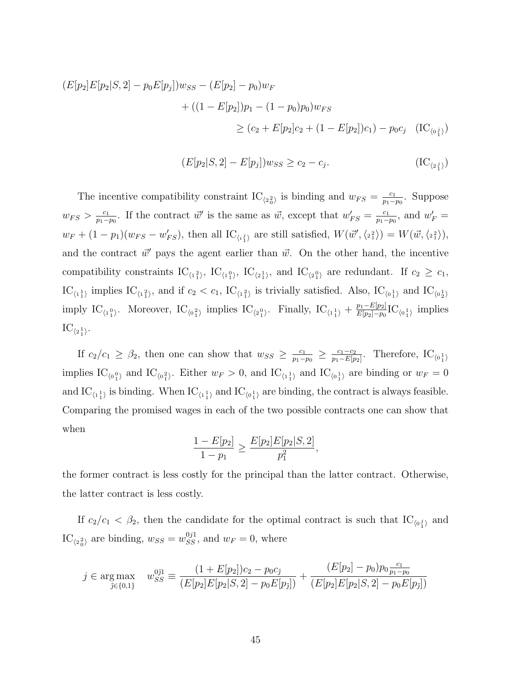$$
(E[p_2]E[p_2|S,2] - p_0E[p_j])w_{SS} - (E[p_2] - p_0)w_F
$$
  
+ 
$$
+ ((1 - E[p_2])p_1 - (1 - p_0)p_0)w_{FS}
$$
  

$$
\ge (c_2 + E[p_2]c_2 + (1 - E[p_2])c_1) - p_0c_j \quad (IC_{\langle o_1^j \rangle})
$$

$$
(E[p_2|S, 2] - E[p_j])w_{SS} \ge c_2 - c_j. \tag{IC}_{\langle 2^j_1 \rangle}
$$

The incentive compatibility constraint  $IC_{\langle 2\rangle}$  is binding and  $w_{FS} = \frac{c_1}{p_1 -}$  $\frac{c_1}{p_1-p_0}$ . Suppose  $w_{FS} > \frac{c_1}{n_1-1}$  $\frac{c_1}{p_1-p_0}$ . If the contract  $\vec{w}'$  is the same as  $\vec{w}$ , except that  $w'_{FS} = \frac{c_1}{p_1-p_0}$ .  $\frac{c_1}{p_1-p_0}$ , and  $w'_F =$  $w_F + (1 - p_1)(w_{FS} - w'_{FS})$ , then all  $IC_{\langle i_1^j \rangle}$  are still satisfied,  $W(\vec{w}', \langle i_1^2 \rangle) = W(\vec{w}, \langle i_1^2 \rangle)$ , and the contract  $\vec{w}'$  pays the agent earlier than  $\vec{w}$ . On the other hand, the incentive compatibility constraints  $IC_{\langle1_1^2\rangle}$ ,  $IC_{\langle1_1^0\rangle}$ ,  $IC_{\langle2_1^1\rangle}$ , and  $IC_{\langle2_1^0\rangle}$  are redundant. If  $c_2 \geq c_1$ ,  $IC_{\langle1_1^1\rangle}$  implies  $IC_{\langle1_1^2\rangle}$ , and if  $c_2 < c_1$ ,  $IC_{\langle1_1^2\rangle}$  is trivially satisfied. Also,  $IC_{\langle0_1^1\rangle}$  and  $IC_{\langle0_2^1\rangle}$ imply IC<sub>(1<sup>1</sup>)</sub>. Moreover, IC<sub>(0<sup>2</sup>)</sub> implies IC<sub>(2<sup>0</sup>)</sub>. Finally, IC<sub>(1<sup>1</sup>)</sub> +  $\frac{p_1 - E[p_2]}{E[p_2] - p_0}$  $\frac{p_1 - E[p_2]}{E[p_2] - p_0}$ IC<sub>(0<sup>1</sup>)</sub> implies  $\mathrm{IC}_{\langle 2\frac{1}{1}\rangle}.$ 

If  $c_2/c_1 \geq \beta_2$ , then one can show that  $w_{SS} \geq \frac{c_1}{m}$  $\frac{c_1}{p_1-p_0} \geq \frac{c_1-c_2}{p_1-E[p]}$  $\frac{c_1-c_2}{p_1-E[p_2]}$ . Therefore, IC<sub>(0<sup>1</sup>)</sub> implies  $IC_{\langle 0_1^0 \rangle}$  and  $IC_{\langle 0_1^2 \rangle}$ . Either  $w_F > 0$ , and  $IC_{\langle 1_1^1 \rangle}$  and  $IC_{\langle 0_1^1 \rangle}$  are binding or  $w_F = 0$ and  $IC_{\langle1_1^1\rangle}$  is binding. When  $IC_{\langle1_1^1\rangle}$  and  $IC_{\langle0_1^1\rangle}$  are binding, the contract is always feasible. Comparing the promised wages in each of the two possible contracts one can show that when

$$
\frac{1 - E[p_2]}{1 - p_1} \ge \frac{E[p_2]E[p_2|S, 2]}{p_1^2},
$$

the former contract is less costly for the principal than the latter contract. Otherwise, the latter contract is less costly.

If  $c_2/c_1 < \beta_2$ , then the candidate for the optimal contract is such that  $IC_{\langle o_1^j \rangle}$  and  $\mathop{\rm IC}\nolimits_{\langle 2^2_0\rangle}$  are binding,  $w_{SS} = w_{SS}^{0j1}$ , and  $w_F = 0$ , where

$$
j \in \underset{\tilde{j} \in \{0,1\}}{\arg \max} \quad w_{SS}^{0\tilde{j}1} \equiv \frac{(1 + E[p_2])c_2 - p_0c_{\tilde{j}}}{(E[p_2]E[p_2|S, 2] - p_0E[p_{\tilde{j}}])} + \frac{(E[p_2] - p_0)p_0 \frac{c_1}{p_1 - p_0}}{(E[p_2]E[p_2|S, 2] - p_0E[p_{\tilde{j}}])}
$$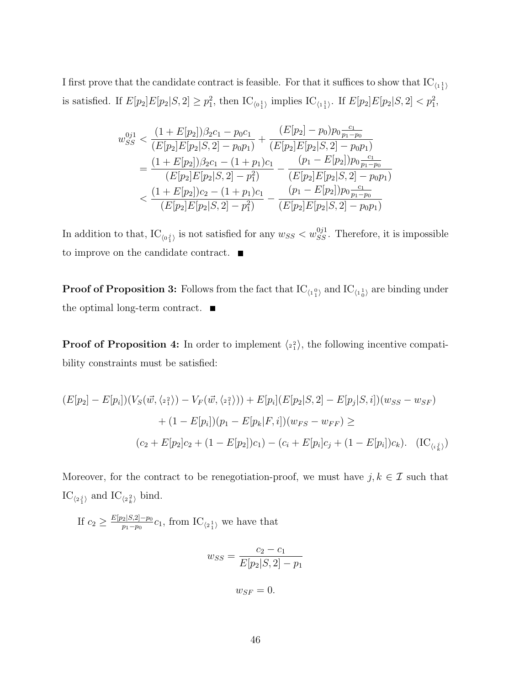I first prove that the candidate contract is feasible. For that it suffices to show that  $IC_{\langle 1\frac{1}{4}\rangle}$ is satisfied. If  $E[p_2]E[p_2|S, 2] \ge p_1^2$ , then  $IC_{\langle 0_1^1 \rangle}$  implies  $IC_{\langle 1_1^1 \rangle}$ . If  $E[p_2]E[p_2|S, 2] < p_1^2$ ,

$$
w_{SS}^{0j1} < \frac{(1+E[p_2])\beta_2c_1 - p_0c_1}{(E[p_2]E[p_2|S,2] - p_0p_1)} + \frac{(E[p_2] - p_0)p_0\frac{c_1}{p_1 - p_0}}{(E[p_2]E[p_2|S,2] - p_0p_1)} \\
= \frac{(1+E[p_2])\beta_2c_1 - (1+p_1)c_1}{(E[p_2]E[p_2|S,2] - p_1^2)} - \frac{(p_1 - E[p_2])p_0\frac{c_1}{p_1 - p_0}}{(E[p_2]E[p_2|S,2] - p_0p_1)} \\
\leq \frac{(1+E[p_2])c_2 - (1+p_1)c_1}{(E[p_2]E[p_2|S,2] - p_1^2)} - \frac{(p_1 - E[p_2])p_0\frac{c_1}{p_1 - p_0}}{(E[p_2]E[p_2|S,2] - p_0p_1)}
$$

In addition to that,  $IC_{\langle o_1^j \rangle}$  is not satisfied for any  $w_{SS} < w_{SS}^{0j1}$ . Therefore, it is impossible to improve on the candidate contract. ■

**Proof of Proposition 3:** Follows from the fact that  $IC_{\langle1_1^0\rangle}$  and  $IC_{\langle1_1^1\rangle}$  are binding under the optimal long-term contract.  $\blacksquare$ 

**Proof of Proposition 4:** In order to implement  $\langle \frac{1}{2} \rangle$ , the following incentive compatibility constraints must be satisfied:

$$
(E[p_2] - E[p_i])(V_S(\vec{w}, \langle \cdot_1^2 \rangle) - V_F(\vec{w}, \langle \cdot_1^2 \rangle)) + E[p_i](E[p_2|S, 2] - E[p_j|S, i])(w_{SS} - w_{SF})
$$
  
+ 
$$
(1 - E[p_i])(p_1 - E[p_k|F, i])(w_{FS} - w_{FF}) \ge
$$
  

$$
(c_2 + E[p_2]c_2 + (1 - E[p_2])c_1) - (c_i + E[p_i]c_j + (1 - E[p_i])c_k). \quad (IC_{\langle i_k^j \rangle})
$$

Moreover, for the contract to be renegotiation-proof, we must have  $j, k \in \mathcal{I}$  such that  $IC_{\langle 2\frac{j}{4}\rangle}$  and  $IC_{\langle 2\frac{j}{2}\rangle}$  bind.

If  $c_2 \geq \frac{E[p_2|S,2]-p_0}{p_1-p_0}$  $\frac{p_2|S, Z|=p_0}{p_1-p_0}c_1$ , from  $\mathrm{IC}_{\langle2\frac{1}{4}\rangle}$  we have that

$$
w_{SS} = \frac{c_2 - c_1}{E[p_2|S, 2] - p_1}
$$

 $w_{SF} = 0.$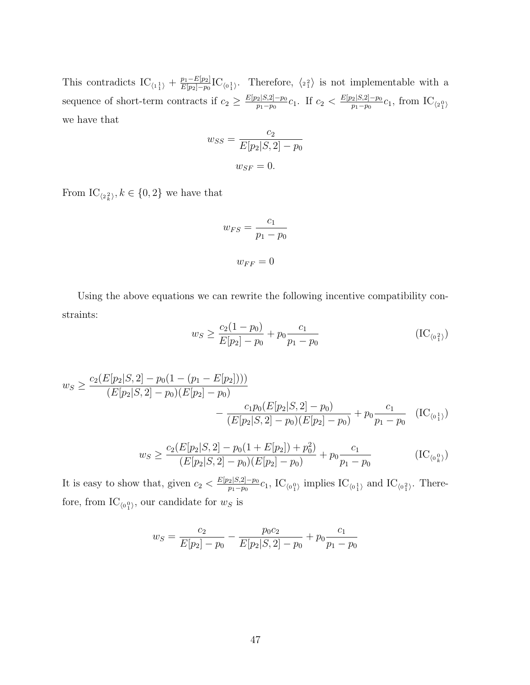This contradicts  $\text{IC}_{\langle 1\frac{1}{4}\rangle} + \frac{p_1 - E[p_2]}{E[p_2] - p_0}$  $\frac{p_1 - E[p_2]}{E[p_2] - p_0}$  IC<sub>(0<sup>1</sup>1)</sub>. Therefore,  $\langle 2^2_1 \rangle$  is not implementable with a sequence of short-term contracts if  $c_2 \geq \frac{E[p_2|S,2]-p_0}{p_1-p_0}$ <u>p<sub>1</sub>−p<sub>0</sub></u>  $c_1$ . If  $c_2 < \frac{E[p_2|S,2]-p_0}{p_1-p_0}$  $\frac{p_2|S, Z|=p_0}{p_1-p_0}c_1$ , from IC<sub>(2 $\frac{0}{1}$ )</sub> we have that

$$
w_{SS} = \frac{c_2}{E[p_2|S, 2] - p_0}
$$

$$
w_{SF} = 0.
$$

From  $IC_{\langle 2_{k}^{2} \rangle}, k \in \{0, 2\}$  we have that

$$
w_{FS} = \frac{c_1}{p_1 - p_0}
$$

$$
w_{FF} = 0
$$

Using the above equations we can rewrite the following incentive compatibility constraints:

$$
w_S \ge \frac{c_2(1 - p_0)}{E[p_2] - p_0} + p_0 \frac{c_1}{p_1 - p_0} \tag{IC}_{\langle 0^2_1 \rangle}
$$

$$
w_S \ge \frac{c_2(E[p_2|S,2] - p_0(1 - (p_1 - E[p_2])))}{(E[p_2|S,2] - p_0)(E[p_2] - p_0)} - \frac{c_1 p_0(E[p_2|S,2] - p_0)}{(E[p_2|S,2] - p_0)(E[p_2] - p_0)} + p_0 \frac{c_1}{p_1 - p_0} \quad (\text{IC}_{\langle o_1^1 \rangle})
$$

$$
w_S \ge \frac{c_2(E[p_2|S, 2] - p_0(1 + E[p_2]) + p_0^2)}{(E[p_2|S, 2] - p_0)(E[p_2] - p_0)} + p_0 \frac{c_1}{p_1 - p_0}
$$
(IC<sub>(0<sub>k</sub>)</sub>)

It is easy to show that, given  $c_2 < \frac{E[p_2|S,2]-p_0}{p_1-p_0}$ <u><sup>2|5,2|-po</u> c<sub>1</sub>, IC<sub>(0</sub><sup>0</sup><sub>1</sub>)</sub> implies IC<sub>(0<sup>1</sup><sub>1</sub>)</sub> and IC<sub>(0<sup>2</sup><sub>1</sub>)</sub>. There-</u></sup> fore, from  $IC_{\langle o_1^0 \rangle}$ , our candidate for  $w_S$  is

$$
w_S = \frac{c_2}{E[p_2] - p_0} - \frac{p_0 c_2}{E[p_2|S, 2] - p_0} + p_0 \frac{c_1}{p_1 - p_0}
$$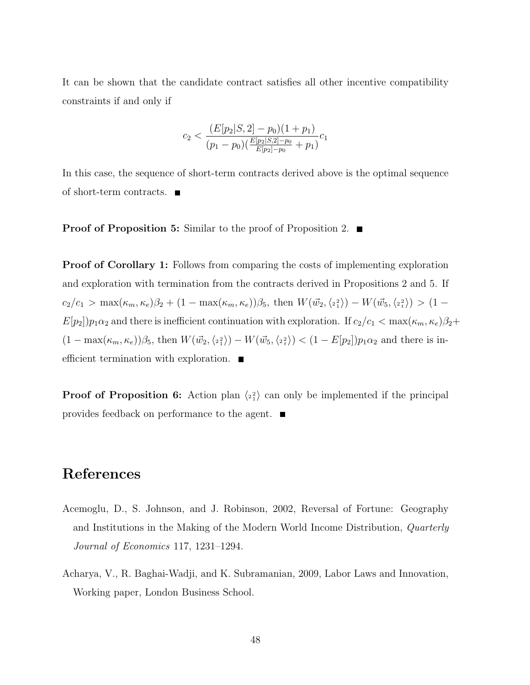It can be shown that the candidate contract satisfies all other incentive compatibility constraints if and only if

$$
c_2 < \frac{(E[p_2|S,2]-p_0)(1+p_1)}{(p_1-p_0)(\frac{E[p_2|S,2]-p_0}{E[p_2]-p_0}+p_1)}c_1
$$

In this case, the sequence of short-term contracts derived above is the optimal sequence of short-term contracts.  $\blacksquare$ 

**Proof of Proposition 5:** Similar to the proof of Proposition 2. ■

Proof of Corollary 1: Follows from comparing the costs of implementing exploration and exploration with termination from the contracts derived in Propositions 2 and 5. If  $c_2/c_1 > \max(\kappa_m, \kappa_e)\beta_2 + (1 - \max(\kappa_m, \kappa_e))\beta_5$ , then  $W(\vec{w}_2, \langle_i^2 \rangle) - W(\vec{w}_5, \langle_i^2 \rangle) > (1 E[p_2]p_1\alpha_2$  and there is inefficient continuation with exploration. If  $c_2/c_1 < \max(\kappa_m, \kappa_e)\beta_2 +$  $(1 - \max(\kappa_m, \kappa_e))\beta_5$ , then  $W(\vec{w}_2, \langle_2^2\rangle) - W(\vec{w}_5, \langle_2^2\rangle) < (1 - E[p_2])p_1\alpha_2$  and there is inefficient termination with exploration.  $\blacksquare$ 

**Proof of Proposition 6:** Action plan  $\langle 2^2 \rangle$  can only be implemented if the principal provides feedback on performance to the agent.

### References

- Acemoglu, D., S. Johnson, and J. Robinson, 2002, Reversal of Fortune: Geography and Institutions in the Making of the Modern World Income Distribution, *Quarterly Journal of Economics* 117, 1231–1294.
- Acharya, V., R. Baghai-Wadji, and K. Subramanian, 2009, Labor Laws and Innovation, Working paper, London Business School.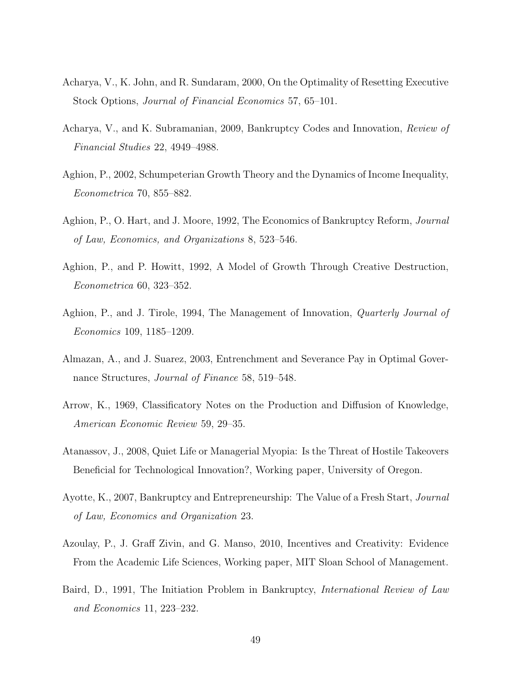- Acharya, V., K. John, and R. Sundaram, 2000, On the Optimality of Resetting Executive Stock Options, *Journal of Financial Economics* 57, 65–101.
- Acharya, V., and K. Subramanian, 2009, Bankruptcy Codes and Innovation, *Review of Financial Studies* 22, 4949–4988.
- Aghion, P., 2002, Schumpeterian Growth Theory and the Dynamics of Income Inequality, *Econometrica* 70, 855–882.
- Aghion, P., O. Hart, and J. Moore, 1992, The Economics of Bankruptcy Reform, *Journal of Law, Economics, and Organizations* 8, 523–546.
- Aghion, P., and P. Howitt, 1992, A Model of Growth Through Creative Destruction, *Econometrica* 60, 323–352.
- Aghion, P., and J. Tirole, 1994, The Management of Innovation, *Quarterly Journal of Economics* 109, 1185–1209.
- Almazan, A., and J. Suarez, 2003, Entrenchment and Severance Pay in Optimal Governance Structures, *Journal of Finance* 58, 519–548.
- Arrow, K., 1969, Classificatory Notes on the Production and Diffusion of Knowledge, *American Economic Review* 59, 29–35.
- Atanassov, J., 2008, Quiet Life or Managerial Myopia: Is the Threat of Hostile Takeovers Beneficial for Technological Innovation?, Working paper, University of Oregon.
- Ayotte, K., 2007, Bankruptcy and Entrepreneurship: The Value of a Fresh Start, *Journal of Law, Economics and Organization* 23.
- Azoulay, P., J. Graff Zivin, and G. Manso, 2010, Incentives and Creativity: Evidence From the Academic Life Sciences, Working paper, MIT Sloan School of Management.
- Baird, D., 1991, The Initiation Problem in Bankruptcy, *International Review of Law and Economics* 11, 223–232.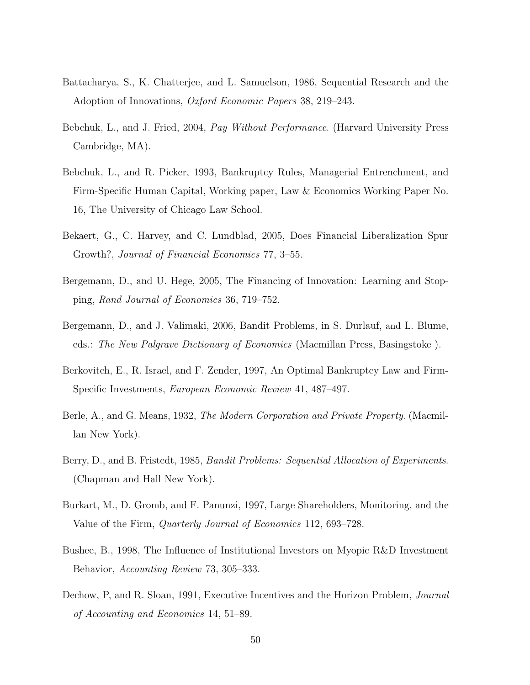- Battacharya, S., K. Chatterjee, and L. Samuelson, 1986, Sequential Research and the Adoption of Innovations, *Oxford Economic Papers* 38, 219–243.
- Bebchuk, L., and J. Fried, 2004, *Pay Without Performance*. (Harvard University Press Cambridge, MA).
- Bebchuk, L., and R. Picker, 1993, Bankruptcy Rules, Managerial Entrenchment, and Firm-Specific Human Capital, Working paper, Law & Economics Working Paper No. 16, The University of Chicago Law School.
- Bekaert, G., C. Harvey, and C. Lundblad, 2005, Does Financial Liberalization Spur Growth?, *Journal of Financial Economics* 77, 3–55.
- Bergemann, D., and U. Hege, 2005, The Financing of Innovation: Learning and Stopping, *Rand Journal of Economics* 36, 719–752.
- Bergemann, D., and J. Valimaki, 2006, Bandit Problems, in S. Durlauf, and L. Blume, eds.: *The New Palgrave Dictionary of Economics* (Macmillan Press, Basingstoke ).
- Berkovitch, E., R. Israel, and F. Zender, 1997, An Optimal Bankruptcy Law and Firm-Specific Investments, *European Economic Review* 41, 487–497.
- Berle, A., and G. Means, 1932, *The Modern Corporation and Private Property*. (Macmillan New York).
- Berry, D., and B. Fristedt, 1985, *Bandit Problems: Sequential Allocation of Experiments*. (Chapman and Hall New York).
- Burkart, M., D. Gromb, and F. Panunzi, 1997, Large Shareholders, Monitoring, and the Value of the Firm, *Quarterly Journal of Economics* 112, 693–728.
- Bushee, B., 1998, The Influence of Institutional Investors on Myopic R&D Investment Behavior, *Accounting Review* 73, 305–333.
- Dechow, P, and R. Sloan, 1991, Executive Incentives and the Horizon Problem, *Journal of Accounting and Economics* 14, 51–89.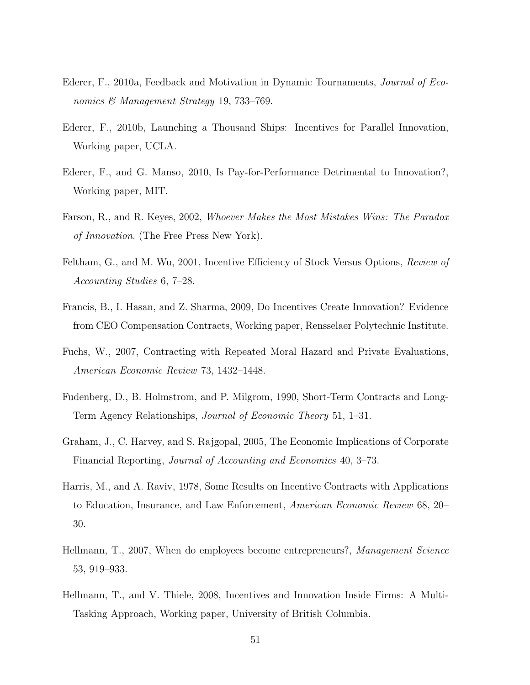- Ederer, F., 2010a, Feedback and Motivation in Dynamic Tournaments, *Journal of Economics & Management Strategy* 19, 733–769.
- Ederer, F., 2010b, Launching a Thousand Ships: Incentives for Parallel Innovation, Working paper, UCLA.
- Ederer, F., and G. Manso, 2010, Is Pay-for-Performance Detrimental to Innovation?, Working paper, MIT.
- Farson, R., and R. Keyes, 2002, *Whoever Makes the Most Mistakes Wins: The Paradox of Innovation*. (The Free Press New York).
- Feltham, G., and M. Wu, 2001, Incentive Efficiency of Stock Versus Options, *Review of Accounting Studies* 6, 7–28.
- Francis, B., I. Hasan, and Z. Sharma, 2009, Do Incentives Create Innovation? Evidence from CEO Compensation Contracts, Working paper, Rensselaer Polytechnic Institute.
- Fuchs, W., 2007, Contracting with Repeated Moral Hazard and Private Evaluations, *American Economic Review* 73, 1432–1448.
- Fudenberg, D., B. Holmstrom, and P. Milgrom, 1990, Short-Term Contracts and Long-Term Agency Relationships, *Journal of Economic Theory* 51, 1–31.
- Graham, J., C. Harvey, and S. Rajgopal, 2005, The Economic Implications of Corporate Financial Reporting, *Journal of Accounting and Economics* 40, 3–73.
- Harris, M., and A. Raviv, 1978, Some Results on Incentive Contracts with Applications to Education, Insurance, and Law Enforcement, *American Economic Review* 68, 20– 30.
- Hellmann, T., 2007, When do employees become entrepreneurs?, *Management Science* 53, 919–933.
- Hellmann, T., and V. Thiele, 2008, Incentives and Innovation Inside Firms: A Multi-Tasking Approach, Working paper, University of British Columbia.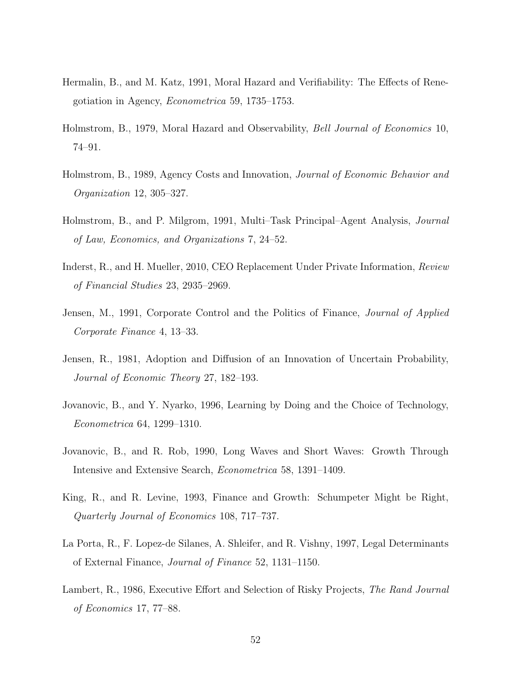- Hermalin, B., and M. Katz, 1991, Moral Hazard and Verifiability: The Effects of Renegotiation in Agency, *Econometrica* 59, 1735–1753.
- Holmstrom, B., 1979, Moral Hazard and Observability, *Bell Journal of Economics* 10, 74–91.
- Holmstrom, B., 1989, Agency Costs and Innovation, *Journal of Economic Behavior and Organization* 12, 305–327.
- Holmstrom, B., and P. Milgrom, 1991, Multi–Task Principal–Agent Analysis, *Journal of Law, Economics, and Organizations* 7, 24–52.
- Inderst, R., and H. Mueller, 2010, CEO Replacement Under Private Information, *Review of Financial Studies* 23, 2935–2969.
- Jensen, M., 1991, Corporate Control and the Politics of Finance, *Journal of Applied Corporate Finance* 4, 13–33.
- Jensen, R., 1981, Adoption and Diffusion of an Innovation of Uncertain Probability, *Journal of Economic Theory* 27, 182–193.
- Jovanovic, B., and Y. Nyarko, 1996, Learning by Doing and the Choice of Technology, *Econometrica* 64, 1299–1310.
- Jovanovic, B., and R. Rob, 1990, Long Waves and Short Waves: Growth Through Intensive and Extensive Search, *Econometrica* 58, 1391–1409.
- King, R., and R. Levine, 1993, Finance and Growth: Schumpeter Might be Right, *Quarterly Journal of Economics* 108, 717–737.
- La Porta, R., F. Lopez-de Silanes, A. Shleifer, and R. Vishny, 1997, Legal Determinants of External Finance, *Journal of Finance* 52, 1131–1150.
- Lambert, R., 1986, Executive Effort and Selection of Risky Projects, *The Rand Journal of Economics* 17, 77–88.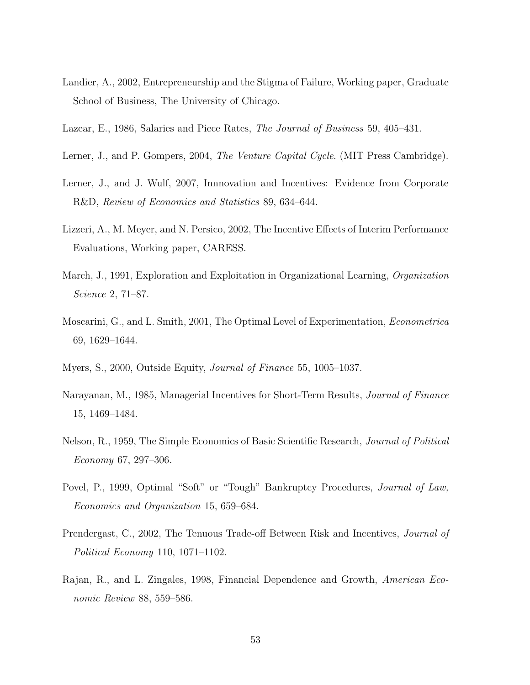- Landier, A., 2002, Entrepreneurship and the Stigma of Failure, Working paper, Graduate School of Business, The University of Chicago.
- Lazear, E., 1986, Salaries and Piece Rates, *The Journal of Business* 59, 405–431.
- Lerner, J., and P. Gompers, 2004, *The Venture Capital Cycle*. (MIT Press Cambridge).
- Lerner, J., and J. Wulf, 2007, Innnovation and Incentives: Evidence from Corporate R&D, *Review of Economics and Statistics* 89, 634–644.
- Lizzeri, A., M. Meyer, and N. Persico, 2002, The Incentive Effects of Interim Performance Evaluations, Working paper, CARESS.
- March, J., 1991, Exploration and Exploitation in Organizational Learning, *Organization Science* 2, 71–87.
- Moscarini, G., and L. Smith, 2001, The Optimal Level of Experimentation, *Econometrica* 69, 1629–1644.
- Myers, S., 2000, Outside Equity, *Journal of Finance* 55, 1005–1037.
- Narayanan, M., 1985, Managerial Incentives for Short-Term Results, *Journal of Finance* 15, 1469–1484.
- Nelson, R., 1959, The Simple Economics of Basic Scientific Research, *Journal of Political Economy* 67, 297–306.
- Povel, P., 1999, Optimal "Soft" or "Tough" Bankruptcy Procedures, *Journal of Law, Economics and Organization* 15, 659–684.
- Prendergast, C., 2002, The Tenuous Trade-off Between Risk and Incentives, *Journal of Political Economy* 110, 1071–1102.
- Rajan, R., and L. Zingales, 1998, Financial Dependence and Growth, *American Economic Review* 88, 559–586.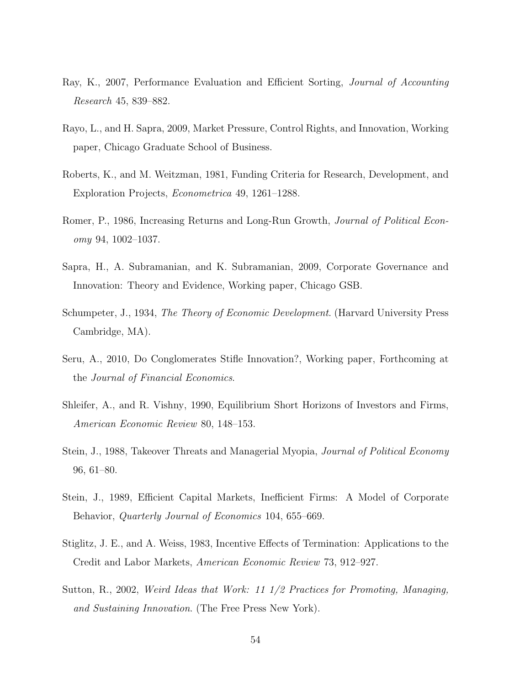- Ray, K., 2007, Performance Evaluation and Efficient Sorting, *Journal of Accounting Research* 45, 839–882.
- Rayo, L., and H. Sapra, 2009, Market Pressure, Control Rights, and Innovation, Working paper, Chicago Graduate School of Business.
- Roberts, K., and M. Weitzman, 1981, Funding Criteria for Research, Development, and Exploration Projects, *Econometrica* 49, 1261–1288.
- Romer, P., 1986, Increasing Returns and Long-Run Growth, *Journal of Political Economy* 94, 1002–1037.
- Sapra, H., A. Subramanian, and K. Subramanian, 2009, Corporate Governance and Innovation: Theory and Evidence, Working paper, Chicago GSB.
- Schumpeter, J., 1934, *The Theory of Economic Development*. (Harvard University Press Cambridge, MA).
- Seru, A., 2010, Do Conglomerates Stifle Innovation?, Working paper, Forthcoming at the *Journal of Financial Economics*.
- Shleifer, A., and R. Vishny, 1990, Equilibrium Short Horizons of Investors and Firms, *American Economic Review* 80, 148–153.
- Stein, J., 1988, Takeover Threats and Managerial Myopia, *Journal of Political Economy* 96, 61–80.
- Stein, J., 1989, Efficient Capital Markets, Inefficient Firms: A Model of Corporate Behavior, *Quarterly Journal of Economics* 104, 655–669.
- Stiglitz, J. E., and A. Weiss, 1983, Incentive Effects of Termination: Applications to the Credit and Labor Markets, *American Economic Review* 73, 912–927.
- Sutton, R., 2002, *Weird Ideas that Work: 11 1/2 Practices for Promoting, Managing, and Sustaining Innovation*. (The Free Press New York).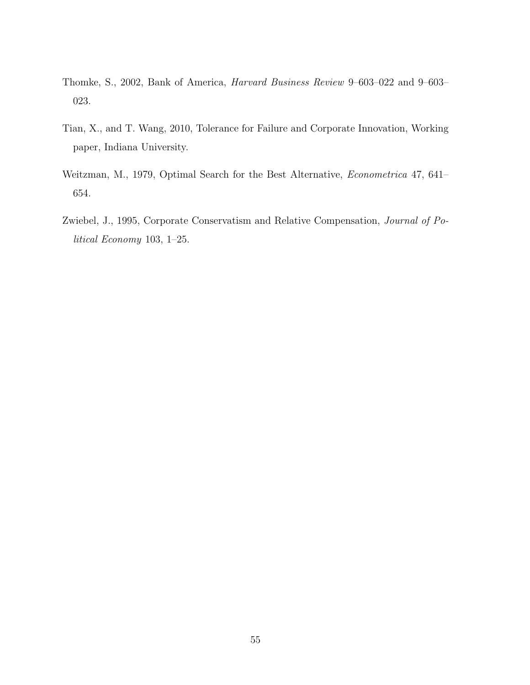- Thomke, S., 2002, Bank of America, *Harvard Business Review* 9–603–022 and 9–603– 023.
- Tian, X., and T. Wang, 2010, Tolerance for Failure and Corporate Innovation, Working paper, Indiana University.
- Weitzman, M., 1979, Optimal Search for the Best Alternative, *Econometrica* 47, 641– 654.
- Zwiebel, J., 1995, Corporate Conservatism and Relative Compensation, *Journal of Political Economy* 103, 1–25.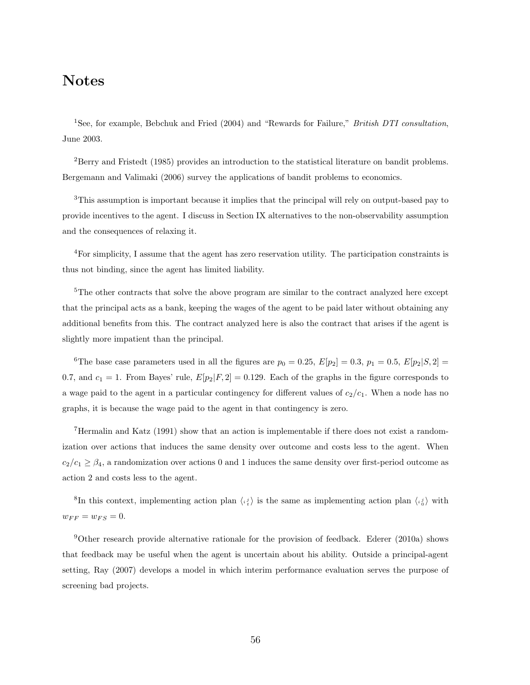#### Notes

<sup>1</sup>See, for example, Bebchuk and Fried (2004) and "Rewards for Failure," *British DTI consultation*, June 2003.

<sup>2</sup>Berry and Fristedt (1985) provides an introduction to the statistical literature on bandit problems. Bergemann and Valimaki (2006) survey the applications of bandit problems to economics.

<sup>3</sup>This assumption is important because it implies that the principal will rely on output-based pay to provide incentives to the agent. I discuss in Section IX alternatives to the non-observability assumption and the consequences of relaxing it.

<sup>4</sup>For simplicity, I assume that the agent has zero reservation utility. The participation constraints is thus not binding, since the agent has limited liability.

<sup>5</sup>The other contracts that solve the above program are similar to the contract analyzed here except that the principal acts as a bank, keeping the wages of the agent to be paid later without obtaining any additional benefits from this. The contract analyzed here is also the contract that arises if the agent is slightly more impatient than the principal.

<sup>6</sup>The base case parameters used in all the figures are  $p_0 = 0.25$ ,  $E[p_2] = 0.3$ ,  $p_1 = 0.5$ ,  $E[p_2|S, 2] =$ 0.7, and  $c_1 = 1$ . From Bayes' rule,  $E[p_2|F, 2] = 0.129$ . Each of the graphs in the figure corresponds to a wage paid to the agent in a particular contingency for different values of  $c_2/c_1$ . When a node has no graphs, it is because the wage paid to the agent in that contingency is zero.

<sup>7</sup>Hermalin and Katz (1991) show that an action is implementable if there does not exist a randomization over actions that induces the same density over outcome and costs less to the agent. When  $c_2/c_1 \geq \beta_4$ , a randomization over actions 0 and 1 induces the same density over first-period outcome as action 2 and costs less to the agent.

<sup>8</sup>In this context, implementing action plan  $\langle i_i \rangle$  is the same as implementing action plan  $\langle i_0^j \rangle$  with  $w_{FF} = w_{FS} = 0.$ 

<sup>9</sup>Other research provide alternative rationale for the provision of feedback. Ederer (2010a) shows that feedback may be useful when the agent is uncertain about his ability. Outside a principal-agent setting, Ray (2007) develops a model in which interim performance evaluation serves the purpose of screening bad projects.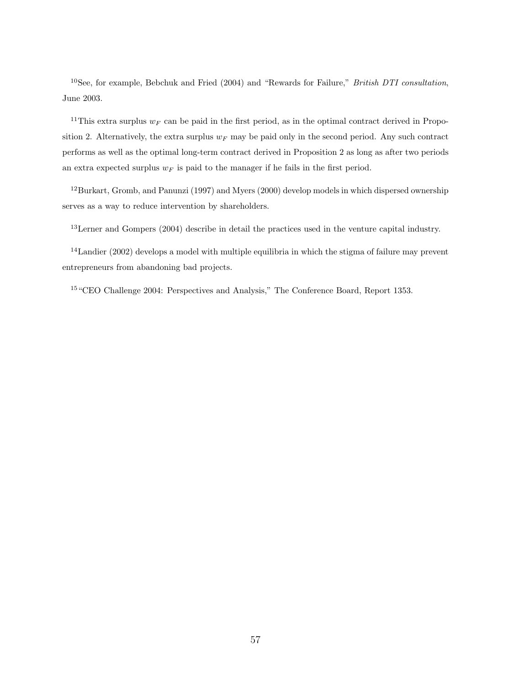<sup>10</sup>See, for example, Bebchuk and Fried (2004) and "Rewards for Failure," *British DTI consultation*, June 2003.

<sup>11</sup>This extra surplus  $w_F$  can be paid in the first period, as in the optimal contract derived in Proposition 2. Alternatively, the extra surplus  $w_F$  may be paid only in the second period. Any such contract performs as well as the optimal long-term contract derived in Proposition 2 as long as after two periods an extra expected surplus  $w_F$  is paid to the manager if he fails in the first period.

<sup>12</sup>Burkart, Gromb, and Panunzi (1997) and Myers (2000) develop models in which dispersed ownership serves as a way to reduce intervention by shareholders.

<sup>13</sup>Lerner and Gompers (2004) describe in detail the practices used in the venture capital industry.

<sup>14</sup>Landier (2002) develops a model with multiple equilibria in which the stigma of failure may prevent entrepreneurs from abandoning bad projects.

<sup>15</sup>"CEO Challenge 2004: Perspectives and Analysis," The Conference Board, Report 1353.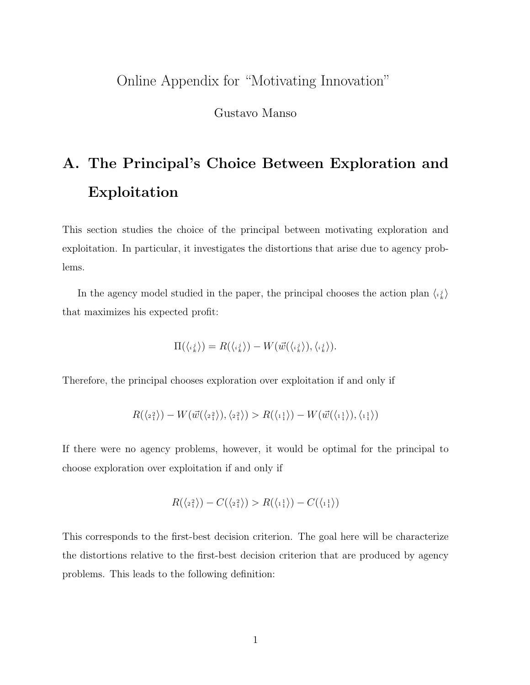#### Online Appendix for "Motivating Innovation"

Gustavo Manso

# A. The Principal's Choice Between Exploration and Exploitation

This section studies the choice of the principal between motivating exploration and exploitation. In particular, it investigates the distortions that arise due to agency problems.

In the agency model studied in the paper, the principal chooses the action plan  $\langle i_k^j \rangle$ that maximizes his expected profit:

$$
\Pi(\langle i_k^j \rangle) = R(\langle i_k^j \rangle) - W(\vec{w}(\langle i_k^j \rangle), \langle i_k^j \rangle).
$$

Therefore, the principal chooses exploration over exploitation if and only if

$$
R(\langle z_1^2 \rangle) - W(\vec{w}(\langle z_1^2 \rangle), \langle z_1^2 \rangle) > R(\langle z_1^1 \rangle) - W(\vec{w}(\langle z_1^1 \rangle), \langle z_1^1 \rangle)
$$

If there were no agency problems, however, it would be optimal for the principal to choose exploration over exploitation if and only if

$$
R(\langle \mathbf{2}_1^2 \rangle) - C(\langle \mathbf{2}_1^2 \rangle) > R(\langle \mathbf{1}_1^1 \rangle) - C(\langle \mathbf{1}_1^1 \rangle)
$$

This corresponds to the first-best decision criterion. The goal here will be characterize the distortions relative to the first-best decision criterion that are produced by agency problems. This leads to the following definition: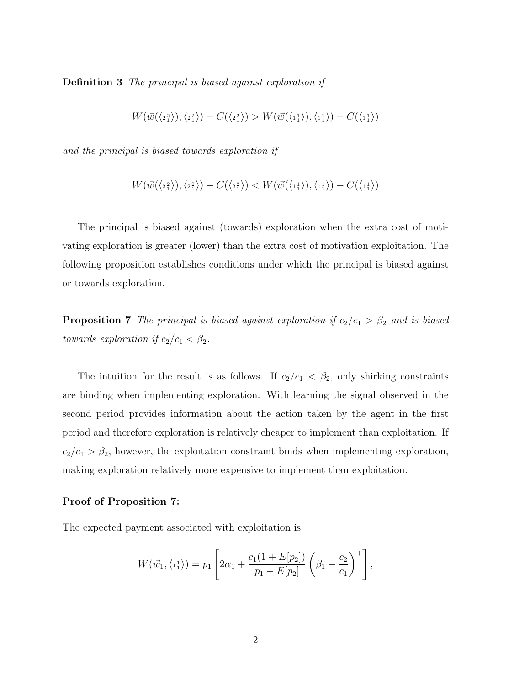Definition 3 *The principal is biased against exploration if*

$$
W(\vec{w}(\langle \overline{z_1} \rangle), \langle \overline{z_1} \rangle) - C(\langle \overline{z_1} \rangle) > W(\vec{w}(\langle \overline{z_1} \rangle), \langle \overline{z_1} \rangle) - C(\langle \overline{z_1} \rangle)
$$

*and the principal is biased towards exploration if*

$$
W(\vec{w}(\langle \overline{z_1} \rangle), \langle \overline{z_1} \rangle) - C(\langle \overline{z_1} \rangle) < W(\vec{w}(\langle \overline{z_1} \rangle), \langle \overline{z_1} \rangle) - C(\langle \overline{z_1} \rangle)
$$

The principal is biased against (towards) exploration when the extra cost of motivating exploration is greater (lower) than the extra cost of motivation exploitation. The following proposition establishes conditions under which the principal is biased against or towards exploration.

**Proposition 7** *The principal is biased against exploration if*  $c_2/c_1 > \beta_2$  *and is biased towards exploration if*  $c_2/c_1 < \beta_2$ *.* 

The intuition for the result is as follows. If  $c_2/c_1 < \beta_2$ , only shirking constraints are binding when implementing exploration. With learning the signal observed in the second period provides information about the action taken by the agent in the first period and therefore exploration is relatively cheaper to implement than exploitation. If  $c_2/c_1 > \beta_2$ , however, the exploitation constraint binds when implementing exploration, making exploration relatively more expensive to implement than exploitation.

#### Proof of Proposition 7:

The expected payment associated with exploitation is

$$
W(\vec{w_1}, \langle 1_1^1 \rangle) = p_1 \left[ 2\alpha_1 + \frac{c_1(1 + E[p_2])}{p_1 - E[p_2]} \left( \beta_1 - \frac{c_2}{c_1} \right)^+ \right],
$$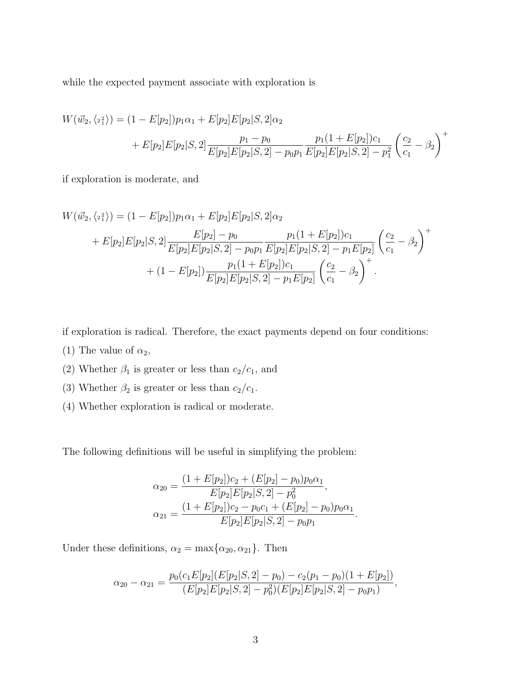while the expected payment associate with exploration is

$$
W(\vec{w}_2, \langle 2^2 \rangle) = (1 - E[p_2])p_1\alpha_1 + E[p_2]E[p_2|S, 2]\alpha_2
$$
  
+ 
$$
E[p_2]E[p_2|S, 2]\frac{p_1 - p_0}{E[p_2]E[p_2|S, 2] - p_0p_1}\frac{p_1(1 + E[p_2])c_1}{E[p_2]E[p_2|S, 2] - p_1^2} \left(\frac{c_2}{c_1} - \beta_2\right)^+
$$

if exploration is moderate, and

$$
W(\vec{w_2}, \langle 2_1^2 \rangle) = (1 - E[p_2])p_1\alpha_1 + E[p_2]E[p_2|S, 2]\alpha_2
$$
  
+ 
$$
E[p_2]E[p_2|S, 2] \frac{E[p_2] - p_0}{E[p_2]E[p_2|S, 2] - p_0p_1} \frac{p_1(1 + E[p_2])c_1}{E[p_2]E[p_2|S, 2] - p_1E[p_2]} \left(\frac{c_2}{c_1} - \beta_2\right)^+
$$
  
+ 
$$
(1 - E[p_2]) \frac{p_1(1 + E[p_2])c_1}{E[p_2]E[p_2|S, 2] - p_1E[p_2]} \left(\frac{c_2}{c_1} - \beta_2\right)^+.
$$

if exploration is radical. Therefore, the exact payments depend on four conditions:

- (1) The value of  $\alpha_2$ ,
- (2) Whether  $\beta_1$  is greater or less than  $c_2/c_1$ , and
- (3) Whether  $\beta_2$  is greater or less than  $c_2/c_1$ .
- (4) Whether exploration is radical or moderate.

The following definitions will be useful in simplifying the problem:

$$
\alpha_{20} = \frac{(1 + E[p_2])c_2 + (E[p_2] - p_0)p_0\alpha_1}{E[p_2]E[p_2|S, 2] - p_0^2},
$$
  

$$
\alpha_{21} = \frac{(1 + E[p_2])c_2 - p_0c_1 + (E[p_2] - p_0)p_0\alpha_1}{E[p_2]E[p_2|S, 2] - p_0p_1}.
$$

Under these definitions,  $\alpha_2 = \max{\{\alpha_{20}, \alpha_{21}\}}$ . Then

$$
\alpha_{20} - \alpha_{21} = \frac{p_0(c_1E[p_2](E[p_2|S,2]-p_0) - c_2(p_1-p_0)(1+E[p_2])}{(E[p_2]E[p_2|S,2]-p_0^2)(E[p_2]E[p_2|S,2]-p_0p_1)},
$$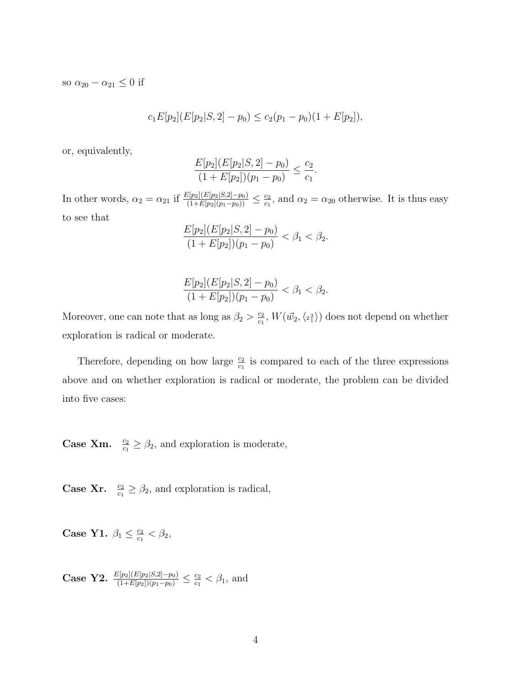so  $\alpha_{20} - \alpha_{21} \leq 0$  if

$$
c_1E[p_2](E[p_2|S,2]-p_0) \le c_2(p_1-p_0)(1+E[p_2]),
$$

or, equivalently,

$$
\frac{E[p_2](E[p_2|S,2]-p_0)}{(1+E[p_2])(p_1-p_0)} \leq \frac{c_2}{c_1}.
$$

In other words,  $\alpha_2 = \alpha_{21}$  if  $\frac{E[p_2](E[p_2|S,2]-p_0)}{(1+E[p_2](p_1-p_0))} \leq \frac{c_2}{c_1}$  $\frac{c_2}{c_1}$ , and  $\alpha_2 = \alpha_{20}$  otherwise. It is thus easy to see that

$$
\frac{E[p_2](E[p_2|S,2]-p_0)}{(1+E[p_2])(p_1-p_0)} < \beta_1 < \beta_2.
$$

$$
\frac{E[p_2](E[p_2|S,2]-p_0)}{(1+E[p_2])(p_1-p_0)} < \beta_1 < \beta_2.
$$

Moreover, one can note that as long as  $\beta_2 > \frac{c_2}{c_1}$  $\frac{c_2}{c_1}$ ,  $W(\vec{w}_2,\langle \overline{z}_1^2 \rangle)$  does not depend on whether exploration is radical or moderate.

Therefore, depending on how large  $\frac{c_2}{c_1}$  is compared to each of the three expressions above and on whether exploration is radical or moderate, the problem can be divided into five cases:

**Case Xm.**  $\frac{c_2}{c_1} \geq \beta_2$ , and exploration is moderate,

**Case Xr.**  $\frac{c_2}{c_1} \geq \beta_2$ , and exploration is radical,

Case Y1.  $\beta_1 \leq \frac{c_2}{c_1}$  $\frac{c_2}{c_1} < \beta_2,$ 

 $\text{Case Y2.} \ \frac{E[p_2](E[p_2|S,2]-p_0)}{(1+E[p_2])(p_1-p_0)} \leq \frac{c_2}{c_1}$  $\frac{c_2}{c_1} < \beta_1$ , and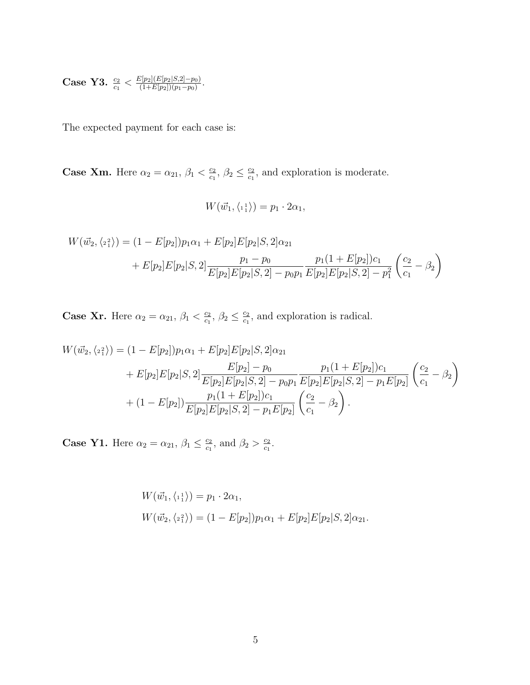Case Y3. 
$$
\frac{c_2}{c_1} < \frac{E[p_2](E[p_2|S,2]-p_0)}{(1+E[p_2])(p_1-p_0)}
$$
.

The expected payment for each case is:

**Case Xm.** Here  $\alpha_2 = \alpha_{21}$ ,  $\beta_1 < \frac{c_2}{c_1}$  $\frac{c_2}{c_1}, \beta_2 \leq \frac{c_2}{c_1}$  $\frac{c_2}{c_1}$ , and exploration is moderate.

$$
W(\vec{w}_1, \langle \iota_1^1 \rangle) = p_1 \cdot 2\alpha_1,
$$

$$
W(\vec{w_2}, \langle_2^2 \rangle) = (1 - E[p_2])p_1\alpha_1 + E[p_2]E[p_2|S, 2]\alpha_{21}
$$
  
+ 
$$
E[p_2]E[p_2|S, 2]\frac{p_1 - p_0}{E[p_2]E[p_2|S, 2] - p_0p_1}\frac{p_1(1 + E[p_2])c_1}{E[p_2]E[p_2|S, 2] - p_1^2}\left(\frac{c_2}{c_1} - \beta_2\right)
$$

**Case Xr.** Here  $\alpha_2 = \alpha_{21}$ ,  $\beta_1 < \frac{c_2}{c_1}$  $\frac{c_2}{c_1}, \beta_2 \leq \frac{c_2}{c_1}$  $\frac{c_2}{c_1}$ , and exploration is radical.

$$
W(\vec{w}_2, \langle_2^2 \rangle) = (1 - E[p_2])p_1\alpha_1 + E[p_2]E[p_2|S, 2]\alpha_{21}
$$
  
+ 
$$
E[p_2]E[p_2|S, 2]\frac{E[p_2] - p_0}{E[p_2]E[p_2|S, 2] - p_0p_1} \frac{p_1(1 + E[p_2])c_1}{E[p_2]E[p_2|S, 2] - p_1E[p_2]} \left(\frac{c_2}{c_1} - \beta_2\right)
$$
  
+ 
$$
(1 - E[p_2])\frac{p_1(1 + E[p_2])c_1}{E[p_2]E[p_2|S, 2] - p_1E[p_2]} \left(\frac{c_2}{c_1} - \beta_2\right).
$$

**Case Y1.** Here  $\alpha_2 = \alpha_{21}, \beta_1 \leq \frac{c_2}{c_1}$  $\frac{c_2}{c_1}$ , and  $\beta_2 > \frac{c_2}{c_1}$  $\frac{c_2}{c_1}$ .

$$
W(\vec{w}_1, \langle 1_1^1 \rangle) = p_1 \cdot 2\alpha_1,
$$
  

$$
W(\vec{w}_2, \langle 2_1^2 \rangle) = (1 - E[p_2])p_1\alpha_1 + E[p_2]E[p_2|S, 2]\alpha_{21}.
$$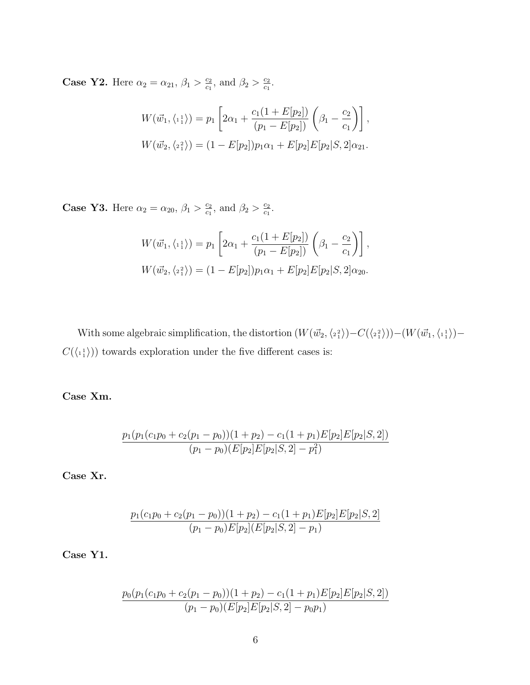**Case Y2.** Here  $\alpha_2 = \alpha_{21}, \beta_1 > \frac{c_2}{c_1}$  $rac{c_2}{c_1}$ , and  $\beta_2 > \frac{c_2}{c_1}$  $\frac{c_2}{c_1}$ .

$$
W(\vec{w}_1, \langle 1_1^1 \rangle) = p_1 \left[ 2\alpha_1 + \frac{c_1(1 + E[p_2])}{(p_1 - E[p_2])} \left( \beta_1 - \frac{c_2}{c_1} \right) \right],
$$
  

$$
W(\vec{w}_2, \langle 2_1^2 \rangle) = (1 - E[p_2])p_1\alpha_1 + E[p_2]E[p_2|S, 2]\alpha_{21}.
$$

**Case Y3.** Here  $\alpha_2 = \alpha_{20}, \beta_1 > \frac{c_2}{c_1}$  $rac{c_2}{c_1}$ , and  $\beta_2 > \frac{c_2}{c_1}$  $\frac{c_2}{c_1}$ .

$$
W(\vec{w_1}, \langle 1_1 \rangle) = p_1 \left[ 2\alpha_1 + \frac{c_1(1 + E[p_2])}{(p_1 - E[p_2])} \left( \beta_1 - \frac{c_2}{c_1} \right) \right],
$$
  

$$
W(\vec{w_2}, \langle 2_1 \rangle) = (1 - E[p_2])p_1\alpha_1 + E[p_2]E[p_2|S, 2]\alpha_{20}.
$$

With some algebraic simplification, the distortion  $(W(\vec{w}_2, \langle \_1^2 \rangle) - C(\langle \_1^2 \rangle)) - (W(\vec{w}_1, \langle \_1^1 \rangle) C(\langle \cdot, \cdot \rangle)$  towards exploration under the five different cases is:

Case Xm.

$$
\frac{p_1(p_1(c_1p_0 + c_2(p_1 - p_0))(1 + p_2) - c_1(1 + p_1)E[p_2]E[p_2|S, 2])}{(p_1 - p_0)(E[p_2]E[p_2|S, 2] - p_1^2)}
$$

Case Xr.

$$
\frac{p_1(c_1p_0 + c_2(p_1 - p_0))(1 + p_2) - c_1(1 + p_1)E[p_2]E[p_2|S, 2]}{(p_1 - p_0)E[p_2](E[p_2|S, 2] - p_1)}
$$

Case Y1.

$$
\frac{p_0(p_1(c_1p_0 + c_2(p_1 - p_0))(1 + p_2) - c_1(1 + p_1)E[p_2]E[p_2|S, 2])}{(p_1 - p_0)(E[p_2]E[p_2|S, 2] - p_0p_1)}
$$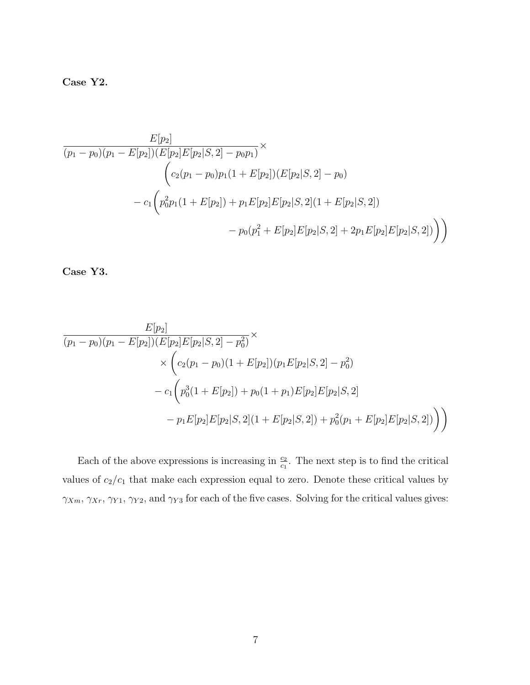Case Y2.

$$
\frac{E[p_2]}{(p_1 - p_0)(p_1 - E[p_2])(E[p_2]E[p_2|S, 2] - p_0p_1)} \times
$$
\n
$$
\left(c_2(p_1 - p_0)p_1(1 + E[p_2])(E[p_2|S, 2] - p_0)\right)
$$
\n
$$
- c_1 \left(p_0^2p_1(1 + E[p_2]) + p_1E[p_2]E[p_2|S, 2](1 + E[p_2|S, 2])\right)
$$
\n
$$
- p_0(p_1^2 + E[p_2]E[p_2|S, 2] + 2p_1E[p_2]E[p_2|S, 2])\right)
$$

Case Y3.

$$
\frac{E[p_2]}{(p_1 - p_0)(p_1 - E[p_2])(E[p_2]E[p_2|S, 2] - p_0^2)} \times
$$
\n
$$
\times \left( c_2(p_1 - p_0)(1 + E[p_2])(p_1E[p_2|S, 2] - p_0^2) - c_1 \left( p_0^3(1 + E[p_2]) + p_0(1 + p_1)E[p_2]E[p_2|S, 2] - p_1E[p_2]E[p_2|S, 2](1 + E[p_2|S, 2]) + p_0^2(p_1 + E[p_2]E[p_2|S, 2]) \right) \right)
$$

Each of the above expressions is increasing in  $\frac{c_2}{c_1}$ . The next step is to find the critical values of  $c_2/c_1$  that make each expression equal to zero. Denote these critical values by  $\gamma_{Xm}, \gamma_{Xr}, \gamma_{Y1}, \gamma_{Y2}$ , and  $\gamma_{Y3}$  for each of the five cases. Solving for the critical values gives: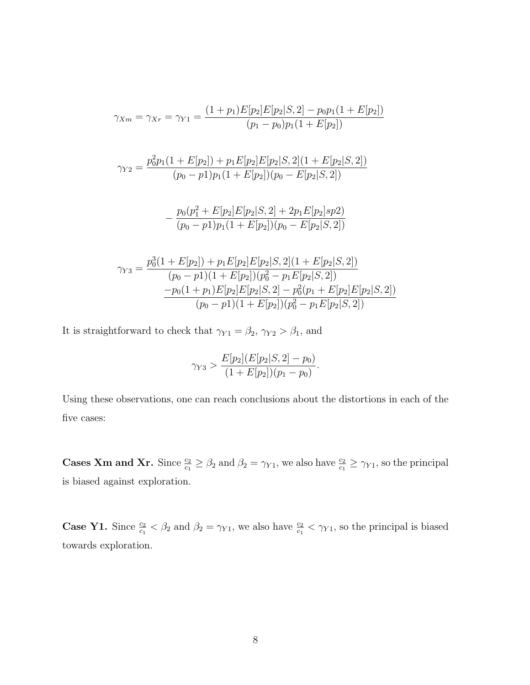$$
\gamma_{Xm} = \gamma_{Xr} = \gamma_{Y1} = \frac{(1+p_1)E[p_2]E[p_2|S,2] - p_0p_1(1+E[p_2])}{(p_1-p_0)p_1(1+E[p_2])}
$$

$$
\gamma_{Y2} = \frac{p_0^2 p_1 (1 + E[p_2]) + p_1 E[p_2] E[p_2|S, 2] (1 + E[p_2|S, 2])}{(p_0 - p_1)p_1 (1 + E[p_2])(p_0 - E[p_2|S, 2])}
$$

$$
-\frac{p_0(p_1^2 + E[p_2]E[p_2|S,2] + 2p_1E[p_2]sp2)}{(p_0 - p_1)p_1(1 + E[p_2])(p_0 - E[p_2|S,2])}
$$

$$
\gamma_{Y3} = \frac{p_0^3(1 + E[p_2]) + p_1 E[p_2]E[p_2|S, 2](1 + E[p_2|S, 2])}{(p_0 - p_1)(1 + E[p_2])(p_0^2 - p_1 E[p_2|S, 2])}
$$

$$
\frac{-p_0(1 + p_1)E[p_2]E[p_2|S, 2] - p_0^2(p_1 + E[p_2]E[p_2|S, 2])}{(p_0 - p_1)(1 + E[p_2])(p_0^2 - p_1 E[p_2|S, 2])}
$$

It is straightforward to check that  $\gamma_{Y1} = \beta_2$ ,  $\gamma_{Y2} > \beta_1$ , and

$$
\gamma_{Y3} > \frac{E[p_2](E[p_2|S,2]-p_0)}{(1+E[p_2])(p_1-p_0)}.
$$

Using these observations, one can reach conclusions about the distortions in each of the five cases:

**Cases Xm and Xr.** Since  $\frac{c_2}{c_1} \geq \beta_2$  and  $\beta_2 = \gamma_{Y_1}$ , we also have  $\frac{c_2}{c_1} \geq \gamma_{Y_1}$ , so the principal is biased against exploration.

**Case Y1.** Since  $\frac{c_2}{c_1} < \beta_2$  and  $\beta_2 = \gamma_{Y_1}$ , we also have  $\frac{c_2}{c_1} < \gamma_{Y_1}$ , so the principal is biased towards exploration.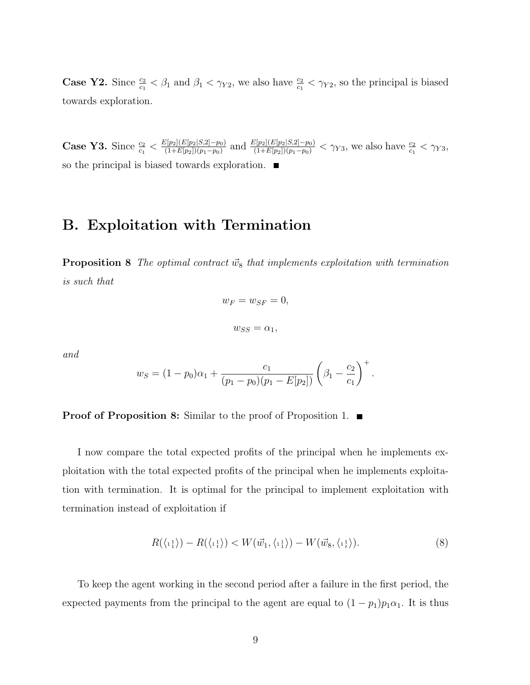**Case Y2.** Since  $\frac{c_2}{c_1} < \beta_1$  and  $\beta_1 < \gamma_{Y2}$ , we also have  $\frac{c_2}{c_1} < \gamma_{Y2}$ , so the principal is biased towards exploration.

**Case Y3.** Since  $\frac{c_2}{c_1} < \frac{E[p_2](E[p_2|S,2]-p_0)}{(1+E[p_2])(p_1-p_0)}$  $\frac{\mathbb{E}[p_2](E[p_2|S,2]-p_0)}{(1+E[p_2])(p_1-p_0)}$  and  $\frac{E[p_2](E[p_2|S,2]-p_0)}{(1+E[p_2])(p_1-p_0)} < \gamma_{Y3}$ , we also have  $\frac{c_2}{c_1} < \gamma_{Y3}$ , so the principal is biased towards exploration.

# B. Exploitation with Termination

**Proposition 8** *The optimal contract*  $\vec{w}_8$  *that implements exploitation with termination is such that*

$$
w_F = w_{SF} = 0,
$$
  

$$
w_{SS} = \alpha_1,
$$

*and*

$$
w_S = (1 - p_0)\alpha_1 + \frac{c_1}{(p_1 - p_0)(p_1 - E[p_2])}\left(\beta_1 - \frac{c_2}{c_1}\right)^+.
$$

**Proof of Proposition 8:** Similar to the proof of Proposition 1. ■

I now compare the total expected profits of the principal when he implements exploitation with the total expected profits of the principal when he implements exploitation with termination. It is optimal for the principal to implement exploitation with termination instead of exploitation if

$$
R(\langle \mathbf{1}_{1} \rangle) - R(\langle \mathbf{1}_{t} \rangle) < W(\vec{w}_{1}, \langle \mathbf{1}_{1} \rangle) - W(\vec{w}_{8}, \langle \mathbf{1}_{t} \rangle). \tag{8}
$$

To keep the agent working in the second period after a failure in the first period, the expected payments from the principal to the agent are equal to  $(1 - p_1)p_1\alpha_1$ . It is thus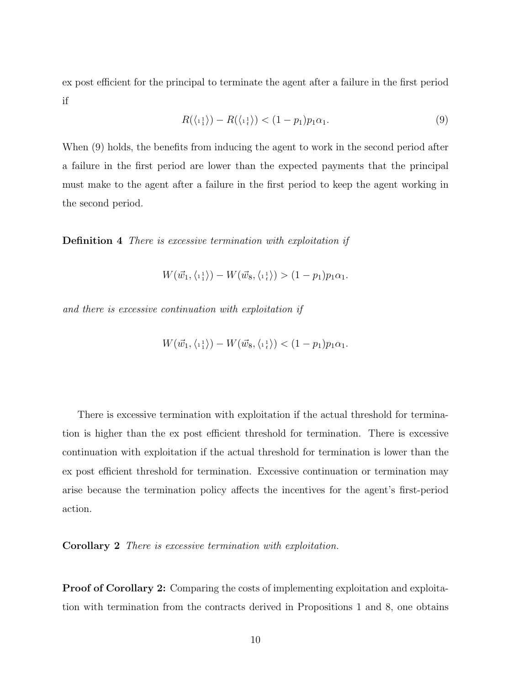ex post efficient for the principal to terminate the agent after a failure in the first period if

$$
R(\langle \mathbf{1}_1^1 \rangle) - R(\langle \mathbf{1}_t^1 \rangle) < (1 - p_1)p_1 \alpha_1. \tag{9}
$$

When (9) holds, the benefits from inducing the agent to work in the second period after a failure in the first period are lower than the expected payments that the principal must make to the agent after a failure in the first period to keep the agent working in the second period.

Definition 4 *There is excessive termination with exploitation if*

$$
W(\vec{w}_1, \langle \mathbf{1}_1^1 \rangle) - W(\vec{w}_8, \langle \mathbf{1}_t^1 \rangle) > (1 - p_1)p_1\alpha_1.
$$

*and there is excessive continuation with exploitation if*

$$
W(\vec{w}_1, \langle \mathbf{1}_1^1 \rangle) - W(\vec{w}_8, \langle \mathbf{1}_t^1 \rangle) < (1 - p_1)p_1\alpha_1.
$$

There is excessive termination with exploitation if the actual threshold for termination is higher than the ex post efficient threshold for termination. There is excessive continuation with exploitation if the actual threshold for termination is lower than the ex post efficient threshold for termination. Excessive continuation or termination may arise because the termination policy affects the incentives for the agent's first-period action.

Corollary 2 *There is excessive termination with exploitation.*

Proof of Corollary 2: Comparing the costs of implementing exploitation and exploitation with termination from the contracts derived in Propositions 1 and 8, one obtains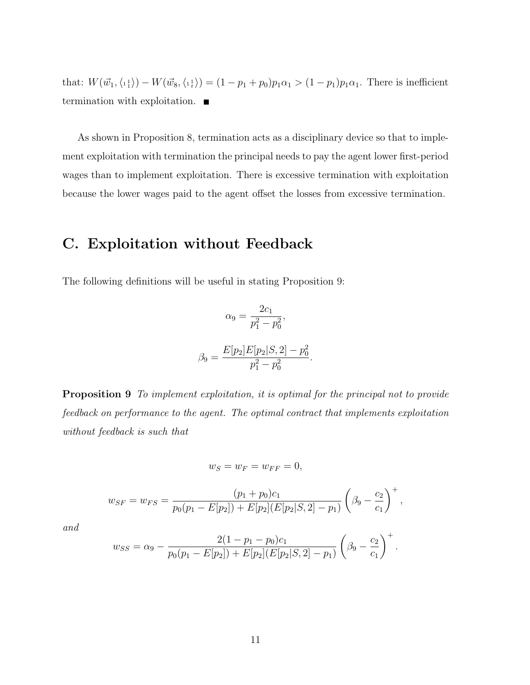that:  $W(\vec{w}_1, \langle 1_1 \rangle) - W(\vec{w}_8, \langle 1_1 \rangle) = (1 - p_1 + p_0)p_1\alpha_1 > (1 - p_1)p_1\alpha_1$ . There is inefficient termination with exploitation.  $\blacksquare$ 

As shown in Proposition 8, termination acts as a disciplinary device so that to implement exploitation with termination the principal needs to pay the agent lower first-period wages than to implement exploitation. There is excessive termination with exploitation because the lower wages paid to the agent offset the losses from excessive termination.

#### C. Exploitation without Feedback

The following definitions will be useful in stating Proposition 9:

$$
\alpha_9 = \frac{2c_1}{p_1^2 - p_0^2},
$$
  

$$
\beta_9 = \frac{E[p_2]E[p_2|S, 2] - p_0^2}{p_1^2 - p_0^2}.
$$

Proposition 9 *To implement exploitation, it is optimal for the principal not to provide feedback on performance to the agent. The optimal contract that implements exploitation without feedback is such that*

$$
w_S = w_F = w_{FF} = 0,
$$

$$
w_{SF} = w_{FS} = \frac{(p_1 + p_0)c_1}{p_0(p_1 - E[p_2]) + E[p_2](E[p_2|S, 2] - p_1)} \left(\beta_9 - \frac{c_2}{c_1}\right)^+,
$$

*and*

$$
w_{SS} = \alpha_9 - \frac{2(1 - p_1 - p_0)c_1}{p_0(p_1 - E[p_2]) + E[p_2](E[p_2|S, 2] - p_1)} \left(\beta_9 - \frac{c_2}{c_1}\right)^+.
$$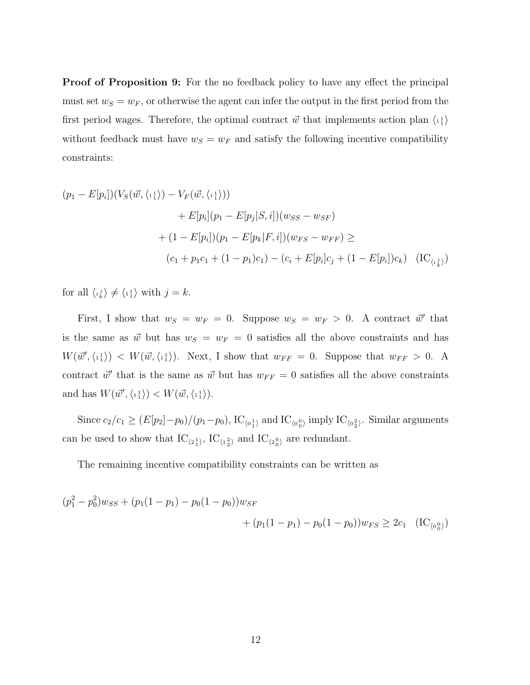Proof of Proposition 9: For the no feedback policy to have any effect the principal must set  $w_S = w_F$ , or otherwise the agent can infer the output in the first period from the first period wages. Therefore, the optimal contract  $\vec{w}$  that implements action plan  $\langle \cdot \cdot \cdot \rangle$ without feedback must have  $w_S = w_F$  and satisfy the following incentive compatibility constraints:

$$
(p_1 - E[p_i])(V_S(\vec{w}, \langle 1_1 \rangle) - V_F(\vec{w}, \langle 1_1 \rangle))
$$
  
+  $E[p_i](p_1 - E[p_j|S, i])(w_{SS} - w_{SF})$   
+  $(1 - E[p_i])(p_1 - E[p_k|F, i])(w_{FS} - w_{FF}) \ge$   
 $(c_1 + p_1c_1 + (1 - p_1)c_1) - (c_i + E[p_i]c_j + (1 - E[p_i])c_k) \t(C_{\langle i_i \rangle})$ 

for all  $\langle i_k^j \rangle \neq \langle 1_1^1 \rangle$  with  $j = k$ .

First, I show that  $w_S = w_F = 0$ . Suppose  $w_S = w_F > 0$ . A contract  $\vec{w}'$  that is the same as  $\vec{w}$  but has  $w_S = w_F = 0$  satisfies all the above constraints and has  $W(\vec{w}', \langle 1_1^1 \rangle) < W(\vec{w}, \langle 1_1^1 \rangle)$ . Next, I show that  $w_{FF} = 0$ . Suppose that  $w_{FF} > 0$ . A contract  $\vec{w}'$  that is the same as  $\vec{w}$  but has  $w_{FF} = 0$  satisfies all the above constraints and has  $W(\vec{w}', \langle 1_1^1 \rangle) < W(\vec{w}, \langle 1_1^1 \rangle)$ .

Since  $c_2/c_1 \ge (E[p_2]-p_0)/(p_1-p_0)$ ,  $\text{IC}_{\langle0\frac{1}{4}\rangle}$  and  $\text{IC}_{\langle0\frac{0}{0}\rangle}$  imply  $\text{IC}_{\langle0\frac{2}{2}\rangle}$ . Similar arguments can be used to show that  $IC_{\langle2_1^1\rangle}$ ,  $IC_{\langle1_2^2\rangle}$  and  $IC_{\langle2_0^0\rangle}$  are redundant.

The remaining incentive compatibility constraints can be written as

$$
(p_1^2 - p_0^2)w_{SS} + (p_1(1 - p_1) - p_0(1 - p_0))w_{SF}
$$
  
+ 
$$
(p_1(1 - p_1) - p_0(1 - p_0))w_{FS} \ge 2c_1 \quad (\text{IC}_{\langle 0_0^0 \rangle})
$$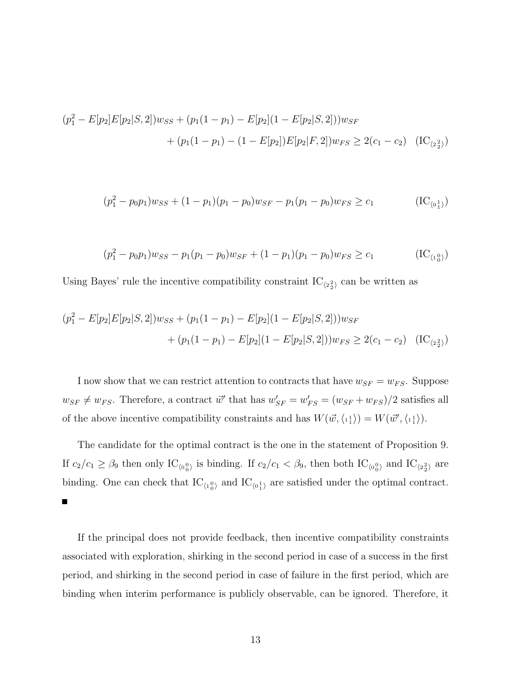$$
(p_1^2 - E[p_2]E[p_2|S,2])w_{SS} + (p_1(1-p_1) - E[p_2](1 - E[p_2|S,2]))w_{SF}
$$

$$
+ (p_1(1-p_1) - (1 - E[p_2])E[p_2|F,2])w_{FS} \ge 2(c_1 - c_2) \quad (\text{IC}_{\langle 2^2 \rangle})
$$

$$
(p_1^2 - p_0 p_1) w_{SS} + (1 - p_1)(p_1 - p_0) w_{SF} - p_1(p_1 - p_0) w_{FS} \ge c_1
$$
 (IC<sub>(0<sub>1</sub>)</sub>)

$$
(p_1^2 - p_0 p_1) w_{SS} - p_1 (p_1 - p_0) w_{SF} + (1 - p_1)(p_1 - p_0) w_{FS} \ge c_1 \tag{IC}_{\langle 1_0^0 \rangle}
$$

Using Bayes' rule the incentive compatibility constraint  $IC_{\langle2_2^2\rangle}$  can be written as

$$
(p_1^2 - E[p_2]E[p_2|S,2])w_{SS} + (p_1(1-p_1) - E[p_2](1 - E[p_2|S,2]))w_{SF}
$$

$$
+ (p_1(1-p_1) - E[p_2](1 - E[p_2|S,2]))w_{FS} \ge 2(c_1 - c_2) \quad (\text{IC}_{\langle 2^2 \rangle})
$$

I now show that we can restrict attention to contracts that have  $w_{SF} = w_{FS}$ . Suppose  $w_{SF} \neq w_{FS}$ . Therefore, a contract  $\vec{w}'$  that has  $w'_{SF} = w'_{FS} = (w_{SF} + w_{FS})/2$  satisfies all of the above incentive compatibility constraints and has  $W(\vec{w}, \langle 1_1^1 \rangle) = W(\vec{w}', \langle 1_1^1 \rangle)$ .

The candidate for the optimal contract is the one in the statement of Proposition 9. If  $c_2/c_1 \geq \beta_9$  then only  $\text{IC}_{\langle o_0^0 \rangle}$  is binding. If  $c_2/c_1 < \beta_9$ , then both  $\text{IC}_{\langle o_0^0 \rangle}$  and  $\text{IC}_{\langle o_2^2 \rangle}$  are binding. One can check that  $IC_{\langle 10 \rangle}$  and  $IC_{\langle 01 \rangle}$  are satisfied under the optimal contract.

If the principal does not provide feedback, then incentive compatibility constraints associated with exploration, shirking in the second period in case of a success in the first period, and shirking in the second period in case of failure in the first period, which are binding when interim performance is publicly observable, can be ignored. Therefore, it